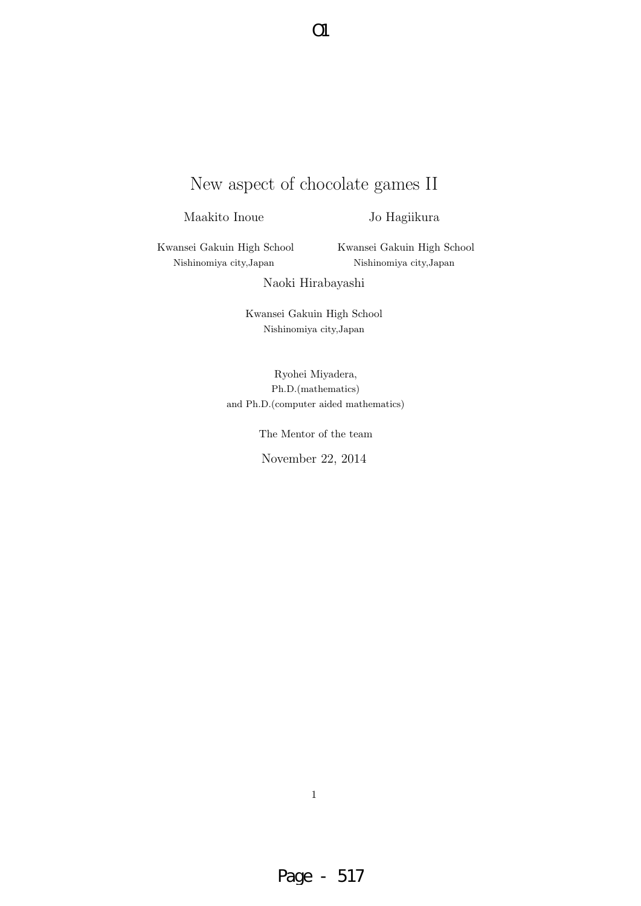# New aspect of chocolate games II

O1

Maakito Inoue

Jo Hagiikura

Kwansei Gakuin High School Nishinomiya city,Japan

Kwansei Gakuin High School Nishinomiya city,Japan

Naoki Hirabayashi

Kwansei Gakuin High School Nishinomiya city,Japan

Ryohei Miyadera, Ph.D.(mathematics) and Ph.D.(computer aided mathematics)

The Mentor of the team

November 22, 2014

1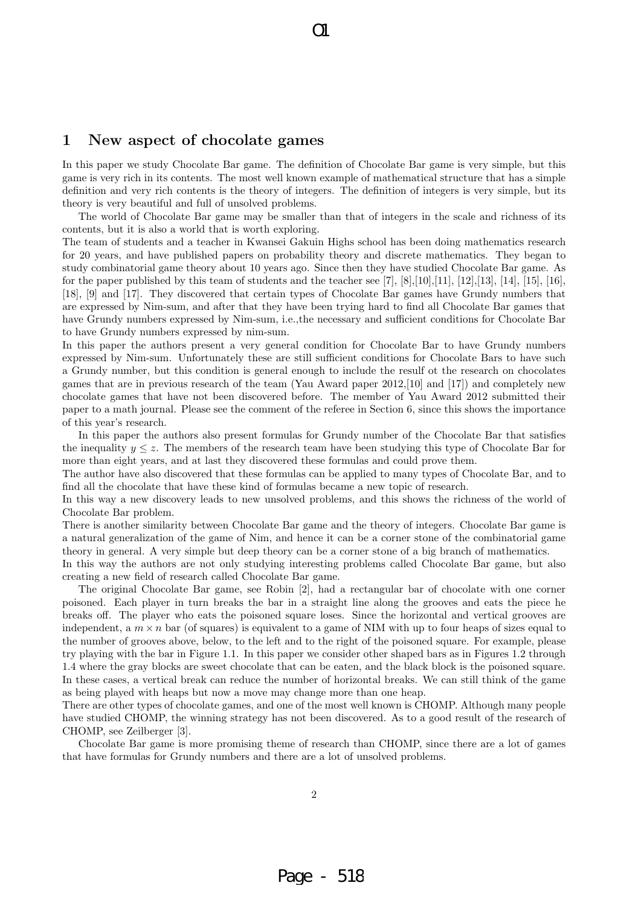# **1 New aspect of chocolate games**

In this paper we study Chocolate Bar game. The definition of Chocolate Bar game is very simple, but this game is very rich in its contents. The most well known example of mathematical structure that has a simple definition and very rich contents is the theory of integers. The definition of integers is very simple, but its theory is very beautiful and full of unsolved problems.

 $\Omega$ 

The world of Chocolate Bar game may be smaller than that of integers in the scale and richness of its contents, but it is also a world that is worth exploring.

The team of students and a teacher in Kwansei Gakuin Highs school has been doing mathematics research for 20 years, and have published papers on probability theory and discrete mathematics. They began to study combinatorial game theory about 10 years ago. Since then they have studied Chocolate Bar game. As for the paper published by this team of students and the teacher see [7], [8],[10],[11], [12],[13], [14], [15], [16], [18], [9] and [17]. They discovered that certain types of Chocolate Bar games have Grundy numbers that are expressed by Nim-sum, and after that they have been trying hard to find all Chocolate Bar games that have Grundy numbers expressed by Nim-sum, i.e.,the necessary and sufficient conditions for Chocolate Bar to have Grundy numbers expressed by nim-sum.

In this paper the authors present a very general condition for Chocolate Bar to have Grundy numbers expressed by Nim-sum. Unfortunately these are still sufficient conditions for Chocolate Bars to have such a Grundy number, but this condition is general enough to include the resulf ot the research on chocolates games that are in previous research of the team (Yau Award paper 2012,[10] and [17]) and completely new chocolate games that have not been discovered before. The member of Yau Award 2012 submitted their paper to a math journal. Please see the comment of the referee in Section 6, since this shows the importance of this year's research.

In this paper the authors also present formulas for Grundy number of the Chocolate Bar that satisfies the inequality  $y \leq z$ . The members of the research team have been studying this type of Chocolate Bar for more than eight years, and at last they discovered these formulas and could prove them.

The author have also discovered that these formulas can be applied to many types of Chocolate Bar, and to find all the chocolate that have these kind of formulas became a new topic of research.

In this way a new discovery leads to new unsolved problems, and this shows the richness of the world of Chocolate Bar problem.

There is another similarity between Chocolate Bar game and the theory of integers. Chocolate Bar game is a natural generalization of the game of Nim, and hence it can be a corner stone of the combinatorial game theory in general. A very simple but deep theory can be a corner stone of a big branch of mathematics.

In this way the authors are not only studying interesting problems called Chocolate Bar game, but also creating a new field of research called Chocolate Bar game.

The original Chocolate Bar game, see Robin [2], had a rectangular bar of chocolate with one corner poisoned. Each player in turn breaks the bar in a straight line along the grooves and eats the piece he breaks off. The player who eats the poisoned square loses. Since the horizontal and vertical grooves are independent, a  $m \times n$  bar (of squares) is equivalent to a game of NIM with up to four heaps of sizes equal to the number of grooves above, below, to the left and to the right of the poisoned square. For example, please try playing with the bar in Figure 1.1. In this paper we consider other shaped bars as in Figures 1.2 through 1.4 where the gray blocks are sweet chocolate that can be eaten, and the black block is the poisoned square. In these cases, a vertical break can reduce the number of horizontal breaks. We can still think of the game as being played with heaps but now a move may change more than one heap.

There are other types of chocolate games, and one of the most well known is CHOMP. Although many people have studied CHOMP, the winning strategy has not been discovered. As to a good result of the research of CHOMP, see Zeilberger [3].

Chocolate Bar game is more promising theme of research than CHOMP, since there are a lot of games that have formulas for Grundy numbers and there are a lot of unsolved problems.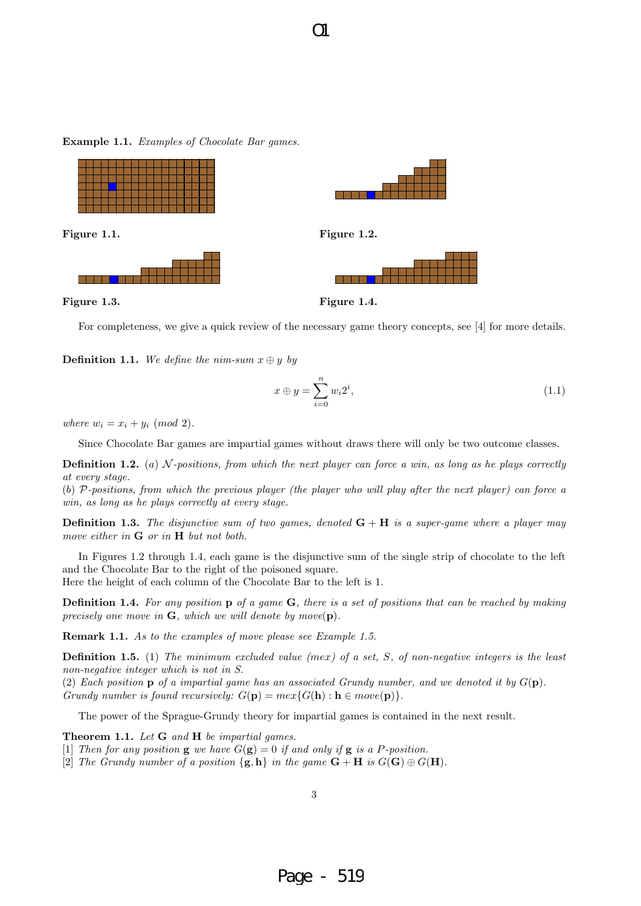**Figure 1.1. Figure 1.2.** 

**Example 1.1.** *Examples of Chocolate Bar games.*



**Figure 1.3. Figure 1.4.**

a da ba

For completeness, we give a quick review of the necessary game theory concepts, see [4] for more details.

**Definition 1.1.** *We define the nim-sum*  $x \oplus y$  *by* 

$$
x \oplus y = \sum_{i=0}^{n} w_i 2^i,
$$
\n
$$
(1.1)
$$

*where*  $w_i = x_i + y_i \pmod{2}$ .

Since Chocolate Bar games are impartial games without draws there will only be two outcome classes.

**Definition 1.2.** (*a*) *N -positions, from which the next player can force a win, as long as he plays correctly at every stage.*

(*b*) *P-positions, from which the previous player (the player who will play after the next player) can force a win, as long as he plays correctly at every stage.*

**Definition 1.3.** *The disjunctive sum of two games, denoted* **G** + **H** *is a super-game where a player may move either in* **G** *or in* **H** *but not both.*

In Figures 1.2 through 1.4, each game is the disjunctive sum of the single strip of chocolate to the left and the Chocolate Bar to the right of the poisoned square.

Here the height of each column of the Chocolate Bar to the left is 1.

**Definition 1.4.** *For any position* **p** *of a game* **G***, there is a set of positions that can be reached by making precisely one move in* **G***, which we will denote by move*(**p**)*.*

**Remark 1.1.** *As to the examples of move please see Example 1.5.*

**Definition 1.5.** (1) *The minimum excluded value (mex) of a set, S, of non-negative integers is the least non-negative integer which is not in S.*

(2) Each position **p** of a impartial game has an associated Grundy number, and we denoted it by  $G(\mathbf{p})$ . *Grundy number is found recursively:*  $G(\mathbf{p}) = \max\{G(\mathbf{h}) : \mathbf{h} \in \text{move}(\mathbf{p})\}$ .

The power of the Sprague-Grundy theory for impartial games is contained in the next result.

**Theorem 1.1.** *Let* **G** *and* **H** *be impartial games.*

[1] *Then for any position* **g** *we have*  $G(\mathbf{g}) = 0$  *if and only if* **g** *is a P-position.* 

[2] *The Grundy number of a position*  $\{g, h\}$  *in the game*  $G + H$  *is*  $G(G) \oplus G(H)$ *.* 

 $\Omega$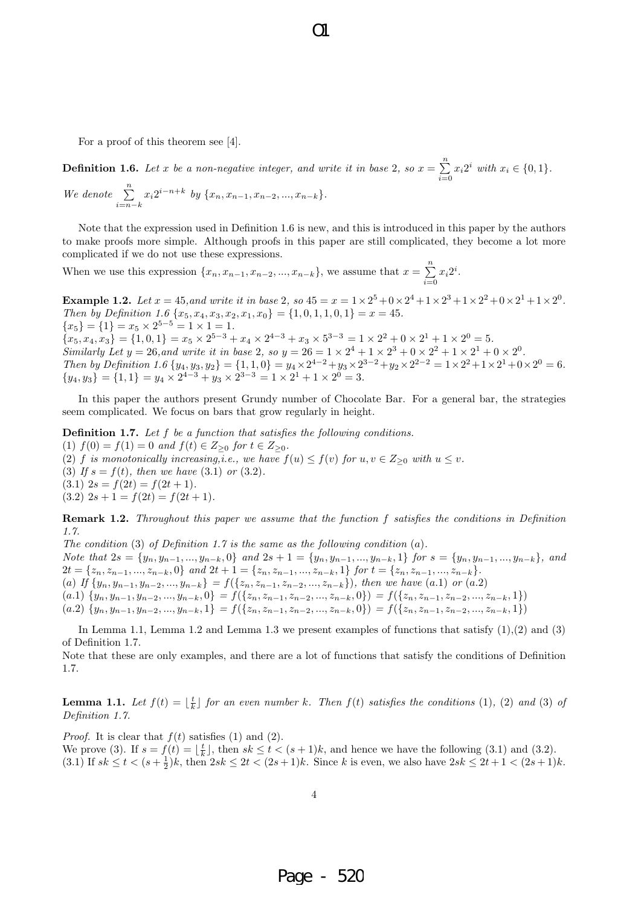For a proof of this theorem see [4].

**Definition 1.6.** *Let x be a non-negative integer, and write it in base* 2, so  $x = \sum^{n}$  $\sum_{i=0} x_i 2^i$  *with*  $x_i \in \{0, 1\}$ *. We denote*  $\sum_{n=1}^{\infty}$ *i*=*n−k*  $x_i 2^{i-n+k}$  *by*  $\{x_n, x_{n-1}, x_{n-2}, ..., x_{n-k}\}.$ 

 $\Omega$ 

Note that the expression used in Definition 1.6 is new, and this is introduced in this paper by the authors to make proofs more simple. Although proofs in this paper are still complicated, they become a lot more complicated if we do not use these expressions.

When we use this expression  $\{x_n, x_{n-1}, x_{n-2}, ..., x_{n-k}\}$ , we assume that  $x = \sum_{i=1}^n$  $\sum_{i=0} x_i 2^i$ .

**Example 1.2.** Let  $x = 45$ , and write it in base 2, so  $45 = x = 1 \times 2^5 + 0 \times 2^4 + 1 \times 2^3 + 1 \times 2^2 + 0 \times 2^1 + 1 \times 2^0$ . *Then by Definition 1.6*  $\{x_5, x_4, x_3, x_2, x_1, x_0\} = \{1, 0, 1, 1, 0, 1\} = x = 45$ .  ${x<sub>5</sub>} = {1} = {x<sub>5</sub> × 2<sup>5-5</sup> = 1 × 1 = 1.$  ${x_5, x_4, x_3} = {1, 0, 1} = x_5 \times 2^{5-3} + x_4 \times 2^{4-3} + x_3 \times 5^{3-3} = 1 \times 2^2 + 0 \times 2^1 + 1 \times 2^0 = 5.$ *Similarly Let*  $y = 26$ *, and write it in base* 2*, so*  $y = 26 = 1 \times 2^4 + 1 \times 2^3 + 0 \times 2^2 + 1 \times 2^1 + 0 \times 2^0$ *.* Then by Definition 1.6  $\{y_4, y_3, y_2\} = \{1, 1, 0\} = y_4 \times 2^{4-2} + y_3 \times 2^{3-2} + y_2 \times 2^{2-2} = 1 \times 2^2 + 1 \times 2^1 + 0 \times 2^0 = 6$ .  ${y_4, y_3} = {1, 1} = y_4 \times 2^{4-3} + y_3 \times 2^{3-3} = 1 \times 2^1 + 1 \times 2^0 = 3.$ 

In this paper the authors present Grundy number of Chocolate Bar. For a general bar, the strategies seem complicated. We focus on bars that grow regularly in height.

**Definition 1.7.** *Let f be a function that satisfies the following conditions.*  $f(1) f(0) = f(1) = 0$  *and*  $f(t) \in Z_{\geq 0}$  *for*  $t \in Z_{\geq 0}$ *.* (2) *f is monotonically increasing,i.e., we have*  $f(u) \leq f(v)$  *for*  $u, v \in Z_{\geq 0}$  *with*  $u \leq v$ *.* (3) If  $s = f(t)$ , then we have (3.1) or (3.2).  $(3.1)$   $2s = f(2t) = f(2t + 1)$ .  $(3.2)$   $2s + 1 = f(2t) = f(2t + 1)$ .

**Remark 1.2.** *Throughout this paper we assume that the function f satisfies the conditions in Definition 1.7.*

*The condition* (3) *of Definition 1.7 is the same as the following condition* (*a*)*.* Note that  $2s = \{y_n, y_{n-1}, ..., y_{n-k}, 0\}$  and  $2s + 1 = \{y_n, y_{n-1}, ..., y_{n-k}, 1\}$  for  $s = \{y_n, y_{n-1}, ..., y_{n-k}\}$ , and  $2t = \{z_n, z_{n-1}, ..., z_{n-k}, 0\}$  and  $2t + 1 = \{z_n, z_{n-1}, ..., z_{n-k}, 1\}$  for  $t = \{z_n, z_{n-1}, ..., z_{n-k}\}.$ (a) If  $\{y_n, y_{n-1}, y_{n-2}, ..., y_{n-k}\} = f(\{z_n, z_{n-1}, z_{n-2}, ..., z_{n-k}\}),$  then we have  $(a.1)$  or  $(a.2)$ (a.1)  $\{y_n, y_{n-1}, y_{n-2}, ..., y_{n-k}, 0\} = f(\{z_n, z_{n-1}, z_{n-2}, ..., z_{n-k}, 0\}) = f(\{z_n, z_{n-1}, z_{n-2}, ..., z_{n-k}, 1\})$  $(a.2) \{y_n, y_{n-1}, y_{n-2}, ..., y_{n-k}, 1\} = f(\{z_n, z_{n-1}, z_{n-2}, ..., z_{n-k}, 0\}) = f(\{z_n, z_{n-1}, z_{n-2}, ..., z_{n-k}, 1\})$ 

In Lemma 1.1, Lemma 1.2 and Lemma 1.3 we present examples of functions that satisfy (1),(2) and (3) of Definition 1.7.

Note that these are only examples, and there are a lot of functions that satisfy the conditions of Definition 1.7.

**Lemma 1.1.** Let  $f(t) = \lfloor \frac{t}{k} \rfloor$  for an even number k. Then  $f(t)$  satisfies the conditions (1), (2) and (3) of *Definition 1.7.*

*Proof.* It is clear that *f*(*t*) satisfies (1) and (2). We prove (3). If  $s = f(t) = \lfloor \frac{t}{k} \rfloor$ , then  $sk \le t < (s+1)k$ , and hence we have the following (3.1) and (3.2). (3.1) If  $sk \le t < (s + \frac{1}{2})k$ , then  $2sk \le 2t < (2s + 1)k$ . Since k is even, we also have  $2sk \le 2t + 1 < (2s + 1)k$ .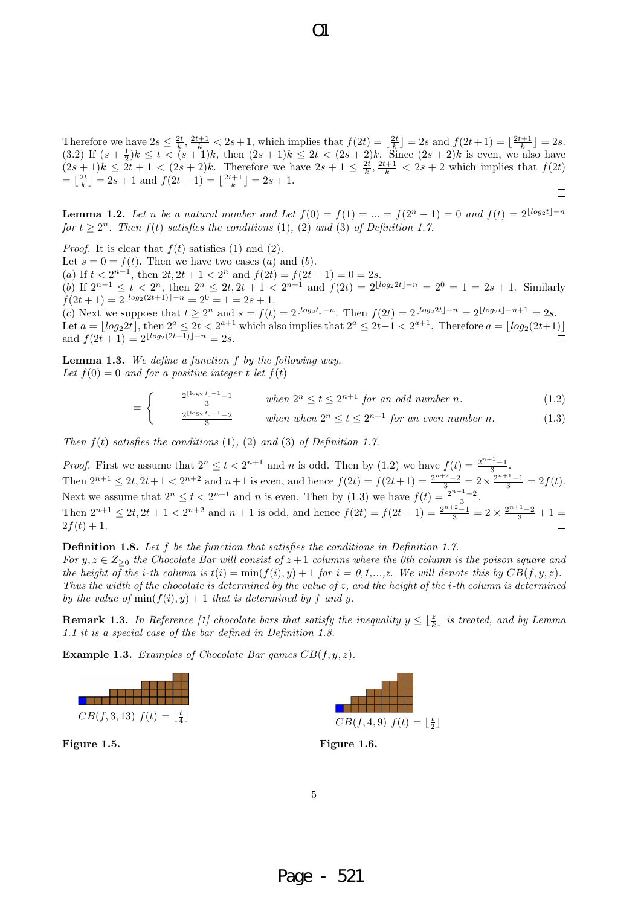Therefore we have  $2s \leq \frac{2t}{k}$ ,  $\frac{2t+1}{k} < 2s+1$ , which implies that  $f(2t) = \lfloor \frac{2t}{k} \rfloor = 2s$  and  $f(2t+1) = \lfloor \frac{2t+1}{k} \rfloor = 2s$ . (3.2) If  $(s + \frac{1}{2})k \le t < (s + 1)k$ , then  $(2s + 1)k \le 2t < (2s + 2)k$ . Since  $(2s + 2)k$  is even, we also have  $(2s+1)k \leq 2t+1 < (2s+2)k$ . Therefore we have  $2s+1 \leq \frac{2t}{k}, \frac{2t+1}{k} < 2s+2$  which implies that  $f(2t)$  $= \lfloor \frac{2t}{k} \rfloor = 2s + 1$  and  $f(2t + 1) = \lfloor \frac{2t+1}{k} \rfloor = 2s + 1$ .  $\Box$ 

**Lemma 1.2.** Let n be a natural number and Let  $f(0) = f(1) = ... = f(2^{n} - 1) = 0$  and  $f(t) = 2^{\lfloor log_2 t \rfloor - n}$ *for*  $t \geq 2^n$ *. Then*  $f(t)$  *satisfies the conditions* (1)*,* (2) *and* (3) *of Definition 1.7.* 

*Proof.* It is clear that  $f(t)$  satisfies (1) and (2).

Let  $s = 0 = f(t)$ . Then we have two cases (*a*) and (*b*).

 $(a)$  If  $t < 2^{n-1}$ , then  $2t$ ,  $2t + 1 < 2^n$  and  $f(2t) = f(2t + 1) = 0 = 2s$ . (b) If  $2^{n-1} \le t < 2^n$ , then  $2^n \le 2t, 2t + 1 < 2^{n+1}$  and  $f(2t) = 2^{\lfloor \log_2 2t \rfloor - n} = 2^0 = 1 = 2s + 1$ . Similarly  $f(2t+1) = 2^{\lfloor log_2(2t+1) \rfloor - n} = 2^0 = 1 = 2s + 1.$ 

(c) Next we suppose that  $t \geq 2^n$  and  $s = f(t) = 2^{\lfloor log_2 t \rfloor - n}$ . Then  $f(2t) = 2^{\lfloor log_2 2t \rfloor - n} = 2^{\lfloor log_2 t \rfloor - n + 1} = 2s$ . Let  $a = \lfloor log_2 2t \rfloor$ , then  $2^a \leq 2t < 2^{a+1}$  which also implies that  $2^a \leq 2t+1 < 2^{a+1}$ . Therefore  $a = \lfloor log_2(2t+1) \rfloor$ and  $f(2t+1) = 2^{\lfloor log_2(2t+1)\rfloor - n} = 2s$ .  $\Box$ 

**Lemma 1.3.** *We define a function f by the following way.* Let  $f(0) = 0$  and for a positive integer *t* let  $f(t)$ 

> =  $\int \frac{2^{\lfloor \log_2 t \rfloor + 1} - 1}{3}$  *when*  $2^n \le t \le 2^{n+1}$  *for an odd number n.* (1.2)

$$
\frac{2^{\lfloor \log_2 t \rfloor + 1} - 2}{3} \quad \text{when when } 2^n \le t \le 2^{n+1} \text{ for an even number } n. \tag{1.3}
$$

*Then f*(*t*) *satisfies the conditions* (1)*,* (2) *and* (3) *of Definition 1.7.*

*Proof.* First we assume that  $2^n \le t < 2^{n+1}$  and *n* is odd. Then by (1.2) we have  $f(t) = \frac{2^{n+1}-1}{3}$ . Then  $2^{n+1} \le 2t, 2t+1 < 2^{n+2}$  and  $n+1$  is even, and hence  $f(2t) = f(2t+1) = \frac{2^{n+2}-2}{3} = 2 \times \frac{2^{n+1}-1}{3} = 2f(t)$ . Next we assume that  $2^n \le t < 2^{n+1}$  and *n* is even. Then by (1.3) we have  $f(t) = \frac{2^{n+1}-2}{3}$ . Then  $2^{n+1} \le 2t$ ,  $2t + 1 < 2^{n+2}$  and  $n+1$  is odd, and hence  $f(2t) = f(2t + 1) = \frac{2^{n+2}-1}{3} = 2 \times \frac{2^{n+1}-2}{3} + 1 =$  $2f(t) + 1.$ 

**Definition 1.8.** *Let f be the function that satisfies the conditions in Definition 1.7. For*  $y, z \in Z_{\geq 0}$  *the Chocolate Bar will consist of*  $z + 1$  *columns where the 0th column is the poison square and the height of the i-th column is*  $t(i) = \min(f(i), y) + 1$  *for*  $i = 0, 1, \ldots, z$ . We will denote this by  $CB(f, y, z)$ . *Thus the width of the chocolate is determined by the value of z, and the height of the i-th column is determined by the value of* min( $f(i)$ *, y*) + 1 *that is determined by f and y.* 

**Remark 1.3.** *In Reference* [1] chocolate bars that satisfy the inequality  $y \leq \lfloor \frac{z}{k} \rfloor$  is treated, and by Lemma *1.1 it is a special case of the bar defined in Definition 1.8.*

**Example 1.3.** *Examples of Chocolate Bar games CB*(*f, y, z*)*.*



**Figure 1.5.**





 $\Omega$ 

5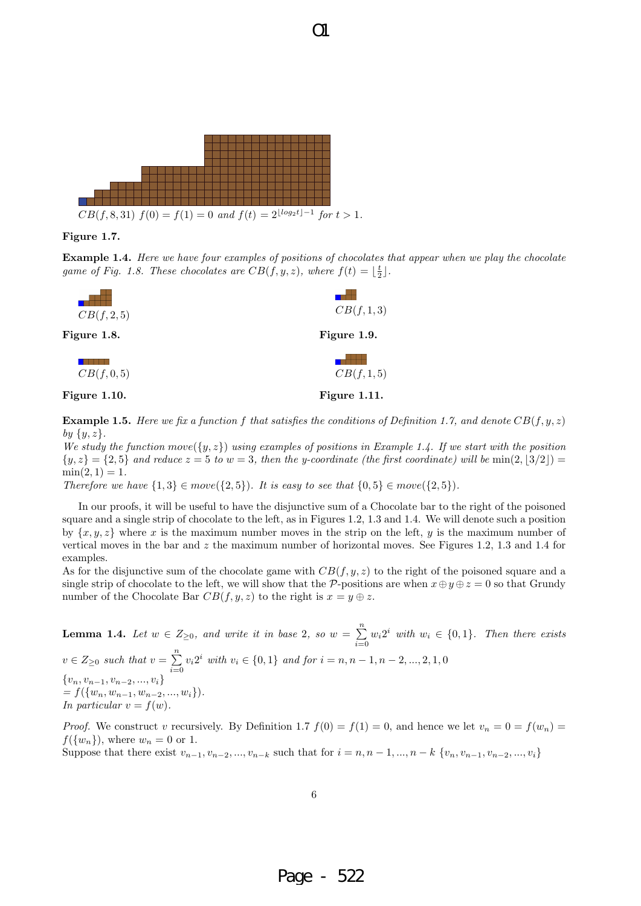

#### **Figure 1.7.**

**Example 1.4.** *Here we have four examples of positions of chocolates that appear when we play the chocolate game of Fig. 1.8. These chocolates are*  $CB(f, y, z)$ *, where*  $f(t) = \lfloor \frac{t}{2} \rfloor$ .

 $\Omega$ 



**Example 1.5.** Here we fix a function f that satisfies the conditions of Definition 1.7, and denote  $CB(f, y, z)$ *by {y, z}.*

*We study the function*  $move({y, z})$  *using examples of positions in Example 1.4. If we start with the position*  $\{y, z\} = \{2, 5\}$  *and reduce*  $z = 5$  *to*  $w = 3$ *, then the y-coordinate (the first coordinate) will be* min $(2, |3/2|)$  $\min(2, 1) = 1.$ 

*Therefore we have*  $\{1,3\} \in move(\{2,5\})$ *. It is easy to see that*  $\{0,5\} \in move(\{2,5\})$ *.* 

In our proofs, it will be useful to have the disjunctive sum of a Chocolate bar to the right of the poisoned square and a single strip of chocolate to the left, as in Figures 1.2, 1.3 and 1.4. We will denote such a position by  $\{x, y, z\}$  where *x* is the maximum number moves in the strip on the left, *y* is the maximum number of vertical moves in the bar and *z* the maximum number of horizontal moves. See Figures 1.2, 1.3 and 1.4 for examples.

As for the disjunctive sum of the chocolate game with  $CB(f, y, z)$  to the right of the poisoned square and a single strip of chocolate to the left, we will show that the *P*-positions are when  $x \oplus y \oplus z = 0$  so that Grundy number of the Chocolate Bar  $CB(f, y, z)$  to the right is  $x = y \oplus z$ .

**Lemma 1.4.** *Let*  $w \in Z_{\geq 0}$ *, and write it in base* 2*, so*  $w = \sum_{i=1}^{n}$  $\sum_{i=0}^{n} w_i 2^i$  *with*  $w_i \in \{0, 1\}$ *. Then there exists*  $v \in Z_{\geq 0}$  *such that*  $v = \sum_{i=0}^{n}$  $\sum_{i=0}^{n} v_i 2^i$  *with*  $v_i \in \{0, 1\}$  *and for*  $i = n, n - 1, n - 2, ..., 2, 1, 0$ *{vn, v<sup>n</sup>−*<sup>1</sup>*, v<sup>n</sup>−*<sup>2</sup>*, ..., vi} = f*(*{wn, w<sup>n</sup>−*<sup>1</sup>*, w<sup>n</sup>−*<sup>2</sup>*, ..., wi}*)*. In particular*  $v = f(w)$ *.* 

*Proof.* We construct *v* recursively. By Definition 1.7  $f(0) = f(1) = 0$ , and hence we let  $v_n = 0 = f(w_n) =$  $f(\lbrace w_n \rbrace)$ , where  $w_n = 0$  or 1.

Suppose that there exist  $v_{n-1}, v_{n-2}, ..., v_{n-k}$  such that for  $i = n, n-1, ..., n-k$   $\{v_n, v_{n-1}, v_{n-2}, ..., v_i\}$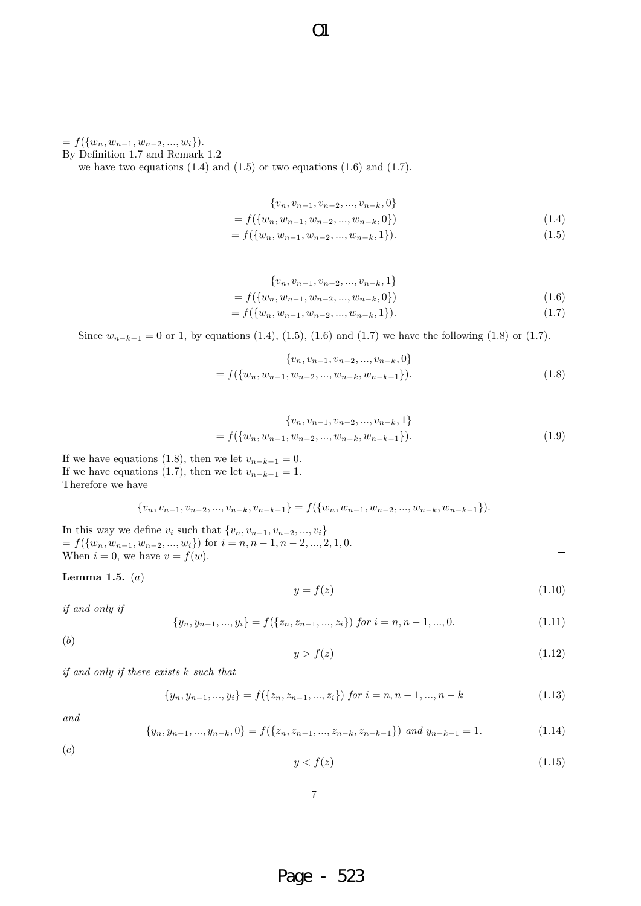$= f({w_n, w_{n-1}, w_{n-2}, ..., w_i}).$ 

By Definition 1.7 and Remark 1.2

we have two equations  $(1.4)$  and  $(1.5)$  or two equations  $(1.6)$  and  $(1.7)$ .

$$
\{v_n, v_{n-1}, v_{n-2}, ..., v_{n-k}, 0\}
$$

$$
= f({wn, wn-1, wn-2, ..., wn-k, 0})
$$
\n(1.4)

$$
= f({wn, wn-1, wn-2, ..., wn-k, 1}).
$$
\n(1.5)

$$
\{v_n, v_{n-1}, v_{n-2}, \dots, v_{n-k}, 1\}
$$
\n
$$
= f(\{w_n, w_{n-1}, w_{n-2}, \dots, w_{n-k}, 0\})
$$
\n
$$
= f(\{w_n, w_{n-1}, w_{n-2}, \dots, w_{n-k}, 1\}).
$$
\n(1.6)

Since  $w_{n-k-1} = 0$  or 1, by equations (1.4), (1.5), (1.6) and (1.7) we have the following (1.8) or (1.7).

 $\overline{O}1$ 

$$
\{v_n, v_{n-1}, v_{n-2}, \dots, v_{n-k}, 0\}
$$
  
=  $f(\{w_n, w_{n-1}, w_{n-2}, \dots, w_{n-k}, w_{n-k-1}\}).$  (1.8)

$$
\{v_n, v_{n-1}, v_{n-2}, \dots, v_{n-k}, 1\}
$$

$$
= f(\{w_n, w_{n-1}, w_{n-2}, \dots, w_{n-k}, w_{n-k-1}\}).
$$
(1.9)

If we have equations (1.8), then we let  $v_{n-k-1} = 0$ . If we have equations (1.7), then we let  $v_{n-k-1} = 1$ . Therefore we have

$$
\{v_n, v_{n-1}, v_{n-2}, \ldots, v_{n-k}, v_{n-k-1}\} = f(\{w_n, w_{n-1}, w_{n-2}, \ldots, w_{n-k}, w_{n-k-1}\}).
$$

In this way we define  $v_i$  such that  $\{v_n, v_{n-1}, v_{n-2}, ..., v_i\}$ = *f*(*{wn, w<sup>n</sup>−*<sup>1</sup>*, w<sup>n</sup>−*<sup>2</sup>*, ..., wi}*) for *i* = *n, n −* 1*, n −* 2*, ...,* 2*,* 1*,* 0. When  $i = 0$ , we have  $v = f(w)$ .

**Lemma 1.5.** (*a*)

$$
y = f(z) \tag{1.10}
$$

 $\Box$ 

*if and only if*

$$
\{y_n, y_{n-1}, ..., y_i\} = f(\{z_n, z_{n-1}, ..., z_i\}) \text{ for } i = n, n-1, ..., 0. \tag{1.11}
$$

(*b*)

$$
y > f(z) \tag{1.12}
$$

*if and only if there exists k such that*

$$
\{y_n, y_{n-1}, ..., y_i\} = f(\{z_n, z_{n-1}, ..., z_i\}) \text{ for } i = n, n-1, ..., n-k
$$
 (1.13)

*and*

$$
\{y_n, y_{n-1}, \dots, y_{n-k}, 0\} = f(\{z_n, z_{n-1}, \dots, z_{n-k}, z_{n-k-1}\}) \text{ and } y_{n-k-1} = 1. \tag{1.14}
$$

(*c*)

$$
y < f(z) \tag{1.15}
$$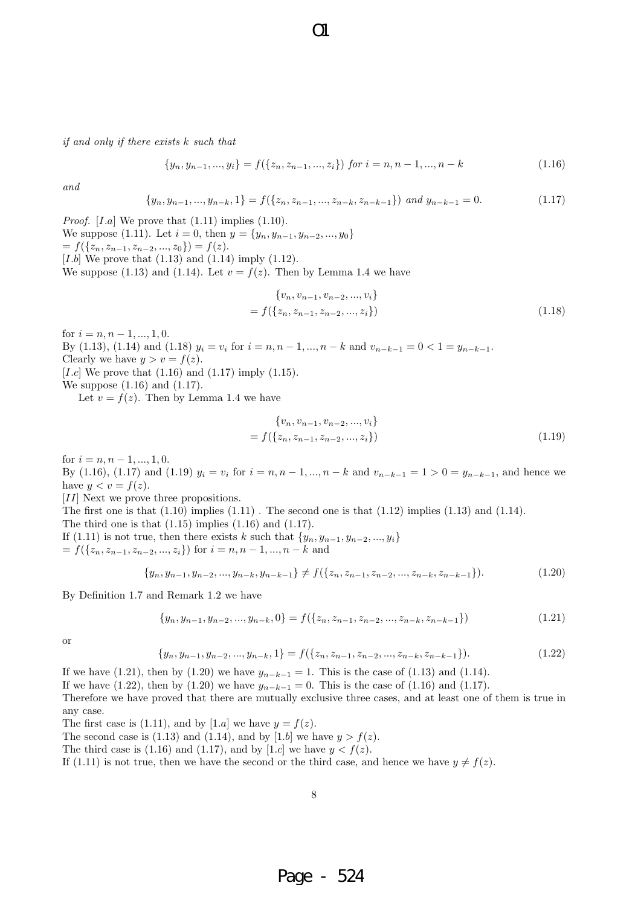*if and only if there exists k such that*

$$
\{y_n, y_{n-1}, ..., y_i\} = f(\{z_n, z_{n-1}, ..., z_i\}) \text{ for } i = n, n-1, ..., n-k
$$
 (1.16)

*and*

$$
\{y_n, y_{n-1}, ..., y_{n-k}, 1\} = f(\{z_n, z_{n-1}, ..., z_{n-k}, z_{n-k-1}\}) \text{ and } y_{n-k-1} = 0. \tag{1.17}
$$

 $\Omega$ 

*Proof.* [*I.a*] We prove that  $(1.11)$  implies  $(1.10)$ .

We suppose (1.11). Let  $i = 0$ , then  $y = \{y_n, y_{n-1}, y_{n-2}, ..., y_0\}$ 

 $= f(\{z_n, z_{n-1}, z_{n-2}, ..., z_0\}) = f(z).$ 

[*I.b*] We prove that (1.13) and (1.14) imply (1.12).

We suppose (1.13) and (1.14). Let  $v = f(z)$ . Then by Lemma 1.4 we have

$$
\{v_n, v_{n-1}, v_{n-2}, ..., v_i\}
$$
  
=  $f(\{z_n, z_{n-1}, z_{n-2}, ..., z_i\})$  (1.18)

for  $i = n, n - 1, ..., 1, 0$ .

By (1.13), (1.14) and (1.18)  $y_i = v_i$  for  $i = n, n - 1, ..., n - k$  and  $v_{n-k-1} = 0 < 1 = y_{n-k-1}$ . Clearly we have  $y > v = f(z)$ .

[*I.c*] We prove that (1.16) and (1.17) imply (1.15).

We suppose (1.16) and (1.17).

Let  $v = f(z)$ . Then by Lemma 1.4 we have

$$
\{v_n, v_{n-1}, v_{n-2}, \dots, v_i\}
$$
  
=  $f(\{z_n, z_{n-1}, z_{n-2}, \dots, z_i\})$  (1.19)

for  $i = n, n - 1, ..., 1, 0$ .

By (1.16), (1.17) and (1.19)  $y_i = v_i$  for  $i = n, n - 1, ..., n - k$  and  $v_{n-k-1} = 1 > 0 = y_{n-k-1}$ , and hence we have  $y < v = f(z)$ .

[*II*] Next we prove three propositions.

The first one is that  $(1.10)$  implies  $(1.11)$ . The second one is that  $(1.12)$  implies  $(1.13)$  and  $(1.14)$ .

The third one is that  $(1.15)$  implies  $(1.16)$  and  $(1.17)$ .

If (1.11) is not true, then there exists *k* such that  $\{y_n, y_{n-1}, y_{n-2}, ..., y_i\}$ = *f*(*{zn, z<sup>n</sup>−*<sup>1</sup>*, z<sup>n</sup>−*<sup>2</sup>*, ..., zi}*) for *i* = *n, n −* 1*, ..., n − k* and

$$
\{y_n, y_{n-1}, y_{n-2}, ..., y_{n-k}, y_{n-k-1}\} \neq f(\{z_n, z_{n-1}, z_{n-2}, ..., z_{n-k}, z_{n-k-1}\}).
$$
\n(1.20)

By Definition 1.7 and Remark 1.2 we have

$$
\{y_n, y_{n-1}, y_{n-2}, ..., y_{n-k}, 0\} = f(\{z_n, z_{n-1}, z_{n-2}, ..., z_{n-k}, z_{n-k-1}\})
$$
\n(1.21)

or

$$
\{y_n, y_{n-1}, y_{n-2}, \dots, y_{n-k}, 1\} = f(\{z_n, z_{n-1}, z_{n-2}, \dots, z_{n-k}, z_{n-k-1}\}).
$$
\n(1.22)

If we have (1.21), then by (1.20) we have  $y_{n-k-1} = 1$ . This is the case of (1.13) and (1.14).

If we have (1.22), then by (1.20) we have  $y_{n-k-1} = 0$ . This is the case of (1.16) and (1.17).

Therefore we have proved that there are mutually exclusive three cases, and at least one of them is true in any case.

The first case is (1.11), and by [1.a] we have  $y = f(z)$ .

The second case is (1.13) and (1.14), and by [1.b] we have  $y > f(z)$ .

The third case is (1.16) and (1.17), and by [1.c] we have  $y < f(z)$ .

If (1.11) is not true, then we have the second or the third case, and hence we have  $y \neq f(z)$ .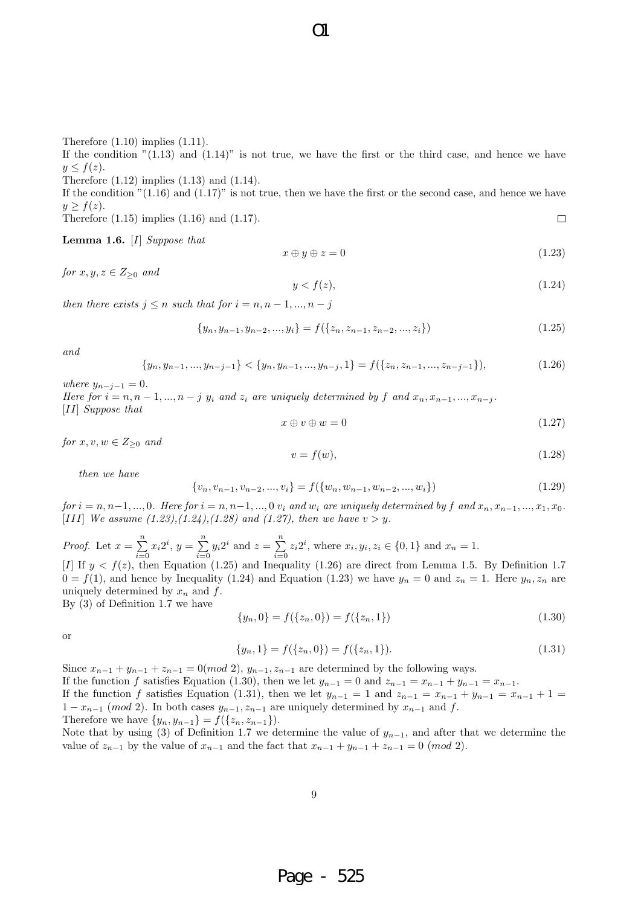Therefore  $(1.10)$  implies  $(1.11)$ .

If the condition  $(1.13)$  and  $(1.14)$ " is not true, we have the first or the third case, and hence we have  $y \leq f(z)$ .

Therefore (1.12) implies (1.13) and (1.14).

If the condition  $(1.16)$  and  $(1.17)$ " is not true, then we have the first or the second case, and hence we have  $y \geq f(z)$ .  $\Box$ 

Therefore (1.15) implies (1.16) and (1.17).

**Lemma 1.6.** [*I*] *Suppose that*

$$
x \oplus y \oplus z = 0 \tag{1.23}
$$

*for*  $x, y, z \in Z_{\geq 0}$  *and* 

$$
y < f(z),\tag{1.24}
$$

*then there exists*  $j \leq n$  *such that for*  $i = n, n - 1, ..., n - j$ 

$$
\{y_n, y_{n-1}, y_{n-2}, ..., y_i\} = f(\{z_n, z_{n-1}, z_{n-2}, ..., z_i\})
$$
\n(1.25)

*and*

$$
\{y_n, y_{n-1}, \dots, y_{n-j-1}\} < \{y_n, y_{n-1}, \dots, y_{n-j}, 1\} = f(\{z_n, z_{n-1}, \dots, z_{n-j-1}\}),\tag{1.26}
$$

*where*  $y_{n-j-1} = 0$ *.* 

Here for  $i = n, n-1, ..., n-j$   $y_i$  and  $z_i$  are uniquely determined by f and  $x_n, x_{n-1}, ..., x_{n-j}$ . [*II*] *Suppose that*

$$
x \oplus v \oplus w = 0 \tag{1.27}
$$

*for*  $x, v, w \in Z_{\geq 0}$  *and* 

$$
v = f(w),\tag{1.28}
$$

*then we have*

$$
\{v_n, v_{n-1}, v_{n-2}, ..., v_i\} = f(\{w_n, w_{n-1}, w_{n-2}, ..., w_i\})
$$
\n(1.29)

for  $i = n, n-1, ..., 0$ . Here for  $i = n, n-1, ..., 0$   $v_i$  and  $w_i$  are uniquely determined by f and  $x_n, x_{n-1}, ..., x_1, x_0$ . [*III*] *We assume*  $(1.23)$ *,* $(1.24)$ *,* $(1.28)$  *and*  $(1.27)$ *, then we have*  $v > y$ *.* 

*Proof.* Let  $x = \sum_{n=1}^{\infty}$  $\sum_{i=0}^{n} x_i 2^i, y = \sum_{i=0}^{n}$  $\sum_{i=0}^{n} y_i 2^i$  and  $z = \sum_{i=0}^{n}$  $\sum_{i=0}^{n} z_i 2^i$ , where  $x_i, y_i, z_i \in \{0, 1\}$  and  $x_n = 1$ . [*I*] If  $y < f(z)$ , then Equation (1.25) and Inequality (1.26) are direct from Lemma 1.5. By Definition 1.7  $0 = f(1)$ , and hence by Inequality (1.24) and Equation (1.23) we have  $y_n = 0$  and  $z_n = 1$ . Here  $y_n, z_n$  are uniquely determined by *x<sup>n</sup>* and *f*.

By (3) of Definition 1.7 we have

$$
\{y_n, 0\} = f(\{z_n, 0\}) = f(\{z_n, 1\})
$$
\n(1.30)

or

$$
\{y_n, 1\} = f(\{z_n, 0\}) = f(\{z_n, 1\}).\tag{1.31}
$$

Since  $x_{n-1} + y_{n-1} + z_{n-1} = 0 \pmod{2}$ ,  $y_{n-1}, z_{n-1}$  are determined by the following ways.

If the function *f* satisfies Equation (1.30), then we let  $y_{n-1} = 0$  and  $z_{n-1} = x_{n-1} + y_{n-1} = x_{n-1}$ .

If the function *f* satisfies Equation (1.31), then we let  $y_{n-1} = 1$  and  $z_{n-1} = x_{n-1} + y_{n-1} = x_{n-1} + 1 =$ 1 −  $x_{n-1}$  (*mod* 2). In both cases  $y_{n-1}, z_{n-1}$  are uniquely determined by  $x_{n-1}$  and  $f$ .

Therefore we have  $\{y_n, y_{n-1}\} = f(\{z_n, z_{n-1}\}).$ 

Note that by using (3) of Definition 1.7 we determine the value of *y<sup>n</sup>−*<sup>1</sup>, and after that we determine the value of  $z_{n-1}$  by the value of  $x_{n-1}$  and the fact that  $x_{n-1} + y_{n-1} + z_{n-1} = 0 \pmod{2}$ .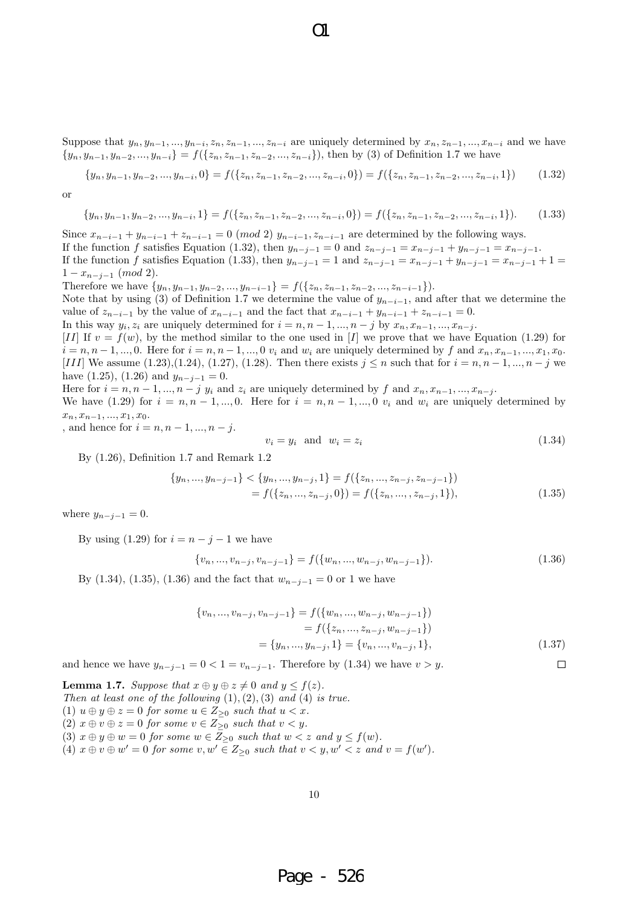Suppose that  $y_n, y_{n-1}, ..., y_{n-i}, z_n, z_{n-1}, ..., z_{n-i}$  are uniquely determined by  $x_n, z_{n-1}, ..., x_{n-i}$  and we have  $\{y_n, y_{n-1}, y_{n-2}, ..., y_{n-i}\} = f(\{z_n, z_{n-1}, z_{n-2}, ..., z_{n-i}\}),$  then by (3) of Definition 1.7 we have

 $\Omega$ 

$$
\{y_n, y_{n-1}, y_{n-2}, ..., y_{n-i}, 0\} = f(\{z_n, z_{n-1}, z_{n-2}, ..., z_{n-i}, 0\}) = f(\{z_n, z_{n-1}, z_{n-2}, ..., z_{n-i}, 1\})
$$
(1.32)

$$
\alpha
$$

$$
\{y_n, y_{n-1}, y_{n-2}, ..., y_{n-i}, 1\} = f(\{z_n, z_{n-1}, z_{n-2}, ..., z_{n-i}, 0\}) = f(\{z_n, z_{n-1}, z_{n-2}, ..., z_{n-i}, 1\}).
$$
 (1.33)

Since  $x_{n-i-1} + y_{n-i-1} + z_{n-i-1} = 0 \pmod{2}$   $y_{n-i-1}, z_{n-i-1}$  are determined by the following ways. If the function f satisfies Equation (1.32), then  $y_{n-j-1} = 0$  and  $z_{n-j-1} = x_{n-j-1} + y_{n-j-1} = x_{n-j-1}$ . If the function f satisfies Equation (1.33), then  $y_{n-j-1} = 1$  and  $z_{n-j-1} = x_{n-j-1} + y_{n-j-1} = x_{n-j-1} + 1 =$ 1 *− x<sup>n</sup>−j−*<sup>1</sup> (*mod* 2). Therefore we have  $\{y_n, y_{n-1}, y_{n-2}, ..., y_{n-i-1}\} = f(\{z_n, z_{n-1}, z_{n-2}, ..., z_{n-i-1}\}).$ 

Note that by using (3) of Definition 1.7 we determine the value of  $y_{n-i-1}$ , and after that we determine the value of  $z_{n-i-1}$  by the value of  $x_{n-i-1}$  and the fact that  $x_{n-i-1} + y_{n-i-1} + z_{n-i-1} = 0$ .

In this way  $y_i, z_i$  are uniquely determined for  $i = n, n - 1, ..., n - j$  by  $x_n, x_{n-1}, ..., x_{n-j}$ .

[*II*] If  $v = f(w)$ , by the method similar to the one used in [*I*] we prove that we have Equation (1.29) for  $i = n, n-1, \dots, 0$ . Here for  $i = n, n-1, \dots, 0$   $v_i$  and  $w_i$  are uniquely determined by f and  $x_n, x_{n-1}, \dots, x_1, x_0$ . [*III*] We assume (1.23),(1.24), (1.27), (1.28). Then there exists  $j \leq n$  such that for  $i = n, n - 1, ..., n - j$  we have (1.25), (1.26) and  $y_{n-j-1} = 0$ .

Here for  $i = n, n-1, ..., n-j$   $y_i$  and  $z_i$  are uniquely determined by f and  $x_n, x_{n-1}, ..., x_{n-j}$ .

We have (1.29) for  $i = n, n-1, \ldots, 0$ . Here for  $i = n, n-1, \ldots, 0$   $v_i$  and  $w_i$  are uniquely determined by *xn, x<sup>n</sup>−*<sup>1</sup>*, ..., x*1*, x*0.

, and hence for  $i = n, n - 1, ..., n - j$ .

$$
v_i = y_i \quad \text{and} \quad w_i = z_i \tag{1.34}
$$

By (1.26), Definition 1.7 and Remark 1.2

$$
\{y_n, ..., y_{n-j-1}\} < \{y_n, ..., y_{n-j}, 1\} = f(\{z_n, ..., z_{n-j}, z_{n-j-1}\})
$$
  
=  $f(\{z_n, ..., z_{n-j}, 0\}) = f(\{z_n, ..., z_{n-j}, 1\}),$  (1.35)

where  $y_{n-j-1} = 0$ .

By using (1.29) for  $i = n - j - 1$  we have

$$
\{v_n, \ldots, v_{n-j}, v_{n-j-1}\} = f(\{w_n, \ldots, w_{n-j}, w_{n-j-1}\}). \tag{1.36}
$$

By (1.34), (1.35), (1.36) and the fact that  $w_{n-j-1} = 0$  or 1 we have

$$
\{v_n, ..., v_{n-j}, v_{n-j-1}\} = f(\{w_n, ..., w_{n-j}, w_{n-j-1}\})
$$

$$
= f(\{z_n, ..., z_{n-j}, w_{n-j-1}\})
$$

$$
= \{y_n, ..., y_{n-j}, 1\} = \{v_n, ..., v_{n-j}, 1\},
$$
(1.37)

 $\Box$ and hence we have  $y_{n-j-1} = 0 < 1 = v_{n-j-1}$ . Therefore by (1.34) we have  $v > y$ .

**Lemma 1.7.** *Suppose that*  $x \oplus y \oplus z \neq 0$  *and*  $y \leq f(z)$ *. Then at least one of the following* (1)*,*(2)*,*(3) *and* (4) *is true.* (1)  $u \oplus y \oplus z = 0$  *for some*  $u \in Z_{\geq 0}$  *such that*  $u < x$ *.*  $(2)$   $x \oplus v \oplus z = 0$  *for some*  $v \in Z_{\geq 0}$  *such that*  $v < y$ *.* (3)  $x \oplus y \oplus w = 0$  *for some*  $w \in Z_{\geq 0}$  *such that*  $w < z$  *and*  $y \leq f(w)$ *.* (4)  $x \oplus v \oplus w' = 0$  for some  $v, w' \in Z_{\geq 0}$  such that  $v < y, w' < z$  and  $v = f(w')$ .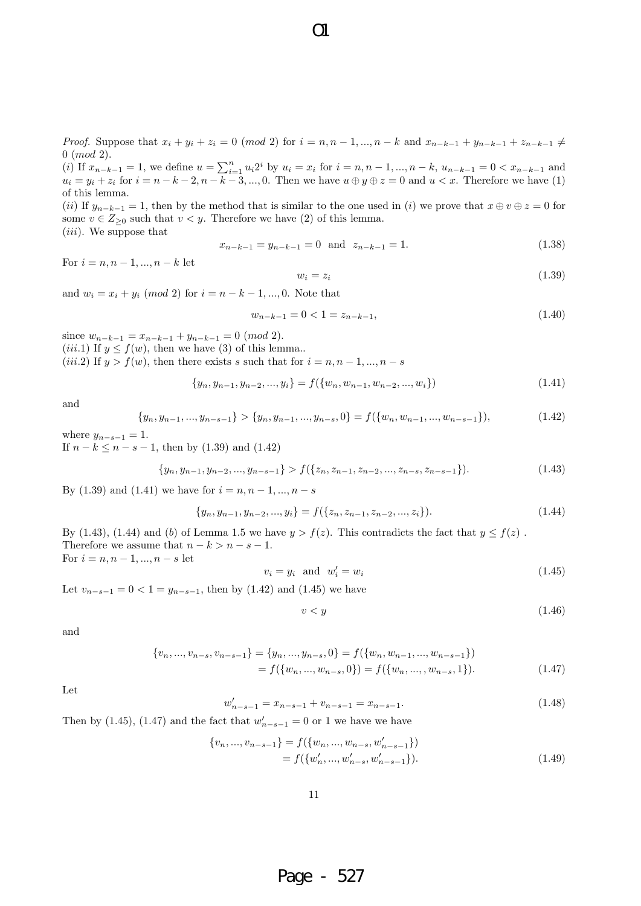*Proof.* Suppose that  $x_i + y_i + z_i = 0$  (mod 2) for  $i = n, n - 1, ..., n - k$  and  $x_{n-k-1} + y_{n-k-1} + z_{n-k-1} \neq 0$ 0 (*mod* 2).

(i) If  $x_{n-k-1} = 1$ , we define  $u = \sum_{i=1}^{n} u_i 2^i$  by  $u_i = x_i$  for  $i = n, n-1, ..., n-k$ ,  $u_{n-k-1} = 0 < x_{n-k-1}$  and  $u_i = y_i + z_i$  for  $i = n - k - 2, n - k - 3, ..., 0$ . Then we have  $u \oplus y \oplus z = 0$  and  $u < x$ . Therefore we have (1) of this lemma.

(*ii*) If  $y_{n-k-1} = 1$ , then by the method that is similar to the one used in (*i*) we prove that  $x \oplus v \oplus z = 0$  for some  $v \in Z_{\geq 0}$  such that  $v \lt y$ . Therefore we have (2) of this lemma.

(*iii*). We suppose that

$$
x_{n-k-1} = y_{n-k-1} = 0 \text{ and } z_{n-k-1} = 1.
$$
 (1.38)

For  $i = n, n - 1, ..., n - k$  let

$$
w_i = z_i \tag{1.39}
$$

and  $w_i = x_i + y_i \pmod{2}$  for  $i = n - k - 1, ..., 0$ . Note that

$$
w_{n-k-1} = 0 < 1 = z_{n-k-1},\tag{1.40}
$$

since  $w_{n-k-1} = x_{n-k-1} + y_{n-k-1} = 0$  (*mod* 2). (*iii.*1) If  $y \le f(w)$ , then we have (3) of this lemma... (*iii.*2) If  $y > f(w)$ , then there exists *s* such that for  $i = n, n - 1, ..., n - s$ 

$$
\{y_n, y_{n-1}, y_{n-2}, ..., y_i\} = f(\{w_n, w_{n-1}, w_{n-2}, ..., w_i\})
$$
\n(1.41)

and

$$
\{y_n, y_{n-1}, \dots, y_{n-s-1}\} > \{y_n, y_{n-1}, \dots, y_{n-s}, 0\} = f(\{w_n, w_{n-1}, \dots, w_{n-s-1}\}),
$$
\n(1.42)

where  $y_{n-s-1} = 1$ . If  $n - k \le n - s - 1$ , then by (1.39) and (1.42)

$$
\{y_n, y_{n-1}, y_{n-2}, \dots, y_{n-s-1}\} > f(\{z_n, z_{n-1}, z_{n-2}, \dots, z_{n-s}, z_{n-s-1}\}).
$$
\n(1.43)

By (1.39) and (1.41) we have for  $i = n, n - 1, ..., n - s$ 

$$
\{y_n, y_{n-1}, y_{n-2}, ..., y_i\} = f(\{z_n, z_{n-1}, z_{n-2}, ..., z_i\}).
$$
\n(1.44)

By (1.43), (1.44) and (*b*) of Lemma 1.5 we have  $y > f(z)$ . This contradicts the fact that  $y \le f(z)$ . Therefore we assume that  $n - k > n - s - 1$ . For  $i = n, n - 1, ..., n - s$  let

$$
v_i = y_i \quad \text{and} \quad w'_i = w_i \tag{1.45}
$$

Let  $v_{n-s-1} = 0 < 1 = y_{n-s-1}$ , then by (1.42) and (1.45) we have

$$
v < y \tag{1.46}
$$

and

$$
\{v_n, ..., v_{n-s}, v_{n-s-1}\} = \{y_n, ..., y_{n-s}, 0\} = f(\{w_n, w_{n-1}, ..., w_{n-s-1}\})
$$

$$
= f(\{w_n, ..., w_{n-s}, 0\}) = f(\{w_n, ..., w_{n-s}, 1\}).
$$
(1.47)

Let

$$
v'_{n-s-1} = x_{n-s-1} + v_{n-s-1} = x_{n-s-1}.
$$
\n(1.48)

Then by (1.45), (1.47) and the fact that  $w'_{n-s-1} = 0$  or 1 we have we have

*w*

$$
\{v_n, ..., v_{n-s-1}\} = f(\{w_n, ..., w_{n-s}, w'_{n-s-1}\})
$$
  
=  $f(\{w'_n, ..., w'_{n-s}, w'_{n-s-1}\}).$  (1.49)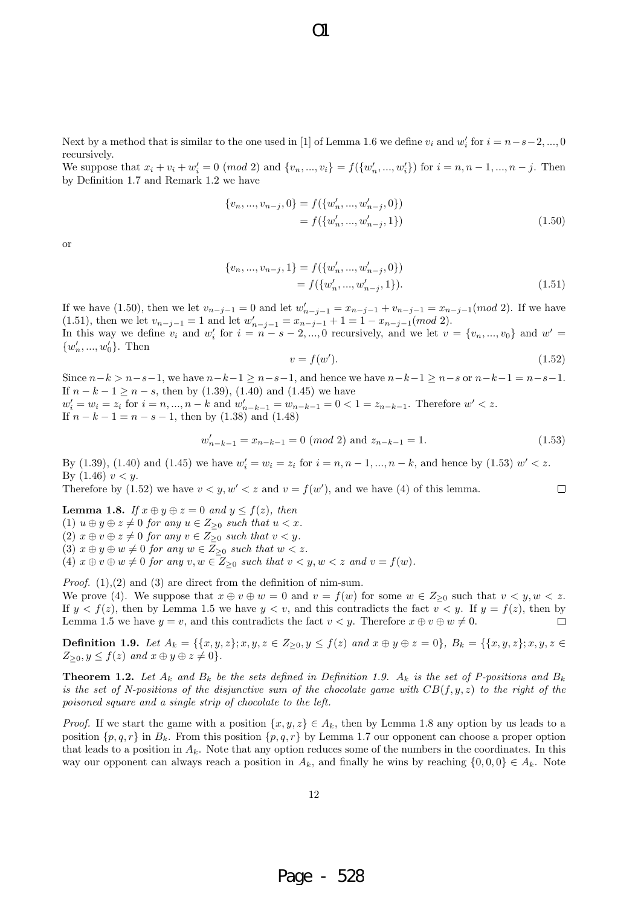Next by a method that is similar to the one used in [1] of Lemma 1.6 we define  $v_i$  and  $w'_i$  for  $i = n - s - 2, ..., 0$ recursively.

We suppose that  $x_i + v_i + w'_i = 0 \pmod{2}$  and  $\{v_n, ..., v_i\} = f(\{w'_n, ..., w'_i\})$  for  $i = n, n - 1, ..., n - j$ . Then by Definition 1.7 and Remark 1.2 we have

$$
\{v_n, ..., v_{n-j}, 0\} = f(\{w'_n, ..., w'_{n-j}, 0\})
$$
  
=  $f(\{w'_n, ..., w'_{n-j}, 1\})$  (1.50)

or

$$
\{v_n, ..., v_{n-j}, 1\} = f(\{w'_n, ..., w'_{n-j}, 0\})
$$

$$
= f(\{w'_n, ..., w'_{n-j}, 1\}).
$$
\n(1.51)

If we have (1.50), then we let  $v_{n-j-1} = 0$  and let  $w'_{n-j-1} = x_{n-j-1} + v_{n-j-1} = x_{n-j-1} (mod 2)$ . If we have (1.51), then we let  $v_{n-j-1} = 1$  and let  $w'_{n-j-1} = x_{n-j-1} + 1 = 1 - x_{n-j-1} (mod 2)$ . In this way we define  $v_i$  and  $w'_i$  for  $i = n - s - 2, ..., 0$  recursively, and we let  $v = \{v_n, ..., v_0\}$  and  $w' =$  $\{w'_n, ..., w'_0\}$ . Then

$$
v = f(w'). \tag{1.52}
$$

 $\Box$ 

Since  $n-k > n-s-1$ , we have  $n-k-1 \ge n-s-1$ , and hence we have  $n-k-1 \ge n-s$  or  $n-k-1 = n-s-1$ . If  $n - k - 1 \ge n - s$ , then by (1.39), (1.40) and (1.45) we have  $w'_{i} = w_{i} = z_{i}$  for  $i = n, ..., n - k$  and  $w'_{n-k-1} = w_{n-k-1} = 0 < 1 = z_{n-k-1}$ . Therefore  $w' < z$ . If  $n - k - 1 = n - s - 1$ , then by (1.38) and (1.48)

$$
w'_{n-k-1} = x_{n-k-1} = 0 \pmod{2} \text{ and } z_{n-k-1} = 1.
$$
 (1.53)

By (1.39), (1.40) and (1.45) we have  $w'_i = w_i = z_i$  for  $i = n, n - 1, ..., n - k$ , and hence by (1.53)  $w' < z$ . By  $(1.46)$   $v < y$ .

Therefore by  $(1.52)$  we have  $v < y, w' < z$  and  $v = f(w')$ , and we have  $(4)$  of this lemma.

**Lemma 1.8.** *If*  $x \oplus y \oplus z = 0$  *and*  $y \le f(z)$ *, then*  $(1)$   $u \oplus y \oplus z \neq 0$  *for any*  $u \in Z_{\geq 0}$  *such that*  $u < x$ *.* 

 $(2)$   $x \oplus v \oplus z \neq 0$  *for any*  $v \in Z_{\geq 0}$  *such that*  $v < y$ *.* 

 $(3)$   $x \oplus y \oplus w \neq 0$  *for any*  $w \in Z_{\geq 0}$  *such that*  $w < z$ *.* 

(4)  $x \oplus v \oplus w \neq 0$  *for any*  $v, w \in Z_{\geq 0}$  *such that*  $v < y, w < z$  *and*  $v = f(w)$ *.* 

*Proof.* (1), (2) and (3) are direct from the definition of nim-sum.

We prove (4). We suppose that  $x \oplus v \oplus w = 0$  and  $v = f(w)$  for some  $w \in Z_{\geq 0}$  such that  $v < y, w < z$ . If  $y < f(z)$ , then by Lemma 1.5 we have  $y < v$ , and this contradicts the fact  $v < y$ . If  $y = f(z)$ , then by Lemma 1.5 we have  $y = v$ , and this contradicts the fact  $v < y$ . Therefore  $x \oplus v \oplus w \neq 0$ . П

**Definition 1.9.** Let  $A_k = \{ \{x, y, z\}; x, y, z \in Z_{\geq 0}, y \leq f(z) \text{ and } x \oplus y \oplus z = 0 \}, B_k = \{ \{x, y, z\}; x, y, z \in Z_{\geq 0}, y \in Z_{\geq 0}, y \in Z_{\geq 0}, y \in Z_{\geq 0}, y \in Z_{\geq 0}, y \in Z_{\geq 0}, y \in Z_{\geq 0}, y \in Z_{\geq 0}, y \in Z_{\geq 0}, y \in Z_{\geq 0}, y \in Z_{\geq 0}, y \in Z$  $Z_{\geq 0}, y \leq f(z)$  *and*  $x \oplus y \oplus z \neq 0$ .

**Theorem 1.2.** Let  $A_k$  and  $B_k$  be the sets defined in Definition 1.9.  $A_k$  is the set of P-positions and  $B_k$ *is the set of N-positions of the disjunctive sum of the chocolate game with*  $CB(f, y, z)$  *to the right of the poisoned square and a single strip of chocolate to the left.*

*Proof.* If we start the game with a position  $\{x, y, z\} \in A_k$ , then by Lemma 1.8 any option by us leads to a position  $\{p, q, r\}$  in  $B_k$ . From this position  $\{p, q, r\}$  by Lemma 1.7 our opponent can choose a proper option that leads to a position in  $A_k$ . Note that any option reduces some of the numbers in the coordinates. In this way our opponent can always reach a position in  $A_k$ , and finally he wins by reaching  $\{0,0,0\} \in A_k$ . Note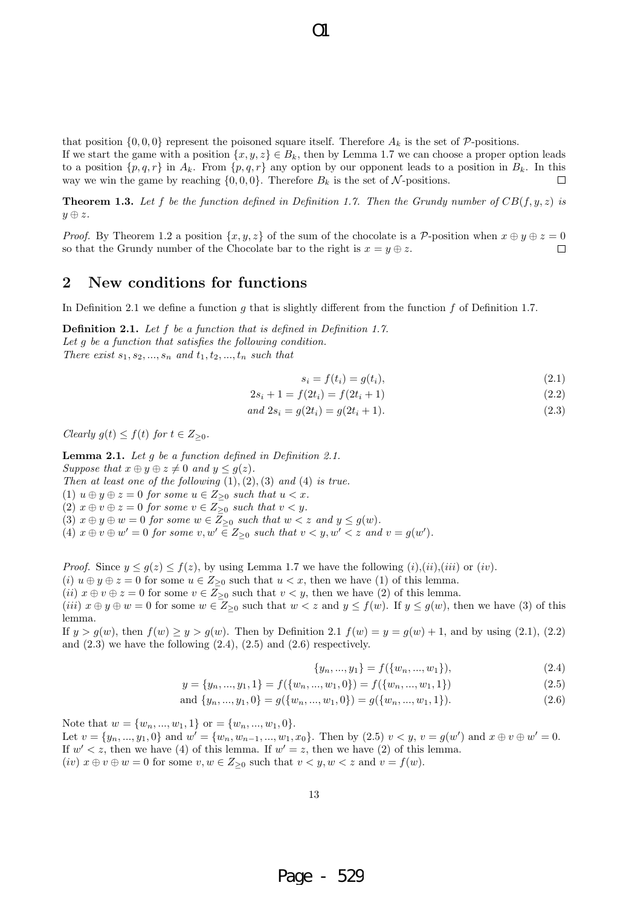that position  $\{0,0,0\}$  represent the poisoned square itself. Therefore  $A_k$  is the set of  $P$ -positions.

If we start the game with a position  $\{x, y, z\} \in B_k$ , then by Lemma 1.7 we can choose a proper option leads to a position  $\{p,q,r\}$  in  $A_k$ . From  $\{p,q,r\}$  any option by our opponent leads to a position in  $B_k$ . In this way we win the game by reaching  $\{0,0,0\}$ . Therefore  $B_k$  is the set of  $N$ -positions. П

**Theorem 1.3.** Let f be the function defined in Definition 1.7. Then the Grundy number of  $CB(f, y, z)$  is *y ⊕ z.*

*Proof.* By Theorem 1.2 a position  $\{x, y, z\}$  of the sum of the chocolate is a *P*-position when  $x \oplus y \oplus z = 0$  $\Box$ so that the Grundy number of the Chocolate bar to the right is  $x = y \oplus z$ .

### **2 New conditions for functions**

In Definition 2.1 we define a function *g* that is slightly different from the function *f* of Definition 1.7.

**Definition 2.1.** *Let f be a function that is defined in Definition 1.7. Let g be a function that satisfies the following condition. There exist*  $s_1, s_2, ..., s_n$  *and*  $t_1, t_2, ..., t_n$  *such that* 

 $s_i = f(t_i) = g(t_i),$  (2.1)

$$
2s_i + 1 = f(2t_i) = f(2t_i + 1)
$$
\n(2.2)

$$
and 2s_i = g(2t_i) = g(2t_i + 1). \tag{2.3}
$$

 $Clearly \ g(t) \leq f(t) \ for \ t \in Z_{\geq 0}.$ 

**Lemma 2.1.** *Let g be a function defined in Definition 2.1. Suppose that*  $x \oplus y \oplus z \neq 0$  *and*  $y \leq g(z)$ *. Then at least one of the following*  $(1)$ *,* $(2)$ *,* $(3)$  *and*  $(4)$  *is true.* (1)  $u \oplus y \oplus z = 0$  *for some*  $u \in Z_{\geq 0}$  *such that*  $u < x$ *.* (2)  $x \oplus v \oplus z = 0$  *for some*  $v \in Z_{\geq 0}$  *such that*  $v < y$ *.* (3)  $x \oplus y \oplus w = 0$  *for some*  $w \in \overline{Z}_{\geq 0}$  *such that*  $w < z$  *and*  $y \leq g(w)$ *.* (4)  $x \oplus v \oplus w' = 0$  for some  $v, w' \in Z_{\geq 0}$  such that  $v < y, w' < z$  and  $v = g(w')$ .

*Proof.* Since  $y \leq g(z) \leq f(z)$ , by using Lemma 1.7 we have the following  $(i)$ , $(ii)$ , $(iii)$  or  $(iv)$ .

(*i*)  $u \oplus y \oplus z = 0$  for some  $u \in Z_{\geq 0}$  such that  $u < x$ , then we have (1) of this lemma.

(*ii*)  $x \oplus v \oplus z = 0$  for some  $v \in Z_{\geq 0}$  such that  $v < y$ , then we have (2) of this lemma.

(iii)  $x \oplus y \oplus w = 0$  for some  $w \in Z_{\geq 0}$  such that  $w < z$  and  $y \leq f(w)$ . If  $y \leq g(w)$ , then we have (3) of this lemma.

If  $y > g(w)$ , then  $f(w) \ge y > g(w)$ . Then by Definition 2.1  $f(w) = y = g(w) + 1$ , and by using (2.1), (2.2) and  $(2.3)$  we have the following  $(2.4)$ ,  $(2.5)$  and  $(2.6)$  respectively.

 $\{y_n, ..., y_1\} = f(\{w_n, ..., w_1\}),$  (2.4)

$$
y = \{y_n, ..., y_1, 1\} = f(\{w_n, ..., w_1, 0\}) = f(\{w_n, ..., w_1, 1\})
$$
\n
$$
(2.5)
$$

and 
$$
\{y_n, ..., y_1, 0\} = g(\{w_n, ..., w_1, 0\}) = g(\{w_n, ..., w_1, 1\}).
$$
 (2.6)

Note that  $w = \{w_n, ..., w_1, 1\}$  or  $= \{w_n, ..., w_1, 0\}.$ 

Let  $v = \{y_n, ..., y_1, 0\}$  and  $w' = \{w_n, w_{n-1}, ..., w_1, x_0\}$ . Then by  $(2.5)$   $v < y$ ,  $v = g(w')$  and  $x \oplus v \oplus w' = 0$ . If  $w' < z$ , then we have (4) of this lemma. If  $w' = z$ , then we have (2) of this lemma.  $(iv)$   $x \oplus v \oplus w = 0$  for some  $v, w \in Z_{\geq 0}$  such that  $v < y, w < z$  and  $v = f(w)$ .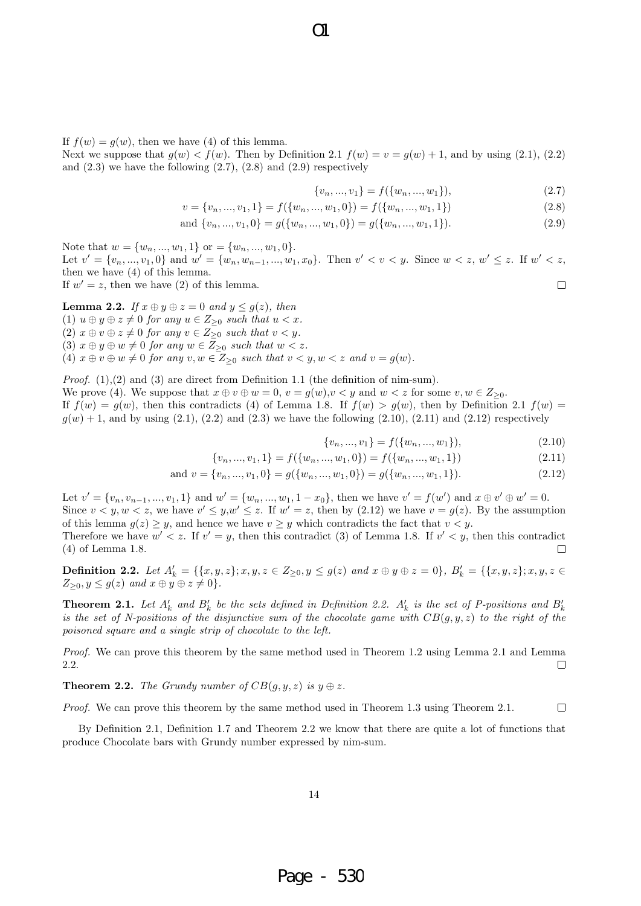$\Omega$ 

If  $f(w) = q(w)$ , then we have (4) of this lemma.

Next we suppose that  $g(w) < f(w)$ . Then by Definition 2.1  $f(w) = v = g(w) + 1$ , and by using (2.1), (2.2) and  $(2.3)$  we have the following  $(2.7)$ ,  $(2.8)$  and  $(2.9)$  respectively

$$
\{v_n, ..., v_1\} = f(\{w_n, ..., w_1\}),\tag{2.7}
$$

$$
v = \{v_n, ..., v_1, 1\} = f(\{w_n, ..., w_1, 0\}) = f(\{w_n, ..., w_1, 1\})
$$
\n(2.8)

and 
$$
\{v_n, ..., v_1, 0\} = g(\{w_n, ..., w_1, 0\}) = g(\{w_n, ..., w_1, 1\}).
$$
 (2.9)

Note that  $w = \{w_n, ..., w_1, 1\}$  or  $= \{w_n, ..., w_1, 0\}$ . Let  $v' = \{v_n, ..., v_1, 0\}$  and  $w' = \{w_n, w_{n-1}, ..., w_1, x_0\}$ . Then  $v' < v < y$ . Since  $w < z$ ,  $w' \le z$ . If  $w' < z$ , then we have (4) of this lemma. If  $w' = z$ , then we have (2) of this lemma.  $\Box$ 

**Lemma 2.2.** *If*  $x \oplus y \oplus z = 0$  *and*  $y \leq g(z)$ *, then* (1)  $u \oplus y \oplus z \neq 0$  *for any*  $u \in Z_{\geq 0}$  *such that*  $u < x$ *.*  $(2)$   $x \oplus v \oplus z \neq 0$  *for any*  $v \in Z_{\geq 0}$  *such that*  $v < y$ *.*  $(3)$   $x \oplus y \oplus w \neq 0$  for any  $w \in \overline{Z}_{\geq 0}$  such that  $w < z$ . (4)  $x \oplus v \oplus w \neq 0$  *for any*  $v, w \in Z_{\geq 0}$  *such that*  $v < y, w < z$  *and*  $v = g(w)$ *.* 

*Proof.*  $(1),(2)$  and  $(3)$  are direct from Definition 1.1 (the definition of nim-sum).

We prove (4). We suppose that  $x \oplus v \oplus w = 0$ ,  $v = g(w)$ ,  $v < y$  and  $w < z$  for some  $v, w \in Z_{\geq 0}$ . If  $f(w) = g(w)$ , then this contradicts (4) of Lemma 1.8. If  $f(w) > g(w)$ , then by Definition 2.1  $f(w) =$ 

 $g(w) + 1$ , and by using (2.1), (2.2) and (2.3) we have the following (2.10), (2.11) and (2.12) respectively

$$
\{v_n, ..., v_1\} = f(\{w_n, ..., w_1\}),\tag{2.10}
$$

$$
\{v_n, ..., v_1, 1\} = f(\{w_n, ..., w_1, 0\}) = f(\{w_n, ..., w_1, 1\})
$$
\n(2.11)

and 
$$
v = \{v_n, ..., v_1, 0\} = g(\{w_n, ..., w_1, 0\}) = g(\{w_n, ..., w_1, 1\}).
$$
 (2.12)

Let  $v' = \{v_n, v_{n-1}, ..., v_1, 1\}$  and  $w' = \{w_n, ..., w_1, 1 - x_0\}$ , then we have  $v' = f(w')$  and  $x \oplus v' \oplus w' = 0$ . Since  $v < y, w < z$ , we have  $v' \leq y, w' \leq z$ . If  $w' = z$ , then by (2.12) we have  $v = g(z)$ . By the assumption of this lemma  $g(z) \geq y$ , and hence we have  $v \geq y$  which contradicts the fact that  $v < y$ . Therefore we have  $w' < z$ . If  $v' = y$ , then this contradict (3) of Lemma 1.8. If  $v' < y$ , then this contradict (4) of Lemma 1.8.  $\Box$ 

**Definition 2.2.** Let  $A'_k = \{ \{x, y, z\}; x, y, z \in Z_{\geq 0}, y \leq g(z) \text{ and } x \oplus y \oplus z = 0 \}, B'_k = \{ \{x, y, z\}; x, y, z \in Z_{\geq 0}, y \in Z_{\geq 0}, y \in Z_{\geq 0}, y \in Z_{\geq 0}, y \in Z_{\geq 0}, y \in Z_{\geq 0}, y \in Z_{\geq 0}, y \in Z_{\geq 0}, y \in Z_{\geq 0}, y \in Z_{\geq 0}, y \in Z_{\geq 0}, y \$  $Z_{\geq 0}, y \leq g(z)$  *and*  $x \oplus y \oplus z \neq 0$ .

**Theorem 2.1.** Let  $A'_k$  and  $B'_k$  be the sets defined in Definition 2.2.  $A'_k$  is the set of P-positions and  $B'_k$ *is the set of N-positions of the disjunctive sum of the chocolate game with*  $CB(q, y, z)$  *to the right of the poisoned square and a single strip of chocolate to the left.*

*Proof.* We can prove this theorem by the same method used in Theorem 1.2 using Lemma 2.1 and Lemma 2.2.  $\Box$ 

**Theorem 2.2.** *The Grundy number of*  $CB(g, y, z)$  *is*  $y \oplus z$ *.* 

*Proof.* We can prove this theorem by the same method used in Theorem 1.3 using Theorem 2.1.  $\Box$ 

By Definition 2.1, Definition 1.7 and Theorem 2.2 we know that there are quite a lot of functions that produce Chocolate bars with Grundy number expressed by nim-sum.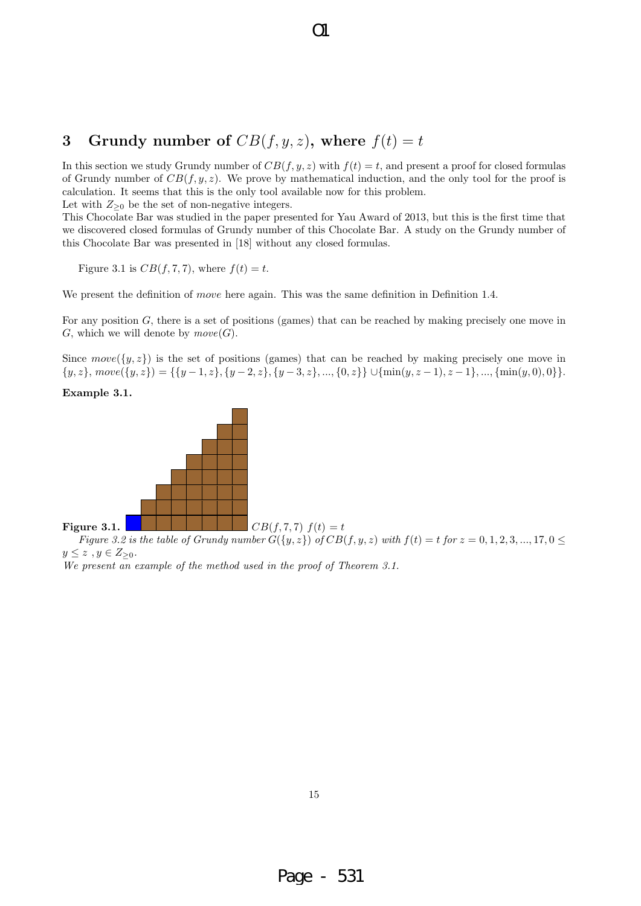# **3** Grundy number of  $CB(f, y, z)$ , where  $f(t) = t$

In this section we study Grundy number of  $CB(f, y, z)$  with  $f(t) = t$ , and present a proof for closed formulas of Grundy number of  $CB(f, y, z)$ . We prove by mathematical induction, and the only tool for the proof is calculation. It seems that this is the only tool available now for this problem. Let with  $Z_{\geq 0}$  be the set of non-negative integers.

 $\Omega$ 

This Chocolate Bar was studied in the paper presented for Yau Award of 2013, but this is the first time that we discovered closed formulas of Grundy number of this Chocolate Bar. A study on the Grundy number of this Chocolate Bar was presented in [18] without any closed formulas.

Figure 3.1 is  $CB(f, 7, 7)$ , where  $f(t) = t$ .

We present the definition of *move* here again. This was the same definition in Definition 1.4.

For any position *G*, there is a set of positions (games) that can be reached by making precisely one move in *G*, which we will denote by  $move(G)$ .

Since  $move({y, z})$  is the set of positions (games) that can be reached by making precisely one move in  $\{y, z\}, move(\{y, z\}) = \{\{y - 1, z\}, \{y - 2, z\}, \{y - 3, z\}, ..., \{0, z\}\}\cup \{\min(y, z - 1), z - 1\}, ..., \{\min(y, 0), 0\}\}.$ 

**Example 3.1.**



Figure 3.2 is the table of Grundy number  $G({y,z})$  of  $CB(f,y,z)$  with  $f(t) = t$  for  $z = 0,1,2,3,...,17,0 \leq$ *y ≤ z , y ∈ Z≥*<sup>0</sup>*.*

*We present an example of the method used in the proof of Theorem 3.1.*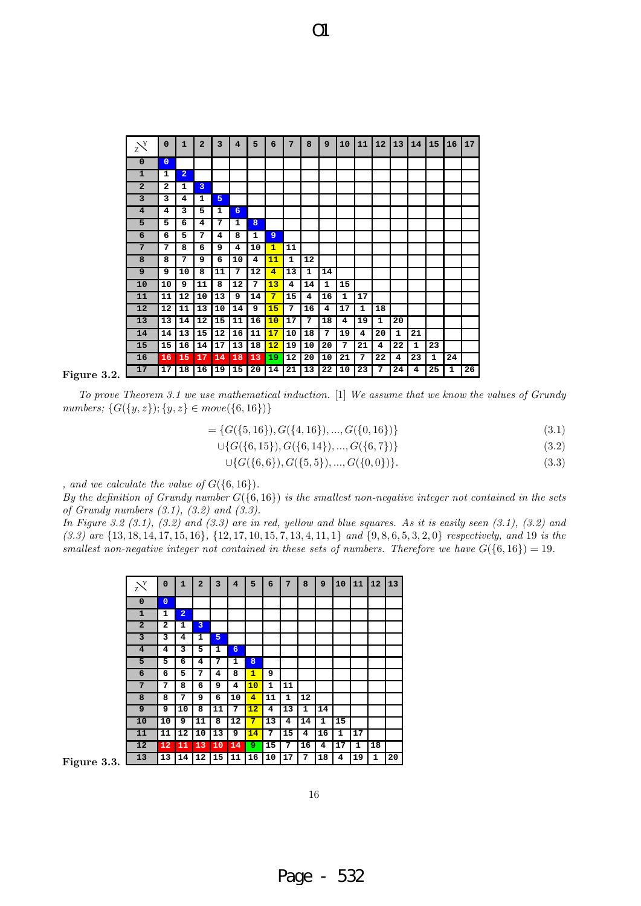

#### **Figure 3.2.**

*To prove Theorem 3.1 we use mathematical induction.* [1] *We assume that we know the values of Grundy numbers; {G*(*{y, z}*); *{y, z} ∈ move*(*{*6*,* 16*}*)*}*

- $= \{G(\{5, 16\}), G(\{4, 16\}), \ldots, G(\{0, 16\})\}$  (3.1)
	- *∪{G*(*{*6*,* 15*}*)*, G*(*{*6*,* 14*}*)*, ..., G*(*{*6*,* 7*}*)*}* (3.2)

$$
\cup \{G(\{6,6\}), G(\{5,5\}), \dots, G(\{0,0\})\}.
$$
\n(3.3)

*, and we calculate the value of*  $G({6, 16})$ *.* 

*By the definition of Grundy number G*(*{*6*,* 16*}*) *is the smallest non-negative integer not contained in the sets of Grundy numbers (3.1), (3.2) and (3.3).*

*In Figure 3.2 (3.1), (3.2) and (3.3) are in red, yellow and blue squares. As it is easily seen (3.1), (3.2) and*  $(3.3)$  are  $\{13, 18, 14, 17, 15, 16\}$ ,  $\{12, 17, 10, 15, 7, 13, 4, 11, 1\}$  and  $\{9, 8, 6, 5, 3, 2, 0\}$  respectively, and 19 is the *smallest non-negative integer not contained in these sets of numbers. Therefore we have*  $G({6, 16}) = 19$ *.* 

| $\sum Y$       | $\mathbf 0$             | $\mathbf{1}$   | $\overline{a}$ | 3  | 4  | 5              | 6  | 7  | 8            | 9  | 10 | 11 | 12 | 13 |
|----------------|-------------------------|----------------|----------------|----|----|----------------|----|----|--------------|----|----|----|----|----|
| $\mathbf 0$    | $\overline{0}$          |                |                |    |    |                |    |    |              |    |    |    |    |    |
| $\mathbf{1}$   | 1                       | $\overline{a}$ |                |    |    |                |    |    |              |    |    |    |    |    |
| $\overline{a}$ | $\overline{\mathbf{2}}$ | 1              | 3              |    |    |                |    |    |              |    |    |    |    |    |
| 3              | 3                       | 4              | 1              | 5  |    |                |    |    |              |    |    |    |    |    |
| $\overline{4}$ | 4                       | 3              | 5              | 1  | 6  |                |    |    |              |    |    |    |    |    |
| 5              | 5                       | 6              | 4              | 7  | 1  | 8              |    |    |              |    |    |    |    |    |
| 6              | 6                       | 5              | 7              | 4  | 8  | $\mathbf{1}$   | 9  |    |              |    |    |    |    |    |
| 7              | 7                       | 8              | 6              | 9  | 4  | 10             | 1  | 11 |              |    |    |    |    |    |
| 8              | 8                       | 7              | 9              | 6  | 10 | 4              | 11 | 1  | 12           |    |    |    |    |    |
| 9              | 9                       | 10             | 8              | 11 | 7  | 12             | 4  | 13 | $\mathbf{1}$ | 14 |    |    |    |    |
| 10             | 10                      | 9              | 11             | 8  | 12 | $\overline{7}$ | 13 | 4  | 14           | 1  | 15 |    |    |    |
| 11             | 11                      | 12             | 10             | 13 | 9  | 14             | 7  | 15 | 4            | 16 | 1  | 17 |    |    |
| 12             | 12                      | 11             | 13             | 10 | 14 | 9              | 15 | 7  | 16           | 4  | 17 | 1  | 18 |    |
| 13             | 13                      | 14             | 12             | 15 | 11 | 16             | 10 | 17 | 7            | 18 | 4  | 19 | 1  | 20 |

**Figure 3.3.**

16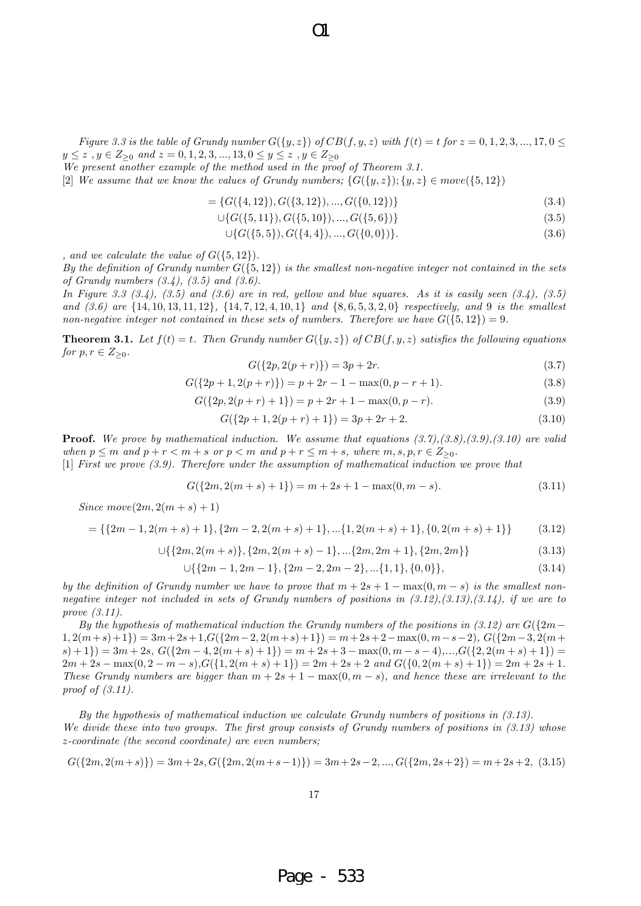Figure 3.3 is the table of Grundy number  $G({y,z})$  of  $CB(f,y,z)$  with  $f(t) = t$  for  $z = 0,1,2,3,...,17,0 \leq$ *y ≤ z , y ∈ Z≥*<sup>0</sup> *and z* = 0*,* 1*,* 2*,* 3*, ...,* 13*,* 0 *≤ y ≤ z , y ∈ Z≥*<sup>0</sup>

 $\Omega$ 

*We present another example of the method used in the proof of Theorem 3.1.*

 $[2]$  *We assume that we know the values of Grundy numbers;*  $\{G(\{y, z\}); \{y, z\} \in move(\{5, 12\})\}$ 

 $= \{G(\{4, 12\}), G(\{3, 12\}), \ldots, G(\{0, 12\})\}$  (3.4)

$$
\cup \{G(\{5, 11\}), G(\{5, 10\}), ..., G(\{5, 6\})\} \tag{3.5}
$$

$$
\cup \{G(\{5,5\}), G(\{4,4\}), ..., G(\{0,0\})\}.
$$
\n(3.6)

*, and we calculate the value of*  $G({5, 12})$ *.* 

*By the definition of Grundy number*  $G({5, 12})$  *is the smallest non-negative integer not contained in the sets of Grundy numbers (3.4), (3.5) and (3.6).*

*In Figure 3.3 (3.4), (3.5) and (3.6) are in red, yellow and blue squares. As it is easily seen (3.4), (3.5)* and  $(3.6)$  are  $\{14, 10, 13, 11, 12\}$ ,  $\{14, 7, 12, 4, 10, 1\}$  and  $\{8, 6, 5, 3, 2, 0\}$  respectively, and 9 is the smallest *non-negative integer not contained in these sets of numbers. Therefore we have*  $G({5, 12}) = 9$ .

**Theorem 3.1.** Let  $f(t) = t$ . Then Grundy number  $G({y, z})$  of  $CB(f, y, z)$  satisfies the following equations *for*  $p, r \in Z_{\geq 0}$ *.* 

$$
G({2p, 2(p+r)}) = 3p + 2r.
$$
\n(3.7)

$$
G({2p+1, 2(p+r)}) = p + 2r - 1 - \max(0, p - r + 1).
$$
\n(3.8)

$$
G({2p, 2(p+r) + 1}) = p + 2r + 1 - max(0, p - r).
$$
\n(3.9)

$$
G({2p + 1, 2(p + r) + 1}) = 3p + 2r + 2.
$$
\n(3.10)

**Proof.** *We prove by mathematical induction. We assume that equations (3.7),(3.8),(3.9),(3.10) are valid* when  $p \le m$  and  $p + r < m + s$  or  $p < m$  and  $p + r \le m + s$ , where  $m, s, p, r \in Z_{\ge 0}$ .

[1] *First we prove (3.9). Therefore under the assumption of mathematical induction we prove that*

$$
G({2m, 2(m+s) + 1}) = m + 2s + 1 - max(0, m - s).
$$
\n(3.11)

*Since*  $move(2m, 2(m + s) + 1)$ 

$$
= \{ \{2m-1, 2(m+s)+1\}, \{2m-2, 2(m+s)+1\}, \dots, \{1, 2(m+s)+1\}, \{0, 2(m+s)+1\} \} \tag{3.12}
$$

$$
\cup \{ \{ 2m, 2(m+s) \}, \{ 2m, 2(m+s) - 1 \}, \dots \{ 2m, 2m + 1 \}, \{ 2m, 2m \} \} \tag{3.13}
$$

$$
\cup \{ \{ 2m-1, 2m-1 \}, \{ 2m-2, 2m-2 \}, \dots \{ 1, 1 \}, \{ 0, 0 \} \},
$$
\n
$$
(3.14)
$$

*by the definition of Grundy number we have to prove that*  $m + 2s + 1 - \max(0, m - s)$  *is the smallest nonnegative integer not included in sets of Grundy numbers of positions in (3.12),(3.13),(3.14), if we are to prove (3.11).*

*By the hypothesis of mathematical induction the Grundy numbers of the positions in (3.12) are*  $G({2m - p \over 2})$  $1, 2(m+s+1) = 3m+2s+1, G({2m-2, 2(m+s)+1}) = m+2s+2-\max(0, m-s-2), G({2m-3, 2(m+s)+1}) = m+2s+2-\max(0, m-s-2))$  $(s) + 1) = 3m + 2s$ ,  $G({2m - 4, 2(m + s) + 1}) = m + 2s + 3 - max(0, m - s - 4),...,G({2, 2(m + s) + 1}) =$  $2m+2s - \max(0, 2-m-s)$ ,  $G({1, 2(m+s)+1}) = 2m+2s+2$  and  $G({0, 2(m+s)+1}) = 2m+2s+1$ . *These Grundy numbers are bigger than m* + 2*s* + 1 *−* max(0*, m − s*)*, and hence these are irrelevant to the proof of (3.11).*

*By the hypothesis of mathematical induction we calculate Grundy numbers of positions in (3.13). We divide these into two groups. The first group consists of Grundy numbers of positions in (3.13) whose z-coordinate (the second coordinate) are even numbers;*

$$
G({2m, 2(m+s)}) = 3m+2s, G({2m, 2(m+s-1)}) = 3m+2s-2, ..., G({2m, 2s+2}) = m+2s+2, (3.15)
$$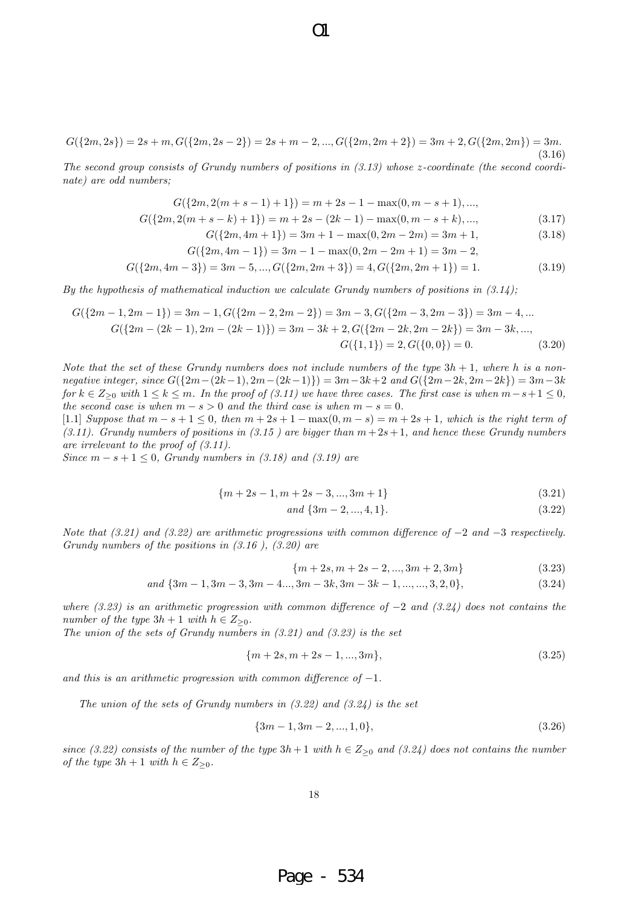$$
G({2m,2s}) = 2s + m, G({2m,2s-2}) = 2s + m - 2, ..., G({2m,2m+2}) = 3m + 2, G({2m,2m}) = 3m.
$$
\n(3.16)

 $\Omega$ 

*The second group consists of Grundy numbers of positions in (3.13) whose z-coordinate (the second coordinate) are odd numbers;*

$$
G({2m, 2(m + s - 1) + 1}) = m + 2s - 1 - \max(0, m - s + 1), ...,
$$
  
\n
$$
G({2m, 2(m + s - k) + 1}) = m + 2s - (2k - 1) - \max(0, m - s + k), ...,
$$
  
\n
$$
G({2m, 4m + 1}) = 3m + 1 - \max(0, 2m - 2m) = 3m + 1,
$$
\n(3.18)

$$
G({2m, 4m+1}) = 3m + 1 - \max(0, 2m - 2m) = 3m + 1,
$$
\n(3.18)

$$
G({2m, 4m-1}) = 3m - 1 - \max(0, 2m - 2m + 1) = 3m - 2,
$$

$$
G({2m, 4m-3}) = 3m-5, ..., G({2m, 2m+3}) = 4, G({2m, 2m+1}) = 1.
$$
\n(3.19)

*By the hypothesis of mathematical induction we calculate Grundy numbers of positions in (3.14);*

$$
G({2m-1, 2m-1}) = 3m - 1, G({2m-2, 2m-2}) = 3m - 3, G({2m-3, 2m-3}) = 3m - 4, ...
$$
  
\n
$$
G({2m - (2k-1), 2m - (2k-1)}) = 3m - 3k + 2, G({2m-2k, 2m-2k}) = 3m - 3k, ...
$$
  
\n
$$
G({1, 1}) = 2, G({0, 0}) = 0.
$$
\n(3.20)

*Note that the set of these Grundy numbers does not include numbers of the type*  $3h + 1$ *, where h is a non*negative integer, since  $G({2m-(2k-1),2m-(2k-1)}) = 3m-3k+2$  and  $G({2m-2k,2m-2k}) = 3m-3k$ *for*  $k \in \mathbb{Z}_{\geq 0}$  *with*  $1 \leq k \leq m$ *. In the proof of (3.11) we have three cases. The first case is when*  $m - s + 1 \leq 0$ *, the second case is when*  $m - s > 0$  *and the third case is when*  $m - s = 0$ *.* 

 $[1.1]$  *Suppose that*  $m - s + 1 \le 0$ , then  $m + 2s + 1 - \max(0, m - s) = m + 2s + 1$ , which is the right term of *(3.11). Grundy numbers of positions in (3.15 ) are bigger than m*+ 2*s*+ 1*, and hence these Grundy numbers are irrelevant to the proof of (3.11).*

*Since*  $m - s + 1 \leq 0$ , *Grundy numbers in (3.18) and (3.19) are* 

$$
{m+2s-1, m+2s-3, ..., 3m+1}
$$
\n(3.21)

$$
and \{3m-2, ..., 4, 1\}.
$$
\n
$$
(3.22)
$$

*Note that (3.21) and (3.22) are arithmetic progressions with common difference of −*2 *and −*3 *respectively. Grundy numbers of the positions in (3.16 ), (3.20) are*

$$
{m+2s, m+2s-2, ..., 3m+2, 3m}
$$
 (3.23)

and 
$$
\{3m-1, 3m-3, 3m-4..., 3m-3k, 3m-3k-1, ..., ..., 3, 2, 0\},\tag{3.24}
$$

*where (3.23) is an arithmetic progression with common difference of −*2 *and (3.24) does not contains the number of the type*  $3h + 1$  *with*  $h \in Z_{\geq 0}$ *.* 

*The union of the sets of Grundy numbers in (3.21) and (3.23) is the set*

$$
{m+2s, m+2s-1, ..., 3m},
$$
\n(3.25)

*and this is an arithmetic progression with common difference of −*1*.*

*The union of the sets of Grundy numbers in (3.22) and (3.24) is the set*

$$
{3m-1,3m-2,...,1,0}, \t(3.26)
$$

*since* (3.22) consists of the number of the type  $3h + 1$  with  $h \in Z_{\geq 0}$  and (3.24) does not contains the number *of the type*  $3h + 1$  *with*  $h \in Z_{\geq 0}$ *.*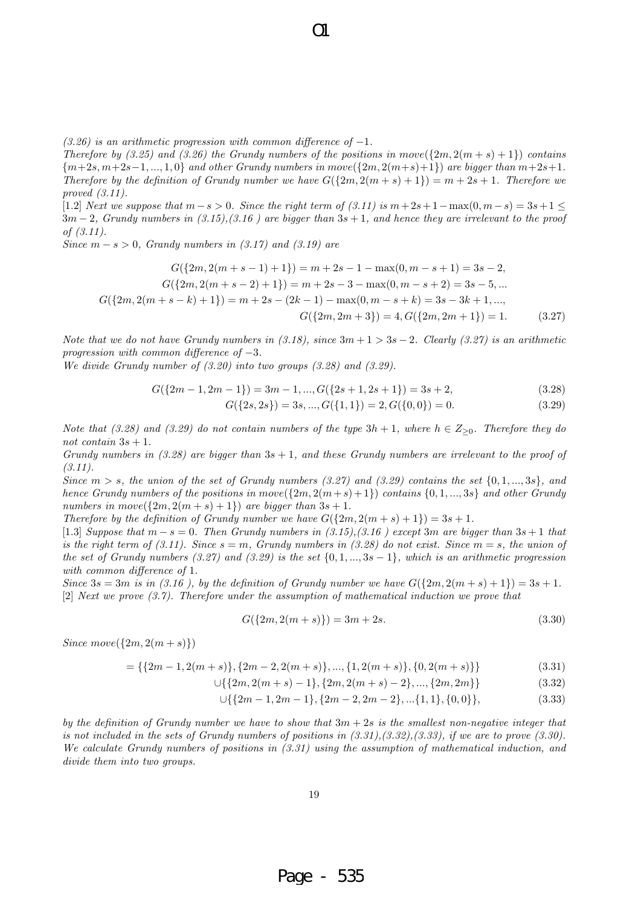*(3.26) is an arithmetic progression with common difference of −*1*.*

*Therefore by (3.25) and (3.26) the Grundy numbers of the positions in*  $move({2m, 2(m + s) + 1})$  *contains*  $\{m+2s, m+2s-1, ..., 1, 0\}$  and other Grundy numbers in move  $(\{2m, 2(m+s)+1\})$  are bigger than  $m+2s+1$ . *Therefore by the definition of Grundy number we have*  $G({2m, 2(m + s) + 1}) = m + 2s + 1$ *. Therefore we proved (3.11).*

 $\Omega$ 

[1*.*2] *Next we suppose that m−s >* 0*. Since the right term of (3.11) is m*+ 2*s*+ 1*−*max(0*, m−s*) = 3*s*+ 1 *≤* 3*m −* 2*, Grundy numbers in (3.15),(3.16 ) are bigger than* 3*s* + 1*, and hence they are irrelevant to the proof of (3.11).*

*Since m − s >* 0*, Grandy numbers in (3.17) and (3.19) are*

$$
G({2m, 2(m+s-1)+1}) = m+2s-1 - \max(0, m-s+1) = 3s-2,
$$
  
\n
$$
G({2m, 2(m+s-2)+1}) = m+2s-3 - \max(0, m-s+2) = 3s-5, ...
$$
  
\n
$$
G({2m, 2(m+s-k)+1}) = m+2s - (2k-1) - \max(0, m-s+k) = 3s - 3k + 1, ...
$$
  
\n
$$
G({2m, 2m+3}) = 4, G({2m, 2m+1}) = 1.
$$
 (3.27)

*Note that we do not have Grundy numbers in (3.18), since* 3*m* + 1 *>* 3*s −* 2*. Clearly (3.27) is an arithmetic progression with common difference of −*3*.*

*We divide Grundy number of (3.20) into two groups (3.28) and (3.29).*

$$
G({2m-1,2m-1}) = 3m-1,...,G({2s+1,2s+1}) = 3s+2,
$$
\n(3.28)

$$
G({2s, 2s}) = 3s, ..., G({1, 1}) = 2, G({0, 0}) = 0.
$$
\n(3.29)

*Note that (3.28) and (3.29) do not contain numbers of the type*  $3h + 1$ *, where*  $h \in Z_{\geq 0}$ *. Therefore they do not contain* 3*s* + 1*.*

*Grundy numbers in (3.28) are bigger than* 3*s* + 1*, and these Grundy numbers are irrelevant to the proof of (3.11).*

*Since*  $m > s$ *, the union of the set of Grundy numbers (3.27) and (3.29) contains the set*  $\{0, 1, ..., 3s\}$ *, and hence Grundy numbers of the positions in*  $move({2m, 2(m+s)+1})$  *<i>contains*  ${0,1,...,3s}$  *and other Grundy numbers in move*( $\{2m, 2(m + s) + 1\}$ ) *are bigger than*  $3s + 1$ *.* 

*Therefore by the definition of Grundy number we have*  $G({2m, 2(m + s) + 1}) = 3s + 1$ .

[1.3] *Suppose that*  $m - s = 0$ . Then Grundy numbers in (3.15),(3.16) except 3 $m$  are bigger than  $3s + 1$  that *is the right term of (3.11). Since*  $s = m$ , Grundy numbers in (3.28) do not exist. Since  $m = s$ , the union of *the set of Grundy numbers (3.27) and (3.29) is the set {*0*,* 1*, ...,* 3*s −* 1*}, which is an arithmetic progression with common difference of* 1*.*

*Since*  $3s = 3m$  *is in (3.16), by the definition of Grundy number we have*  $G({2m, 2(m + s) + 1}) = 3s + 1$ . [2] *Next we prove (3.7). Therefore under the assumption of mathematical induction we prove that*

$$
G({2m, 2(m+s)}) = 3m + 2s.
$$
\n(3.30)

*Since*  $move({2m, 2(m + s)})$ 

= {{ $2m-1, 2(m+s)$ }, { $2m-2, 2(m+s)$ }, ..., { $1, 2(m+s)$ }, { $0, 2(m+s)$ }} (3.31)

$$
\cup \{ \{2m, 2(m+s)-1\}, \{2m, 2(m+s)-2\}, \dots, \{2m, 2m\} \} \tag{3.32}
$$

$$
\cup \{ \{2m-1, 2m-1\}, \{2m-2, 2m-2\}, \dots \{1, 1\}, \{0, 0\} \},
$$
\n(3.33)

*by the definition of Grundy number we have to show that* 3*m* + 2*s is the smallest non-negative integer that is not included in the sets of Grundy numbers of positions in (3.31),(3.32),(3.33), if we are to prove (3.30). We calculate Grundy numbers of positions in (3.31) using the assumption of mathematical induction, and divide them into two groups.*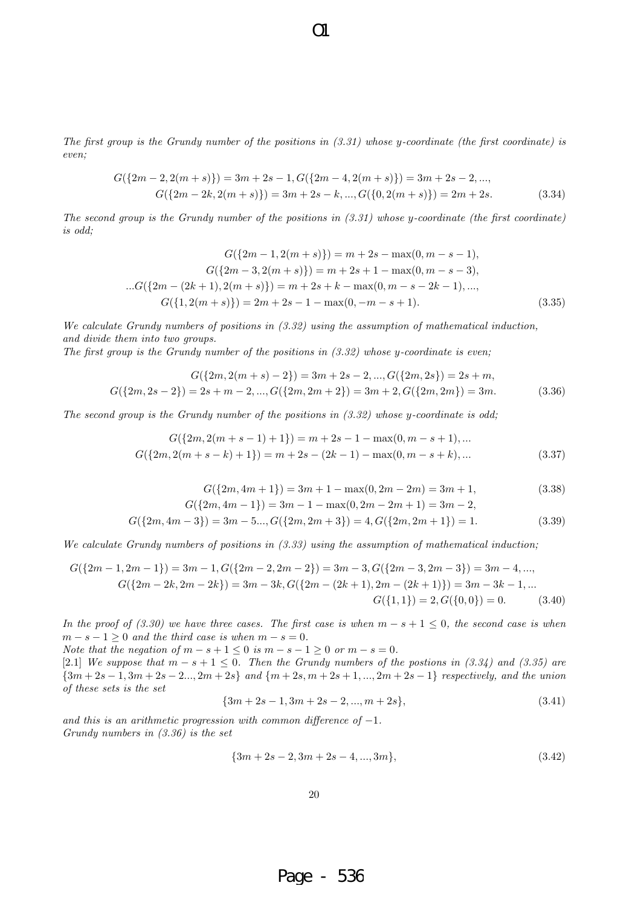*The first group is the Grundy number of the positions in (3.31) whose y-coordinate (the first coordinate) is even;*

O1

$$
G({2m-2, 2(m+s)}) = 3m+2s-1, G({2m-4, 2(m+s)}) = 3m+2s-2, ...,
$$
  
\n
$$
G({2m-2k, 2(m+s)}) = 3m+2s-k, ..., G({0, 2(m+s)}) = 2m+2s.
$$
\n(3.34)

*The second group is the Grundy number of the positions in (3.31) whose y-coordinate (the first coordinate) is odd;*

$$
G({2m-1, 2(m+s)}) = m + 2s - \max(0, m-s-1),
$$
  
\n
$$
G({2m-3, 2(m+s)}) = m + 2s + 1 - \max(0, m-s-3),
$$
  
\n
$$
G({2m - (2k+1), 2(m+s)}) = m + 2s + k - \max(0, m-s-2k-1), ...,
$$
  
\n
$$
G({1, 2(m+s)}) = 2m + 2s - 1 - \max(0, -m-s+1).
$$
\n(3.35)

*We calculate Grundy numbers of positions in (3.32) using the assumption of mathematical induction, and divide them into two groups.*

*The first group is the Grundy number of the positions in (3.32) whose y-coordinate is even;*

$$
G({2m, 2(m+s) - 2}) = 3m + 2s - 2, ..., G({2m, 2s}) = 2s + m,
$$
  

$$
G({2m, 2s - 2}) = 2s + m - 2, ..., G({2m, 2m + 2}) = 3m + 2, G({2m, 2m}) = 3m.
$$
 (3.36)

*The second group is the Grundy number of the positions in (3.32) whose y-coordinate is odd;*

$$
G({2m, 2(m+s-1)+1}) = m+2s-1-\max(0, m-s+1), ...
$$
  

$$
G({2m, 2(m+s-k)+1}) = m+2s - (2k-1) - \max(0, m-s+k), ...
$$
 (3.37)

$$
G({2m, 4m+1}) = 3m + 1 - \max(0, 2m - 2m) = 3m + 1,
$$
\n(3.38)

$$
G({2m, 4m-1}) = 3m - 1 - \max(0, 2m - 2m + 1) = 3m - 2,
$$

$$
G({2m, 4m-3}) = 3m - 5..., G({2m, 2m+3}) = 4, G({2m, 2m+1}) = 1.
$$
\n(3.39)

*We calculate Grundy numbers of positions in (3.33) using the assumption of mathematical induction;*

$$
G({2m-1, 2m-1}) = 3m - 1, G({2m-2, 2m-2}) = 3m - 3, G({2m-3, 2m-3}) = 3m - 4, ...,
$$
  
\n
$$
G({2m-2k, 2m-2k}) = 3m - 3k, G({2m - (2k+1), 2m - (2k+1)}) = 3m - 3k - 1, ...
$$
  
\n
$$
G({1, 1}) = 2, G({0, 0}) = 0. \tag{3.40}
$$

*In the proof of (3.30) we have three cases. The first case is when*  $m - s + 1 \leq 0$ , the second case is when  $m - s - 1 \geq 0$  *and the third case is when*  $m - s = 0$ .

*Note that the negation of*  $m - s + 1 \le 0$  *is*  $m - s - 1 \ge 0$  *or*  $m - s = 0$ *.* 

[2.1] *We suppose that*  $m - s + 1 \leq 0$ . Then the Grundy numbers of the postions in (3.34) and (3.35) are  $\{3m+2s-1, 3m+2s-2..., 2m+2s\}$  and  $\{m+2s, m+2s+1, ..., 2m+2s-1\}$  respectively, and the union *of these sets is the set*

$$
{3m + 2s - 1, 3m + 2s - 2, ..., m + 2s},
$$
\n(3.41)

*and this is an arithmetic progression with common difference of −*1*. Grundy numbers in (3.36) is the set*

$$
{3m + 2s - 2, 3m + 2s - 4, ..., 3m},
$$
\n(3.42)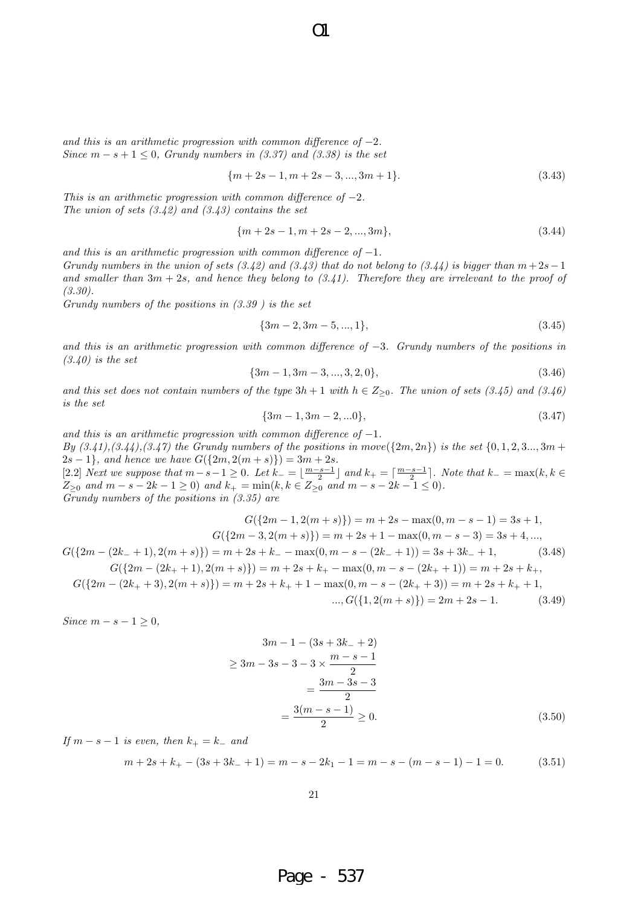*and this is an arithmetic progression with common difference of −*2*. Since*  $m - s + 1 \leq 0$ , *Grundy numbers in (3.37) and (3.38) is the set* 

$$
{m+2s-1, m+2s-3, ..., 3m+1}.
$$
\n(3.43)

*This is an arithmetic progression with common difference of −*2*. The union of sets (3.42) and (3.43) contains the set*

$$
{m+2s-1, m+2s-2, ..., 3m},
$$
\n(3.44)

*and this is an arithmetic progression with common difference of −*1*.*

*Grundy numbers in the union of sets (3.42) and (3.43) that do not belong to (3.44) is bigger than*  $m+2s-1$ *and smaller than* 3*m* + 2*s, and hence they belong to (3.41). Therefore they are irrelevant to the proof of (3.30).*

*Grundy numbers of the positions in (3.39 ) is the set*

$$
{3m-2,3m-5,...,1},
$$
\n(3.45)

*and this is an arithmetic progression with common difference of −*3*. Grundy numbers of the positions in (3.40) is the set*

$$
{3m-1,3m-3,...,3,2,0},\t(3.46)
$$

*and this set does not contain numbers of the type*  $3h + 1$  *with*  $h \in Z_{\geq 0}$ *. The union of sets (3.45) and (3.46) is the set*

$$
{3m-1,3m-2,...0},\t\t(3.47)
$$

*and this is an arithmetic progression with common difference of −*1*. By*  $(3.41), (3.44), (3.47)$  *the Grundy numbers of the positions in move*  $(\{2m, 2n\})$  *is the set*  $\{0, 1, 2, 3, \ldots, 3m + 1\}$  $2s - 1$ , and hence we have  $G({2m, 2(m + s)}) = 3m + 2s$ . [2.2] Next we suppose that  $m-s-1 \geq 0$ . Let  $k_{-} = \lfloor \frac{m-s-1}{2} \rfloor$  and  $k_{+} = \lceil \frac{m-s-1}{2} \rceil$ . Note that  $k_{-} = \max(k, k \in \mathbb{N})$  $Z_{\geq 0}$  and  $m - s - 2k - 1 \geq 0$ ) and  $k_+ = \min(k, k \in Z_{\geq 0}$  and  $m - s - 2k - 1 \leq 0)$ . *Grundy numbers of the positions in (3.35) are*

$$
G({2m - 1, 2(m + s)}) = m + 2s - \max(0, m - s - 1) = 3s + 1,
$$
  
\n
$$
G({2m - (2k- + 1), 2(m + s)}) = m + 2s + k - \max(0, m - s - (2k- + 1)) = 3s + 3k- + 1,
$$
  
\n
$$
G({2m - (2k+ + 1), 2(m + s)}) = m + 2s + k- - \max(0, m - s - (2k- + 1)) = 3s + 3k- + 1,
$$
  
\n
$$
G({2m - (2k+ + 1), 2(m + s)}) = m + 2s + k+ - \max(0, m - s - (2k+ + 1)) = m + 2s + k+,
$$
  
\n
$$
G({2m - (2k+ + 3), 2(m + s)}) = m + 2s + k+ + 1 - \max(0, m - s - (2k+ + 3)) = m + 2s + k+ + 1,
$$
  
\n
$$
\dots, G({1, 2(m + s)}) = 2m + 2s - 1.
$$
  
\n(3.49)

*Since*  $m − s − 1 ≥ 0$ *,* 

$$
3m - 1 - (3s + 3k - 2)
$$
  
\n
$$
\ge 3m - 3s - 3 - 3 \times \frac{m - s - 1}{2}
$$
  
\n
$$
= \frac{3m - 3s - 3}{2}
$$
  
\n
$$
= \frac{3(m - s - 1)}{2} \ge 0.
$$
\n(3.50)

*If*  $m − s − 1$  *is even, then*  $k<sub>+</sub> = k<sub>−</sub>$  *and* 

$$
m + 2s + k_{+} - (3s + 3k_{-} + 1) = m - s - 2k_{1} - 1 = m - s - (m - s - 1) - 1 = 0.
$$
 (3.51)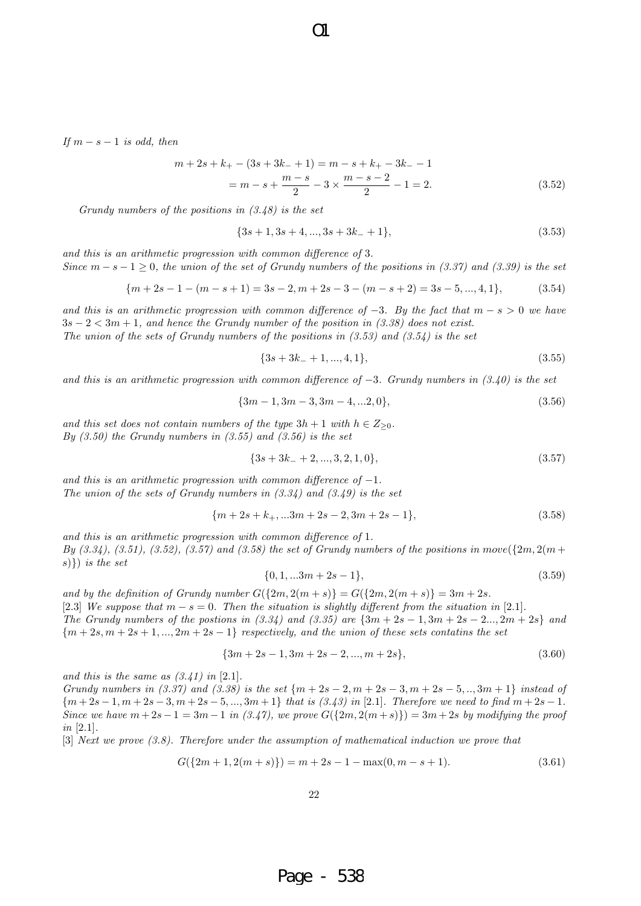*If*  $m − s − 1$  *is odd, then* 

$$
m + 2s + k+ - (3s + 3k- + 1) = m - s + k+ - 3k- - 1
$$
  
=  $m - s + \frac{m - s}{2} - 3 \times \frac{m - s - 2}{2} - 1 = 2.$  (3.52)

*Grundy numbers of the positions in (3.48) is the set*

$$
{3s+1,3s+4,...,3s+3k_-+1},
$$
\n(3.53)

*and this is an arithmetic progression with common difference of* 3*. Since*  $m - s - 1 \geq 0$ , the union of the set of Grundy numbers of the positions in (3.37) and (3.39) is the set

$$
{m+2s-1-(m-s+1)=3s-2, m+2s-3-(m-s+2)=3s-5,...,4,1},
$$
 (3.54)

*and this is an arithmetic progression with common difference of*  $-3$ *. By the fact that*  $m - s > 0$  *we have* 3*s −* 2 *<* 3*m* + 1*, and hence the Grundy number of the position in (3.38) does not exist. The union of the sets of Grundy numbers of the positions in (3.53) and (3.54) is the set*

$$
{3s + 3k_- + 1, ..., 4, 1},
$$
\n(3.55)

*and this is an arithmetic progression with common difference of −*3*. Grundy numbers in (3.40) is the set*

$$
{3m-1,3m-3,3m-4,...2,0},
$$
\n(3.56)

*and this set does not contain numbers of the type*  $3h + 1$  *<i>with*  $h \in Z_{\geq 0}$ *. By (3.50) the Grundy numbers in (3.55) and (3.56) is the set*

$$
{3s + 3k - 2, ..., 3, 2, 1, 0},
$$
\n(3.57)

*and this is an arithmetic progression with common difference of −*1*. The union of the sets of Grundy numbers in (3.34) and (3.49) is the set*

$$
{m+2s+k_+,...3m+2s-2,3m+2s-1},
$$
\n(3.58)

*and this is an arithmetic progression with common difference of* 1*. By* (3.34), (3.51), (3.52), (3.57) and (3.58) the set of Grundy numbers of the positions in move $({2m, 2(m + 1)}$ *s*)*}*) *is the set*

$$
\{0, 1, \ldots 3m + 2s - 1\},\tag{3.59}
$$

*and by the definition of Grundy number*  $G({2m, 2(m + s)} = G({2m, 2(m + s)} = 3m + 2s$ .

[2.3] We suppose that  $m - s = 0$ . Then the situation is slightly different from the situation in [2.1].

*The Grundy numbers of the postions in*  $(3.34)$  *and*  $(3.35)$  *are*  $\{3m + 2s - 1, 3m + 2s - 2, ..., 2m + 2s\}$  and *{m* + 2*s, m* + 2*s* + 1*, ...,* 2*m* + 2*s −* 1*} respectively, and the union of these sets contatins the set*

$$
{3m + 2s - 1, 3m + 2s - 2, ..., m + 2s},
$$
\n(3.60)

*and this is the same as (3.41) in* [2*.*1]*.*

*Grundy numbers in (3.37) and (3.38) is the set {m* + 2*s −* 2*, m* + 2*s −* 3*, m* + 2*s −* 5*, ..,* 3*m* + 1*} instead of*  ${m+2s-1, m+2s-3, m+2s-5,..., 3m+1}$  that is (3.43) in [2.1]. Therefore we need to find  $m+2s-1$ . *Since we have*  $m + 2s - 1 = 3m - 1$  *in (3.47), we prove*  $G({2m, 2(m+s)})=3m+2s$  *by modifying the proof in* [2*.*1]*.*

[3] *Next we prove (3.8). Therefore under the assumption of mathematical induction we prove that*

$$
G({2m+1, 2(m+s)}) = m + 2s - 1 - \max(0, m-s+1). \tag{3.61}
$$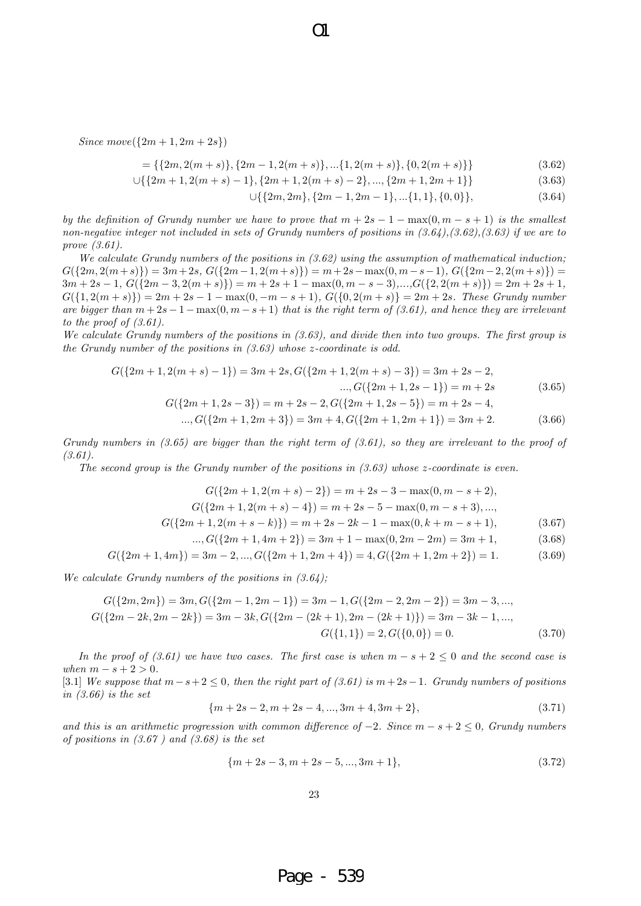$Since move({2m + 1, 2m + 2s})$ 

$$
= \{ \{2m, 2(m+s)\}, \{2m-1, 2(m+s)\}, \dots \{1, 2(m+s)\}, \{0, 2(m+s)\} \}
$$
(3.62)

$$
\cup \{ \{2m+1, 2(m+s)-1\}, \{2m+1, 2(m+s)-2\}, \dots, \{2m+1, 2m+1\} \} \tag{3.63}
$$

$$
\cup \{ \{ 2m, 2m \}, \{ 2m-1, 2m-1 \}, \dots \{ 1, 1 \}, \{ 0, 0 \} \},
$$
\n
$$
(3.64)
$$

*by the definition of Grundy number we have to prove that*  $m + 2s - 1 - \max(0, m - s + 1)$  *is the smallest non-negative integer not included in sets of Grundy numbers of positions in (3.64),(3.62),(3.63) if we are to prove (3.61).*

 $\Omega$ 

*We calculate Grundy numbers of the positions in (3.62) using the assumption of mathematical induction;*  $G({2m, 2(m+s)}) = 3m+2s, G({2m-1, 2(m+s)}) = m+2s - \max(0, m-s-1), G({2m-2, 2(m+s)}) =$  $3m+2s-1, G({2m-3, 2(m+s)}) = m+2s+1 - \max(0, m-s-3),...,G({2, 2(m+s)}) = 2m+2s+1,$  $G({1, 2(m + s)}) = 2m + 2s - 1 - max(0, -m - s + 1), G({0, 2(m + s)}) = 2m + 2s$ . These Grundy number *are bigger than*  $m + 2s - 1 - \max(0, m - s + 1)$  *that is the right term of (3.61), and hence they are irrelevant to the proof of (3.61).*

*We calculate Grundy numbers of the positions in (3.63), and divide then into two groups. The first group is the Grundy number of the positions in (3.63) whose z-coordinate is odd.*

$$
G({2m + 1, 2(m + s) - 1}) = 3m + 2s, G({2m + 1, 2(m + s) - 3}) = 3m + 2s - 2,
$$

$$
..., G({2m + 1, 2s - 1}) = m + 2s
$$
\n(3.65)

$$
G({2m + 1, 2s - 3}) = m + 2s - 2, G({2m + 1, 2s - 5}) = m + 2s - 4,
$$
  
..., 
$$
G({2m + 1, 2m + 3}) = 3m + 4, G({2m + 1, 2m + 1}) = 3m + 2.
$$
 (3.66)

Grundy numbers in (3.65) are bigger than the right term of (3.61), so they are irrelevant to the proof of 
$$
(3.61)
$$
.

*The second group is the Grundy number of the positions in (3.63) whose z-coordinate is even.*

$$
G({2m + 1, 2(m + s) - 2}) = m + 2s - 3 - \max(0, m - s + 2),
$$
  
\n
$$
G({2m + 1, 2(m + s) - 4}) = m + 2s - 5 - \max(0, m - s + 3), ...,
$$
  
\n
$$
G({2m + 1, 2(m + s - k)}) = m + 2s - 2k - 1 - \max(0, k + m - s + 1),
$$
  
\n
$$
..., G({2m + 1, 4m + 2}) = 3m + 1 - \max(0, 2m - 2m) = 3m + 1,
$$
\n(3.68)

$$
G({2m+1,4m}) = 3m-2,...,G({2m+1,2m+4}) = 4, G({2m+1,2m+2}) = 1.
$$
 (3.69)

*We calculate Grundy numbers of the positions in (3.64);*

$$
G({2m, 2m}) = 3m, G({2m - 1, 2m - 1}) = 3m - 1, G({2m - 2, 2m - 2}) = 3m - 3, ...,
$$
  
\n
$$
G({2m - 2k, 2m - 2k}) = 3m - 3k, G({2m - (2k + 1), 2m - (2k + 1)}) = 3m - 3k - 1, ...,
$$
  
\n
$$
G({1, 1}) = 2, G({0, 0}) = 0.
$$
\n(3.70)

*In the proof of (3.61) we have two cases. The first case is when*  $m - s + 2 \leq 0$  *and the second case is*  $when m - s + 2 > 0.$ 

[3*.*1] *We suppose that m−s*+ 2 *≤* 0*, then the right part of (3.61) is m*+ 2*s−*1*. Grundy numbers of positions in (3.66) is the set*

$$
{m+2s-2, m+2s-4, ..., 3m+4, 3m+2},
$$
\n(3.71)

*and this is an arithmetic progression with common difference of*  $-2$ *. Since*  $m - s + 2 \leq 0$ *, Grundy numbers of positions in (3.67 ) and (3.68) is the set*

$$
{m+2s-3, m+2s-5, ..., 3m+1},
$$
\n(3.72)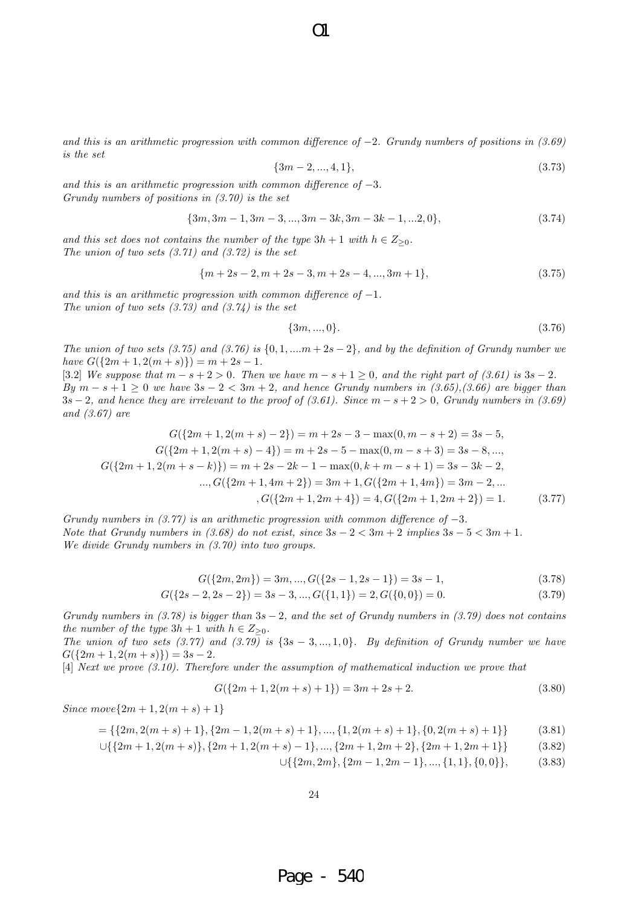*and this is an arithmetic progression with common difference of −*2*. Grundy numbers of positions in (3.69) is the set*

$$
{3m-2,...,4,1}, \t(3.73)
$$

*and this is an arithmetic progression with common difference of −*3*. Grundy numbers of positions in (3.70) is the set*

$$
{3m, 3m-1, 3m-3, ..., 3m-3k, 3m-3k-1, ...2, 0},
$$
\n(3.74)

*and this set does not contains the number of the type*  $3h + 1$  *with*  $h \in Z_{\geq 0}$ *. The union of two sets (3.71) and (3.72) is the set*

$$
\{m+2s-2, m+2s-3, m+2s-4, ..., 3m+1\},\tag{3.75}
$$

*and this is an arithmetic progression with common difference of −*1*. The union of two sets (3.73) and (3.74) is the set*

$$
\{3m, ..., 0\}.\tag{3.76}
$$

*The union of two sets (3.75) and (3.76) is {*0*,* 1*, ....m* + 2*s −* 2*}, and by the definition of Grundy number we*  $h$  *have*  $G({2m + 1, 2(m + s)}) = m + 2s - 1$ .

[3.2] We suppose that  $m - s + 2 > 0$ . Then we have  $m - s + 1 \geq 0$ , and the right part of (3.61) is  $3s - 2$ . *By*  $m - s + 1 \ge 0$  *we have*  $3s - 2 < 3m + 2$ *, and hence Grundy numbers in (3.65),(3.66) are bigger than* 3*s −* 2*, and hence they are irrelevant to the proof of (3.61). Since m − s* + 2 *>* 0*, Grundy numbers in (3.69) and (3.67) are*

$$
G({2m + 1, 2(m + s) - 2}) = m + 2s - 3 - \max(0, m - s + 2) = 3s - 5,
$$
  
\n
$$
G({2m + 1, 2(m + s) - 4}) = m + 2s - 5 - \max(0, m - s + 3) = 3s - 8, ...,
$$
  
\n
$$
G({2m + 1, 2(m + s - k)}) = m + 2s - 2k - 1 - \max(0, k + m - s + 1) = 3s - 3k - 2,
$$
  
\n
$$
..., G({2m + 1, 4m + 2}) = 3m + 1, G({2m + 1, 4m}) = 3m - 2, ...
$$
  
\n
$$
G({2m + 1, 2m + 4}) = 4, G({2m + 1, 2m + 2}) = 1.
$$
\n(3.77)

*Grundy numbers in (3.77) is an arithmetic progression with common difference of −*3*. Note that Grundy numbers in*  $(3.68)$  *do not exist, since*  $3s - 2 < 3m + 2$  *implies*  $3s - 5 < 3m + 1$ *. We divide Grundy numbers in (3.70) into two groups.*

$$
G({2m, 2m}) = 3m, ..., G({2s - 1, 2s - 1}) = 3s - 1,
$$
\n(3.78)

$$
G({2s-2, 2s-2}) = 3s-3, ..., G({1, 1}) = 2, G({0, 0}) = 0.
$$
\n(3.79)

*Grundy numbers in (3.78) is bigger than* 3*s −* 2*, and the set of Grundy numbers in (3.79) does not contains the number of the type*  $3h + 1$  *with*  $h \in Z_{\geq 0}$ *.* 

*The union of two sets (3.77) and (3.79) is {*3*s −* 3*, ...,* 1*,* 0*}. By definition of Grundy number we have*  $G({2m+1, 2(m+s)}) = 3s-2.$ 

[4] *Next we prove (3.10). Therefore under the assumption of mathematical induction we prove that*

$$
G({2m + 1, 2(m + s) + 1}) = 3m + 2s + 2.
$$
\n(3.80)

 $Since move\{2m+1, 2(m+s)+1\}$ 

$$
= \{ \{2m, 2(m+s)+1\}, \{2m-1, 2(m+s)+1\}, \dots, \{1, 2(m+s)+1\}, \{0, 2(m+s)+1\} \}
$$
(3.81)

$$
\cup \{ \{2m+1, 2(m+s)\}, \{2m+1, 2(m+s)-1\}, \dots, \{2m+1, 2m+2\}, \{2m+1, 2m+1\} \} \tag{3.82}
$$

*∪{{*2*m,* 2*m}, {*2*m −* 1*,* 2*m −* 1*}, ..., {*1*,* 1*}, {*0*,* 0*}},* (3.83)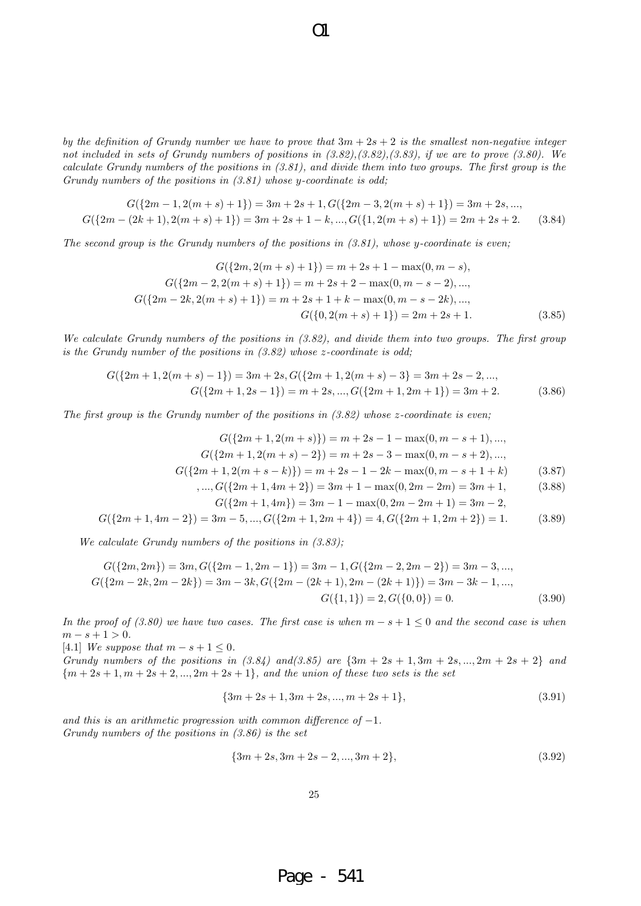*by the definition of Grundy number we have to prove that*  $3m + 2s + 2$  *is the smallest non-negative integer not included in sets of Grundy numbers of positions in (3.82),(3.82),(3.83), if we are to prove (3.80). We calculate Grundy numbers of the positions in (3.81), and divide them into two groups. The first group is the Grundy numbers of the positions in (3.81) whose y-coordinate is odd;*

 $\Omega$ 

$$
G({2m-1, 2(m+s)+1}) = 3m+2s+1, G({2m-3, 2(m+s)+1}) = 3m+2s, ...,
$$
  

$$
G({2m-(2k+1), 2(m+s)+1}) = 3m+2s+1-k, ..., G({1, 2(m+s)+1}) = 2m+2s+2.
$$
 (3.84)

*The second group is the Grundy numbers of the positions in (3.81), whose y-coordinate is even;*

$$
G({2m, 2(m + s) + 1}) = m + 2s + 1 - \max(0, m - s),
$$
  
\n
$$
G({2m - 2, 2(m + s) + 1}) = m + 2s + 2 - \max(0, m - s - 2), ...,
$$
  
\n
$$
G({2m - 2k, 2(m + s) + 1}) = m + 2s + 1 + k - \max(0, m - s - 2k), ...,
$$
  
\n
$$
G({0, 2(m + s) + 1}) = 2m + 2s + 1.
$$
\n(3.85)

*We calculate Grundy numbers of the positions in (3.82), and divide them into two groups. The first group is the Grundy number of the positions in (3.82) whose z-coordinate is odd;*

$$
G({2m + 1, 2(m + s) - 1}) = 3m + 2s, G({2m + 1, 2(m + s) - 3}) = 3m + 2s - 2, ...,
$$
  
\n
$$
G({2m + 1, 2s - 1}) = m + 2s, ..., G({2m + 1, 2m + 1}) = 3m + 2.
$$
 (3.86)

*The first group is the Grundy number of the positions in (3.82) whose z-coordinate is even;*

$$
G({2m + 1, 2(m + s)}) = m + 2s - 1 - \max(0, m - s + 1), ...,
$$
  
\n
$$
G({2m + 1, 2(m + s) - 2}) = m + 2s - 3 - \max(0, m - s + 2), ...,
$$
  
\n
$$
G({2m + 1, 2(m + s - k)}) = m + 2s - 1 - 2k - \max(0, m - s + 1 + k)
$$
 (3.87)

$$
\ldots, G({2m+1, 4m+2}) = 3m+1 - \max(0, 2m-2m) = 3m+1, \tag{3.88}
$$

$$
G({2m + 1, 4m}) = 3m - 1 - \max(0, 2m - 2m + 1) = 3m - 2,
$$
\n(3.83)

$$
G({2m+1, 4m-2}) = 3m-5, ..., G({2m+1, 2m+4}) = 4, G({2m+1, 2m+2}) = 1.
$$
 (3.89)

*We calculate Grundy numbers of the positions in (3.83);*

$$
G({2m, 2m}) = 3m, G({2m - 1, 2m - 1}) = 3m - 1, G({2m - 2, 2m - 2}) = 3m - 3, ...,
$$
  
\n
$$
G({2m - 2k, 2m - 2k}) = 3m - 3k, G({2m - (2k + 1), 2m - (2k + 1)}) = 3m - 3k - 1, ...,
$$
  
\n
$$
G({1, 1}) = 2, G({0, 0}) = 0.
$$
\n(3.90)

*In the proof of (3.80) we have two cases. The first case is when*  $m - s + 1 \leq 0$  and the second case is when  $m - s + 1 > 0$ .

[4*.1*] *We suppose that*  $m - s + 1 \leq 0$ *.* 

*Grundy numbers of the positions in (3.84) and (3.85) are*  $\{3m + 2s + 1, 3m + 2s, ..., 2m + 2s + 2\}$  and  ${m+2s+1, m+2s+2, ..., 2m+2s+1}$ *, and the union of these two sets is the set* 

$$
{3m + 2s + 1, 3m + 2s, ..., m + 2s + 1},
$$
\n(3.91)

*and this is an arithmetic progression with common difference of −*1*. Grundy numbers of the positions in (3.86) is the set*

$$
{3m + 2s, 3m + 2s - 2, ..., 3m + 2},
$$
\n(3.92)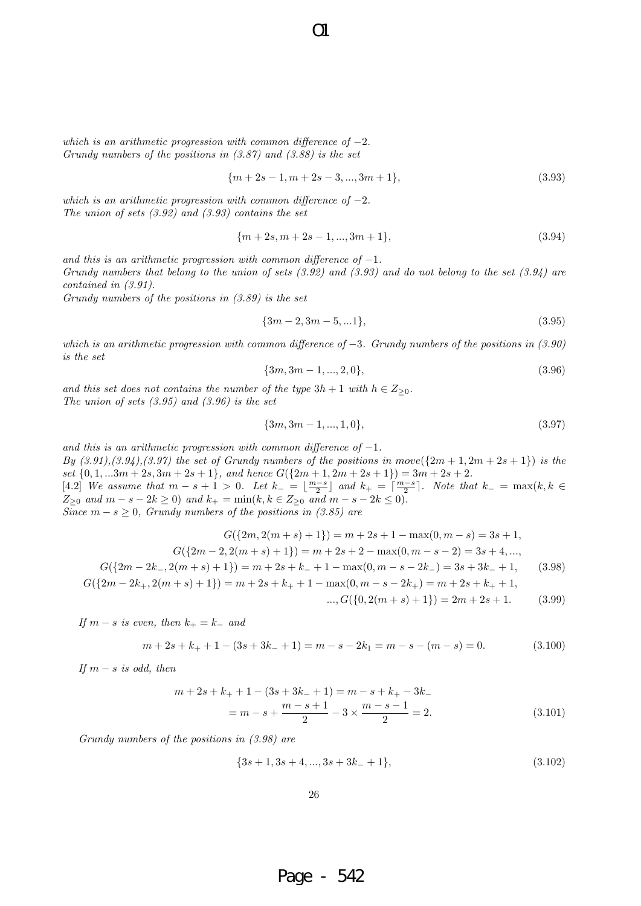*which is an arithmetic progression with common difference of −*2*. Grundy numbers of the positions in (3.87) and (3.88) is the set*

$$
{m+2s-1, m+2s-3, ..., 3m+1},
$$
\n(3.93)

*which is an arithmetic progression with common difference of −*2*. The union of sets (3.92) and (3.93) contains the set*

$$
{m+2s, m+2s-1, ..., 3m+1},
$$
\n(3.94)

*and this is an arithmetic progression with common difference of −*1*. Grundy numbers that belong to the union of sets (3.92) and (3.93) and do not belong to the set (3.94) are contained in (3.91).*

*Grundy numbers of the positions in (3.89) is the set*

$$
{3m-2,3m-5,...1},
$$
\n(3.95)

*which is an arithmetic progression with common difference of −*3*. Grundy numbers of the positions in (3.90) is the set*

$$
{3m, 3m-1, ..., 2, 0}, \t(3.96)
$$

*and this set does not contains the number of the type*  $3h + 1$  *with*  $h \in Z_{\geq 0}$ *. The union of sets (3.95) and (3.96) is the set*

$$
{3m,3m-1,...,1,0}, \t(3.97)
$$

*and this is an arithmetic progression with common difference of −*1*. By*  $(3.91), (3.94), (3.97)$  the set of Grundy numbers of the positions in  $move({2m + 1, 2m + 2s + 1})$  is the set  $\{0, 1, ...3m + 2s, 3m + 2s + 1\}$ , and hence  $G({2m + 1, 2m + 2s + 1}) = 3m + 2s + 2$ . [4.2] We assume that  $m-s+1>0$ . Let  $k_-=\lfloor \frac{m-s}{2}\rfloor$  and  $k_+=\lceil \frac{m-s}{2}\rceil$ . Note that  $k_-=\max(k, k \in \mathbb{Z})$  $Z_{\geq 0}$  and  $m - s - 2k \geq 0$ ) and  $k_{+} = \min(k, k \in Z_{\geq 0}$  and  $m - s - 2k \leq 0)$ . *Since*  $m - s \geq 0$ , *Grundy numbers of the positions in (3.85) are* 

$$
G({2m, 2(m + s) + 1}) = m + 2s + 1 - \max(0, m - s) = 3s + 1,
$$
  
\n
$$
G({2m - 2, 2(m + s) + 1}) = m + 2s + 2 - \max(0, m - s - 2) = 3s + 4, ...,
$$
  
\n
$$
G({2m - 2k_-, 2(m + s) + 1}) = m + 2s + k_- + 1 - \max(0, m - s - 2k_-) = 3s + 3k_- + 1,
$$
\n(3.98)

$$
G({2m-2k_+, 2(m+s)+1}) = m+2s+k_+ + 1 - \max(0, m-s-2k_+) = m+2s+k_+ + 1,
$$
  
..., 
$$
G({0, 2(m+s)+1}) = 2m+2s+1.
$$
 (3.99)

*If*  $m − s$  *is even, then*  $k + = k −$  *and* 

$$
m + 2s + k_{+} + 1 - (3s + 3k_{-} + 1) = m - s - 2k_{1} = m - s - (m - s) = 0.
$$
 (3.100)

*If*  $m − s$  *is odd, then* 

$$
m + 2s + k_{+} + 1 - (3s + 3k_{-} + 1) = m - s + k_{+} - 3k_{-}
$$

$$
= m - s + \frac{m - s + 1}{2} - 3 \times \frac{m - s - 1}{2} = 2.
$$
(3.101)

*Grundy numbers of the positions in (3.98) are*

$$
{3s+1,3s+4,...,3s+3k_-+1},
$$
\n(3.102)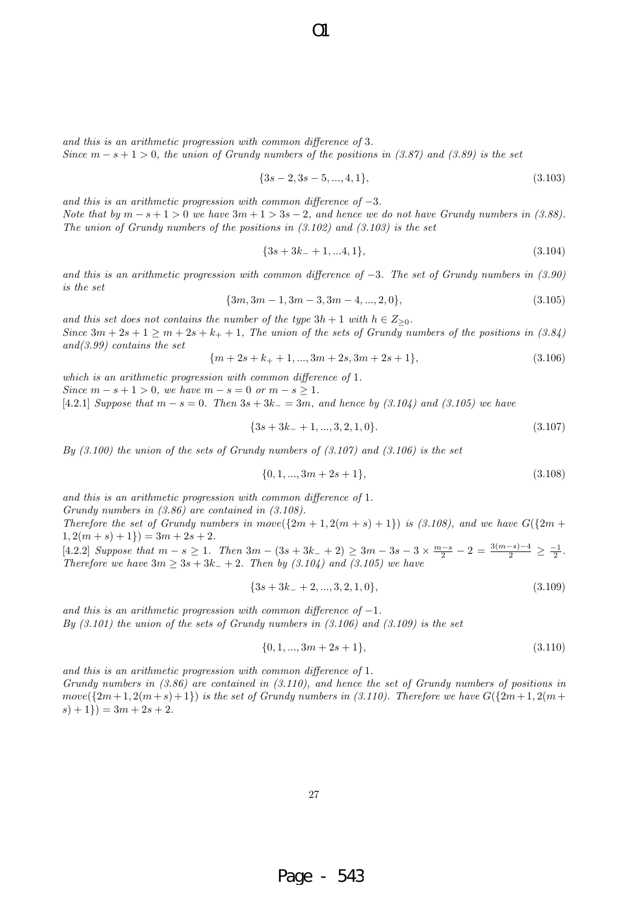*and this is an arithmetic progression with common difference of* 3*. Since*  $m - s + 1 > 0$ , the union of Grundy numbers of the positions in (3.87) and (3.89) is the set

$$
{3s-2,3s-5,...,4,1},
$$
\n(3.103)

*and this is an arithmetic progression with common difference of −*3*. Note that by*  $m - s + 1 > 0$  *we have*  $3m + 1 > 3s - 2$ , and hence we do not have Grundy numbers in (3.88). *The union of Grundy numbers of the positions in (3.102) and (3.103) is the set*

$$
{3s + 3k_- + 1, ... 4, 1},
$$
\n(3.104)

*and this is an arithmetic progression with common difference of −*3*. The set of Grundy numbers in (3.90) is the set*

$$
{3m, 3m-1, 3m-3, 3m-4, ..., 2, 0},
$$
\n(3.105)

*and this set does not contains the number of the type*  $3h + 1$  *with*  $h \in Z_{\geq 0}$ *. Since*  $3m + 2s + 1 \ge m + 2s + k_+ + 1$ , The union of the sets of Grundy numbers of the positions in (3.84) *and(3.99) contains the set*

$$
{m+2s+k_{+}+1,...,3m+2s,3m+2s+1},
$$
\n(3.106)

*which is an arithmetic progression with common difference of* 1*. Since*  $m - s + 1 > 0$ *, we have*  $m - s = 0$  *or*  $m - s \ge 1$ *.* 

[4*.*2*.*1] *Suppose that m − s* = 0*. Then* 3*s* + 3*k<sup>−</sup>* = 3*m, and hence by (3.104) and (3.105) we have*

$$
{3s + 3k_- + 1, ..., 3, 2, 1, 0}.
$$
\n(3.107)

*By (3.100) the union of the sets of Grundy numbers of (3.107) and (3.106) is the set*

$$
\{0, 1, \ldots, 3m + 2s + 1\},\tag{3.108}
$$

*and this is an arithmetic progression with common difference of* 1*.*

*Grundy numbers in (3.86) are contained in (3.108).*

*Therefore the set of Grundy numbers in*  $move({2m + 1, 2(m + s) + 1})$  *<i>is (3.108), and we have*  $G({2m + 1, 2(m + s) + 1})$  $1, 2(m + s) + 1) = 3m + 2s + 2.$ 

 $[4.2.2]$  Suppose that  $m - s \ge 1$ . Then  $3m - (3s + 3k - 1) \ge 3m - 3s - 3 \times \frac{m - s}{2} - 2 = \frac{3(m - s) - 4}{2} \ge \frac{-1}{2}$ . *Therefore we have*  $3m ≥ 3s + 3k<sub>−</sub> + 2$ *. Then by (3.104) and (3.105) we have* 

$$
{3s + 3k_ - + 2, ..., 3, 2, 1, 0},
$$
\n(3.109)

*and this is an arithmetic progression with common difference of −*1*. By (3.101) the union of the sets of Grundy numbers in (3.106) and (3.109) is the set*

$$
\{0, 1, ..., 3m + 2s + 1\},\tag{3.110}
$$

*and this is an arithmetic progression with common difference of* 1*. Grundy numbers in (3.86) are contained in (3.110), and hence the set of Grundy numbers of positions in*  $move({2m+1, 2(m+s)+1})$  *is the set of Grundy numbers in (3.110). Therefore we have*  $G({2m+1, 2(m+s)+1})$  $(s) + 1$ } $) = 3m + 2s + 2.$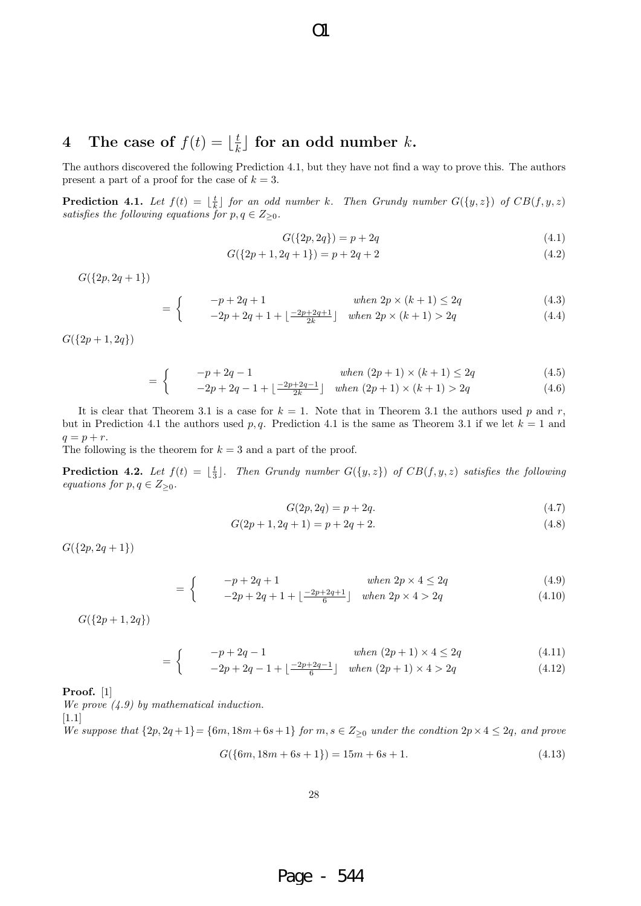#### **4** The case of  $f(t) = \frac{t}{k}$  $\frac{t}{k}$  for an odd number  $k$ **.**

The authors discovered the following Prediction 4.1, but they have not find a way to prove this. The authors present a part of a proof for the case of  $k = 3$ .

 $\overline{O}1$ 

**Prediction 4.1.** Let  $f(t) = \lfloor \frac{t}{k} \rfloor$  for an odd number k. Then Grundy number  $G({y,z})$  of  $CB(f,y,z)$ *satisfies the following equations for*  $p, q \in Z_{\geq 0}$ *.* 

$$
G({2p, 2q}) = p + 2q
$$
\n(4.1)

$$
G({2p + 1, 2q + 1}) = p + 2q + 2
$$
\n(4.2)

 $G({2p, 2q + 1})$ 

$$
= \begin{cases} -p + 2q + 1 & \text{when } 2p \times (k+1) \le 2q \end{cases}
$$
 (4.3)

$$
\left\{ \qquad -2p + 2q + 1 + \left\lfloor \frac{-2p + 2q + 1}{2k} \right\rfloor \quad \text{when } 2p \times (k+1) > 2q \tag{4.4}
$$

*G*(*{*2*p* + 1*,* 2*q}*)

$$
= \begin{cases} -p + 2q - 1 & \text{when } (2p + 1) \times (k + 1) \le 2q \end{cases}
$$
(4.5)

$$
- \left( -2p + 2q - 1 + \left[ \frac{-2p + 2q - 1}{2k} \right] \quad when \ (2p + 1) \times (k + 1) > 2q \tag{4.6}
$$

It is clear that Theorem 3.1 is a case for  $k = 1$ . Note that in Theorem 3.1 the authors used p and r, but in Prediction 4.1 the authors used  $p, q$ . Prediction 4.1 is the same as Theorem 3.1 if we let  $k = 1$  and  $q = p + r$ .

The following is the theorem for  $k = 3$  and a part of the proof.

**Prediction 4.2.** Let  $f(t) = \lfloor \frac{t}{3} \rfloor$ . Then Grundy number  $G({y, z})$  of  $CB(f, y, z)$  satisfies the following *equations for*  $p, q \in Z_{\geq 0}$ *.* 

$$
G(2p, 2q) = p + 2q.\t\t(4.7)
$$

$$
G(2p+1, 2q+1) = p + 2q + 2.
$$
\n(4.8)

*G*(*{*2*p,* 2*q* + 1*}*)

$$
= \begin{cases} -p + 2q + 1 & \text{when } 2p \times 4 \le 2q \end{cases} \tag{4.9}
$$

$$
= \begin{cases} -2p + 2q + 1 + \lfloor \frac{-2p + 2q + 1}{6} \rfloor & when \ 2p \times 4 > 2q \end{cases}
$$
 (4.10)

*G*(*{*2*p* + 1*,* 2*q}*)

$$
= \begin{cases} -p + 2q - 1 & \text{when } (2p + 1) \times 4 \le 2q \end{cases}
$$
 (4.11)

$$
= \begin{cases} 1 & -2p + 2q - 1 + \lfloor \frac{-2p + 2q - 1}{6} \rfloor & when (2p + 1) \times 4 > 2q \end{cases}
$$
(4.12)

**Proof.** [1]

*We prove (4.9) by mathematical induction.*

[1*.*1]

We suppose that 
$$
\{2p, 2q+1\} = \{6m, 18m+6s+1\}
$$
 for  $m, s \in Z_{\geq 0}$  under the condition  $2p \times 4 \leq 2q$ , and prove

$$
G({6m, 18m + 6s + 1}) = 15m + 6s + 1.
$$
\n(4.13)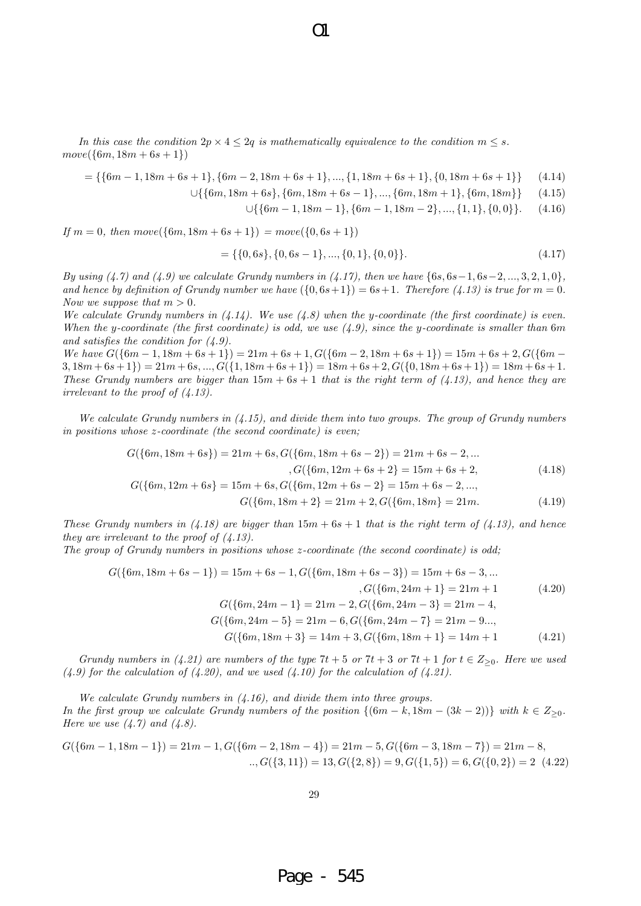*In this case the condition*  $2p \times 4 \leq 2q$  *is mathematically equivalence to the condition*  $m \leq s$ *.*  $move({6m, 18m + 6s + 1})$ 

 $= \{\{6m-1, 18m+6s+1\}, \{6m-2, 18m+6s+1\}, \dots, \{1, 18m+6s+1\}, \{0, 18m+6s+1\}\}\$ (4.14)

 $\Omega$ 

$$
\cup \{ \{6m, 18m + 6s\}, \{6m, 18m + 6s - 1\}, \dots, \{6m, 18m + 1\}, \{6m, 18m\} \} \tag{4.15}
$$

 $\cup$ {{6m - 1, 18m - 1}, {6m - 1, 18m - 2}, ..., {1, 1}, {0, 0}}. (4.16)

 $If$  *m* = 0*, then*  $move({6m, 18m + 6s + 1})$  =  $move({0, 6s + 1})$ 

$$
= \{\{0, 6s\}, \{0, 6s - 1\}, \dots, \{0, 1\}, \{0, 0\}\}.
$$
\n
$$
(4.17)
$$

*By using*  $(4.7)$  and  $(4.9)$  we calculate Grundy numbers in  $(4.17)$ , then we have  $\{6s, 6s-1, 6s-2, ..., 3, 2, 1, 0\}$ , *and hence by definition of Grundy number we have*  $(\{0, 6s + 1\}) = 6s + 1$ *. Therefore*  $(4.13)$  is true for  $m = 0$ *. Now we suppose that*  $m > 0$ *.* 

*We calculate Grundy numbers in (4.14). We use (4.8) when the y-coordinate (the first coordinate) is even. When the y-coordinate (the first coordinate) is odd, we use (4.9), since the y-coordinate is smaller than* 6*m and satisfies the condition for (4.9).*

We have  $G({6m-1,18m+6s+1}) = 21m+6s+1, G({6m-2,18m+6s+1}) = 15m+6s+2, G({6m-2,18m+6s+1})$  $(3, 18m + 6s + 1) = 21m + 6s, ..., G({1, 18m + 6s + 1}) = 18m + 6s + 2, G({0, 18m + 6s + 1}) = 18m + 6s + 1.$ *These Grundy numbers are bigger than* 15*m* + 6*s* + 1 *that is the right term of (4.13), and hence they are irrelevant to the proof of (4.13).*

*We calculate Grundy numbers in (4.15), and divide them into two groups. The group of Grundy numbers in positions whose z-coordinate (the second coordinate) is even;*

$$
G({6m, 18m + 6s}) = 21m + 6s, G({6m, 18m + 6s - 2}) = 21m + 6s - 2, ...
$$
  
\n
$$
G({6m, 12m + 6s + 2}) = 15m + 6s + 2,
$$
  
\n
$$
G({6m, 12m + 6s}) = 15m + 6s, G({6m, 12m + 6s - 2}) = 15m + 6s - 2, ...
$$
  
\n(4.18)

$$
G({6m, 18m + 2} = 21m + 2, G({6m, 18m} = 21m.
$$
\n(4.19)

*These Grundy numbers in (4.18) are bigger than*  $15m + 6s + 1$  *that is the right term of (4.13), and hence they are irrelevant to the proof of (4.13).*

*The group of Grundy numbers in positions whose z-coordinate (the second coordinate) is odd;*

$$
G({6m, 18m + 6s - 1}) = 15m + 6s - 1, G({6m, 18m + 6s - 3}) = 15m + 6s - 3, ...
$$

$$
G({6m, 24m + 1} = 21m + 1
$$

$$
G({6m, 24m - 1} = 21m - 2, G({6m, 24m - 3} = 21m - 4,
$$

$$
G({6m, 24m - 5} = 21m - 6, G({6m, 24m - 7} = 21m - 9...,
$$

$$
G({6m, 18m + 3} = 14m + 3, G({6m, 18m + 1} = 14m + 1
$$

$$
(4.21)
$$

*Grundy numbers in*  $(4.21)$  are numbers of the type  $7t + 5$  or  $7t + 3$  or  $7t + 1$  for  $t \in Z_{\geq 0}$ . Here we used  $(4.9)$  for the calculation of  $(4.20)$ , and we used  $(4.10)$  for the calculation of  $(4.21)$ .

*We calculate Grundy numbers in (4.16), and divide them into three groups.*

*In the first group we calculate Grundy numbers of the position*  ${(6m - k, 18m − (3k − 2))}$  *with*  $k ∈ Z_{\geq 0}$ *. Here we use (4.7) and (4.8).*

$$
G({6m-1, 18m-1}) = 21m-1, G({6m-2, 18m-4}) = 21m-5, G({6m-3, 18m-7}) = 21m-8,
$$
  
 
$$
...G({3, 11}) = 13, G({2, 8}) = 9, G({1, 5}) = 6, G({0, 2}) = 2
$$
 (4.22)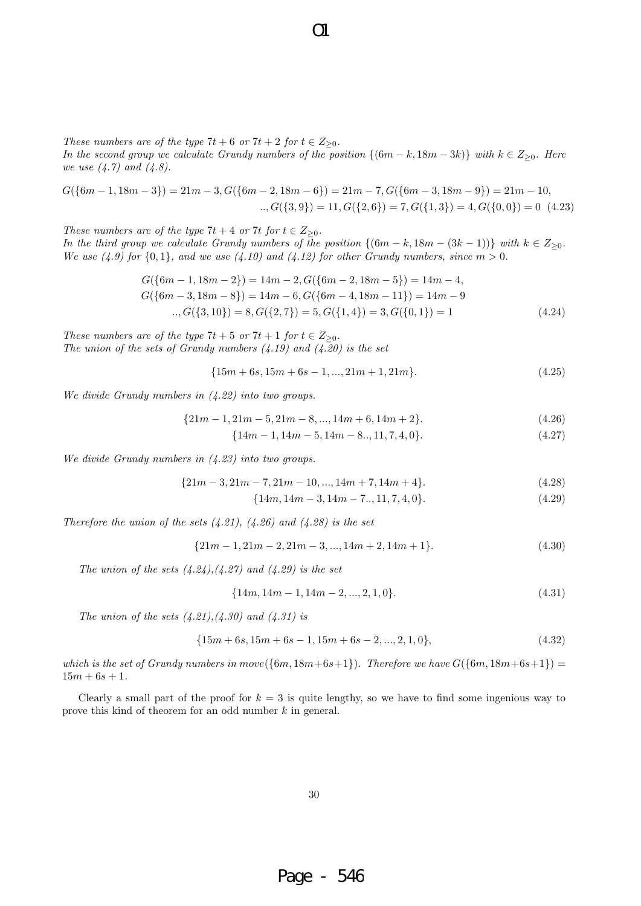*These numbers are of the type*  $7t + 6$  *or*  $7t + 2$  *for*  $t \in Z_{\geq 0}$ *.* 

*In the second group we calculate Grundy numbers of the position*  ${(6m − k, 18m − 3k)}$  *with*  $k ∈ Z_{≥0}$ *. Here we use (4.7) and (4.8).*

 $\Omega$ 

 $G({6m-1, 18m-3}) = 21m-3, G({6m-2, 18m-6}) = 21m-7, G({6m-3, 18m-9}) = 21m-10,$ *.., G*(*{*3*,* 9*}*) = 11*, G*(*{*2*,* 6*}*) = 7*, G*(*{*1*,* 3*}*) = 4*, G*(*{*0*,* 0*}*) = 0 (4.23)

*These numbers are of the type*  $7t + 4$  *or*  $7t$  *for*  $t \in Z_{\geq 0}$ *. In the third group we calculate Grundy numbers of the position*  $\{(6m - k, 18m - (3k - 1))\}$  *with*  $k \in Z_{\geq 0}$ *. We use* (4.9) for  $\{0,1\}$ , and we use (4.10) and (4.12) for other Grundy numbers, since  $m > 0$ .

$$
G({6m - 1, 18m - 2}) = 14m - 2, G({6m - 2, 18m - 5}) = 14m - 4,
$$
  
\n
$$
G({6m - 3, 18m - 8}) = 14m - 6, G({6m - 4, 18m - 11}) = 14m - 9
$$
  
\n
$$
...G({3, 10}) = 8, G({2, 7}) = 5, G({1, 4}) = 3, G({0, 1}) = 1
$$
\n(4.24)

*These numbers are of the type*  $7t + 5$  *or*  $7t + 1$  *for*  $t \in Z_{\geq 0}$ *. The union of the sets of Grundy numbers (4.19) and (4.20) is the set*

$$
\{15m + 6s, 15m + 6s - 1, ..., 21m + 1, 21m\}.
$$
\n(4.25)

*We divide Grundy numbers in (4.22) into two groups.*

$$
{21m-1, 21m-5, 21m-8, ..., 14m+6, 14m+2}.
$$
\n(4.26)

$$
\{14m-1, 14m-5, 14m-8..., 11, 7, 4, 0\}.\tag{4.27}
$$

*We divide Grundy numbers in (4.23) into two groups.*

$$
{21m-3, 21m-7, 21m-10, ..., 14m+7, 14m+4}.
$$
\n(4.28)

$$
\{14m, 14m-3, 14m-7..., 11, 7, 4, 0\}.
$$
\n
$$
(4.29)
$$

*Therefore the union of the sets (4.21), (4.26) and (4.28) is the set*

$$
{21m - 1, 21m - 2, 21m - 3, ..., 14m + 2, 14m + 1}.
$$
\n(4.30)

*The union of the sets (4.24),(4.27) and (4.29) is the set*

$$
\{14m, 14m-1, 14m-2, \dots, 2, 1, 0\}.\tag{4.31}
$$

*The union of the sets (4.21),(4.30) and (4.31) is*

$$
\{15m + 6s, 15m + 6s - 1, 15m + 6s - 2, ..., 2, 1, 0\},\tag{4.32}
$$

*which is the set of Grundy numbers in*  $move({6m, 18m+6s+1})$ *. Therefore we have*  $G({6m, 18m+6s+1})$  =  $15m + 6s + 1$ .

Clearly a small part of the proof for  $k = 3$  is quite lengthy, so we have to find some ingenious way to prove this kind of theorem for an odd number *k* in general.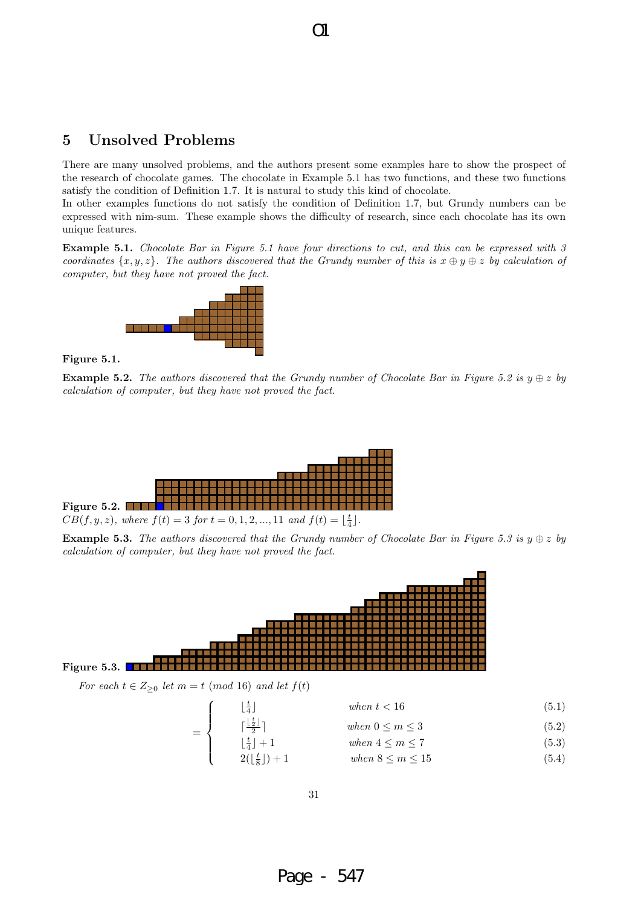# **5 Unsolved Problems**

There are many unsolved problems, and the authors present some examples hare to show the prospect of the research of chocolate games. The chocolate in Example 5.1 has two functions, and these two functions satisfy the condition of Definition 1.7. It is natural to study this kind of chocolate.

 $\overline{O}1$ 

In other examples functions do not satisfy the condition of Definition 1.7, but Grundy numbers can be expressed with nim-sum. These example shows the difficulty of research, since each chocolate has its own unique features.

**Example 5.1.** *Chocolate Bar in Figure 5.1 have four directions to cut, and this can be expressed with 3 coordinates*  $\{x, y, z\}$ *. The authors discovered that the Grundy number of this is*  $x \oplus y \oplus z$  *by calculation of computer, but they have not proved the fact.*



#### **Figure 5.1.**

**Example 5.2.** *The authors discovered that the Grundy number of Chocolate Bar in Figure 5.2 is*  $y \oplus z$  *by calculation of computer, but they have not proved the fact.*



**Example 5.3.** *The authors discovered that the Grundy number of Chocolate Bar in Figure 5.3 is*  $y \oplus z$  *by calculation of computer, but they have not proved the fact.*



*For each*  $t \in Z_{\geq 0}$  *let*  $m = t \pmod{16}$  *and let*  $f(t)$ 

=

 $\sqrt{ }$  $\Big\}$ 

 $\overline{\mathcal{L}}$ 

$$
\lfloor \frac{t}{4} \rfloor \tag{5.1}
$$

- $\lceil \frac{\lfloor \frac{t}{2} \rfloor}{2} \rceil$  *when*  $0 \le m \le 3$  (5.2)
- $\lfloor \frac{t}{4} \rfloor + 1$  *when*  $4 \le m \le 7$  (5.3)
- $2(\lfloor \frac{t}{8} \rfloor) + 1$  *when*  $8 \le m \le 15$  (5.4)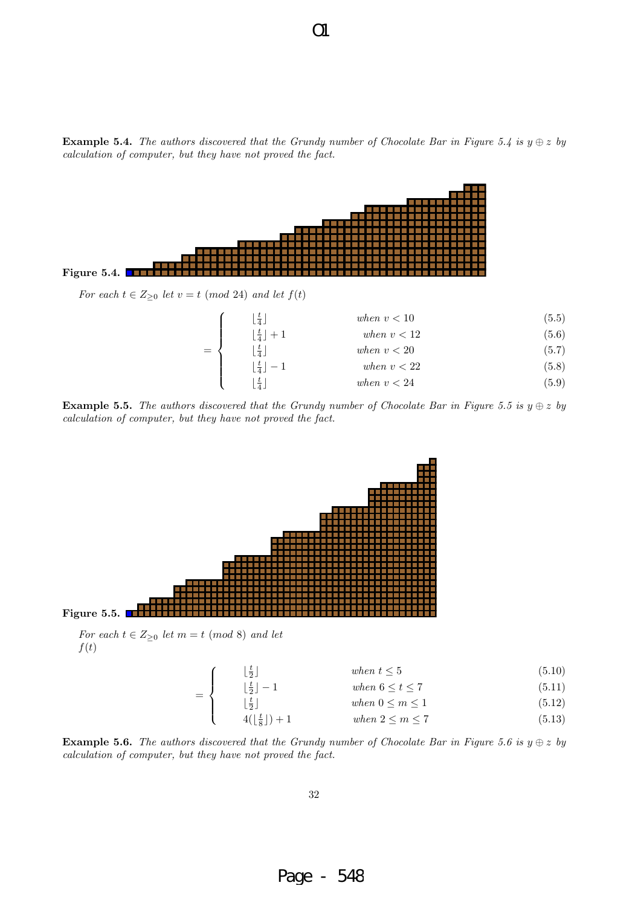**Example 5.4.** *The authors discovered that the Grundy number of Chocolate Bar in Figure 5.4 is*  $y \oplus z$  *by calculation of computer, but they have not proved the fact.*





**Example 5.5.** *The authors discovered that the Grundy number of Chocolate Bar in Figure 5.5 is*  $y \oplus z$  *by calculation of computer, but they have not proved the fact.*



=

 $\sqrt{ }$  $\Big\}$ 

 $\overline{\mathcal{L}}$ 

*f*(*t*)

| $\lfloor \frac{t}{2} \rfloor$     | when $t \leq 5$      | (5.10) |
|-----------------------------------|----------------------|--------|
| $\lfloor \frac{t}{2} \rfloor - 1$ | when $6 \le t \le 7$ | (5.11) |

$$
\lfloor \frac{t}{2} \rfloor \qquad \qquad when \ 0 \le m \le 1 \tag{5.12}
$$

$$
4(\lfloor \frac{t}{8} \rfloor) + 1 \qquad \qquad when \ 2 \le m \le 7 \tag{5.13}
$$

**Example 5.6.** *The authors discovered that the Grundy number of Chocolate Bar in Figure 5.6 is*  $y \oplus z$  *by calculation of computer, but they have not proved the fact.*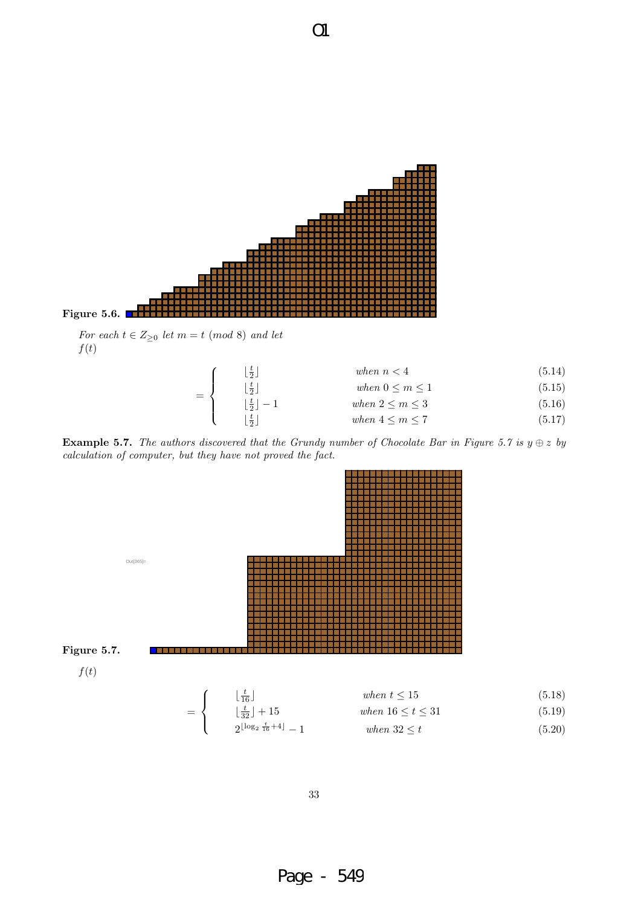

| $\lfloor \frac{t}{2} \rfloor$     | when $n < 4$           | (5.14) |
|-----------------------------------|------------------------|--------|
| $\lfloor \frac{t}{2} \rfloor$     | when $0 \leq m \leq 1$ | (5.15) |
| $\lfloor \frac{t}{2} \rfloor - 1$ | when $2 \leq m \leq 3$ | (5.16) |
| $\frac{t}{2}$                     | when $4 \leq m \leq 7$ | (5.17) |
|                                   | $=$ $\langle$          |        |

**Example 5.7.** *The authors discovered that the Grundy number of Chocolate Bar in Figure 5.7 is*  $y \oplus z$  *by calculation of computer, but they have not proved the fact.*

O1



33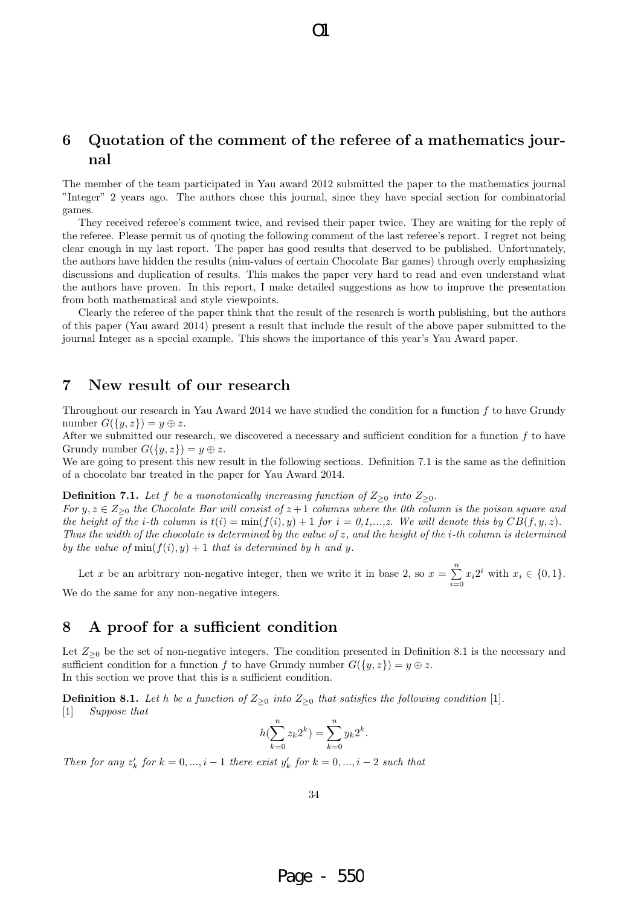# **6 Quotation of the comment of the referee of a mathematics journal**

 $\Omega$ 

The member of the team participated in Yau award 2012 submitted the paper to the mathematics journal "Integer" 2 years ago. The authors chose this journal, since they have special section for combinatorial games.

They received referee's comment twice, and revised their paper twice. They are waiting for the reply of the referee. Please permit us of quoting the following comment of the last referee's report. I regret not being clear enough in my last report. The paper has good results that deserved to be published. Unfortunately, the authors have hidden the results (nim-values of certain Chocolate Bar games) through overly emphasizing discussions and duplication of results. This makes the paper very hard to read and even understand what the authors have proven. In this report, I make detailed suggestions as how to improve the presentation from both mathematical and style viewpoints.

Clearly the referee of the paper think that the result of the research is worth publishing, but the authors of this paper (Yau award 2014) present a result that include the result of the above paper submitted to the journal Integer as a special example. This shows the importance of this year's Yau Award paper.

### **7 New result of our research**

Throughout our research in Yau Award 2014 we have studied the condition for a function *f* to have Grundy number  $G({y,z}) = y \oplus z$ .

After we submitted our research, we discovered a necessary and sufficient condition for a function *f* to have Grundy number  $G({y, z}) = y \oplus z$ .

We are going to present this new result in the following sections. Definition 7.1 is the same as the definition of a chocolate bar treated in the paper for Yau Award 2014.

#### **Definition 7.1.** *Let f be a monotonically increasing function of*  $Z_{\geq 0}$  *into*  $Z_{\geq 0}$ *.*

*For*  $y, z \in Z_{\geq 0}$  *the Chocolate Bar will consist of*  $z + 1$  *columns where the 0th column is the poison square and the height of the i-th column is*  $t(i) = \min(f(i), y) + 1$  *for*  $i = 0, 1, \ldots, z$ . We will denote this by  $CB(f, y, z)$ . *Thus the width of the chocolate is determined by the value of z, and the height of the i-th column is determined by the value of*  $min(f(i), y) + 1$  *that is determined by h and y.* 

Let *x* be an arbitrary non-negative integer, then we write it in base 2, so  $x = \sum_{n=1}^{n}$  $\sum_{i=0} x_i 2^i$  with  $x_i \in \{0, 1\}$ . We do the same for any non-negative integers.

## **8 A proof for a sufficient condition**

Let  $Z_{\geq 0}$  be the set of non-negative integers. The condition presented in Definition 8.1 is the necessary and sufficient condition for a function *f* to have Grundy number  $G({y, z}) = y \oplus z$ . In this section we prove that this is a sufficient condition.

**Definition 8.1.** *Let h be a function of*  $Z_{\geq 0}$  *into*  $Z_{\geq 0}$  *that satisfies the following condition* [1]*.* [1] *Suppose that*

$$
h(\sum_{k=0}^{n} z_k 2^k) = \sum_{k=0}^{n} y_k 2^k.
$$

*Then for any*  $z'_k$  *for*  $k = 0, ..., i - 1$  *there exist*  $y'_k$  *for*  $k = 0, ..., i - 2$  *such that*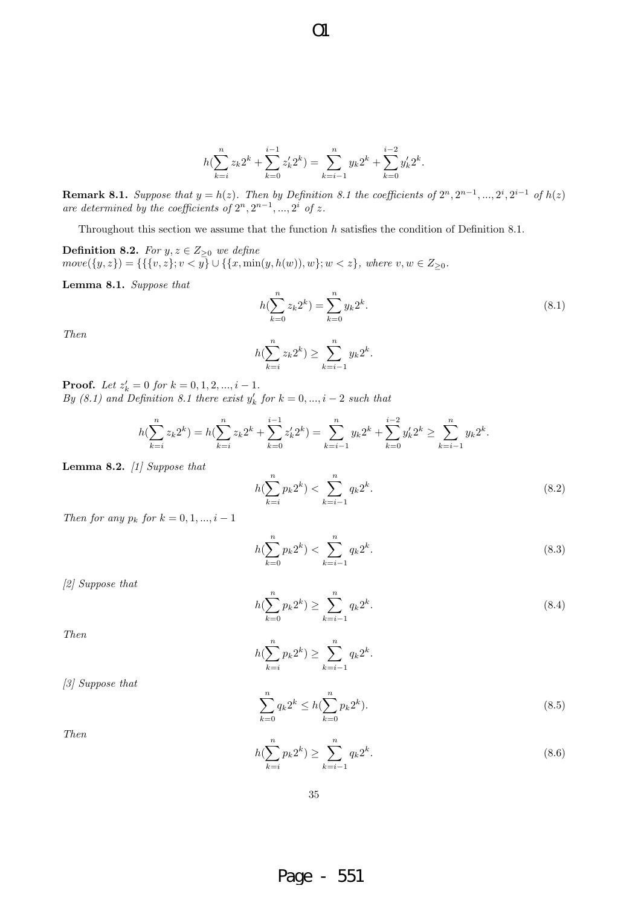$$
h(\sum_{k=i}^{n} z_k 2^k + \sum_{k=0}^{i-1} z'_k 2^k) = \sum_{k=i-1}^{n} y_k 2^k + \sum_{k=0}^{i-2} y'_k 2^k.
$$

 $O1$ 

**Remark 8.1.** Suppose that  $y = h(z)$ . Then by Definition 8.1 the coefficients of  $2^n, 2^{n-1}, ..., 2^i, 2^{i-1}$  of  $h(z)$ are determined by the coefficients of  $2^n, 2^{n-1}, ..., 2^i$  of z.

Throughout this section we assume that the function *h* satisfies the condition of Definition 8.1.

**Definition 8.2.** *For*  $y, z \in Z_{\geq 0}$  *we define*  $move(\lbrace y, z \rbrace) = \{\lbrace \lbrace v, z \rbrace; v < y \rbrace \cup \lbrace \lbrace x, \min(y, h(w)), w \rbrace; w < z \rbrace, \text{ where } v, w \in Z_{\geq 0}.$ 

**Lemma 8.1.** *Suppose that*

$$
h(\sum_{k=0}^{n} z_k 2^k) = \sum_{k=0}^{n} y_k 2^k.
$$
\n(8.1)

*Then*

$$
h(\sum_{k=i}^{n} z_k 2^k) \ge \sum_{k=i-1}^{n} y_k 2^k.
$$

**Proof.** *Let*  $z'_k = 0$  *for*  $k = 0, 1, 2, ..., i - 1$ *. By*  $(8.1)$  and Definition 8.1 there exist  $y'_k$  for  $k = 0, ..., i - 2$  such that

$$
h(\sum_{k=i}^{n} z_k 2^k) = h(\sum_{k=i}^{n} z_k 2^k + \sum_{k=0}^{i-1} z'_k 2^k) = \sum_{k=i-1}^{n} y_k 2^k + \sum_{k=0}^{i-2} y'_k 2^k \ge \sum_{k=i-1}^{n} y_k 2^k.
$$

**Lemma 8.2.** *[1] Suppose that*

$$
h(\sum_{k=i}^{n} p_k 2^k) < \sum_{k=i-1}^{n} q_k 2^k. \tag{8.2}
$$

*Then for any*  $p_k$  *for*  $k = 0, 1, ..., i - 1$ 

$$
h(\sum_{k=0}^{n} p_k 2^k) < \sum_{k=i-1}^{n} q_k 2^k. \tag{8.3}
$$

*[2] Suppose that*

*[3] Suppose that*

$$
h(\sum_{k=0}^{n} p_k 2^k) \ge \sum_{k=i-1}^{n} q_k 2^k.
$$
\n(8.4)

*Then*

$$
h(\sum_{k=i}^{n} p_k 2^k) \ge \sum_{k=i-1}^{n} q_k 2^k.
$$

$$
\sum_{k=0}^{n} q_k 2^k \le h(\sum_{k=0}^{n} p_k 2^k).
$$
\n(8.5)

*Then*

$$
h(\sum_{k=i}^{n} p_k 2^k) \ge \sum_{k=i-1}^{n} q_k 2^k.
$$
\n(8.6)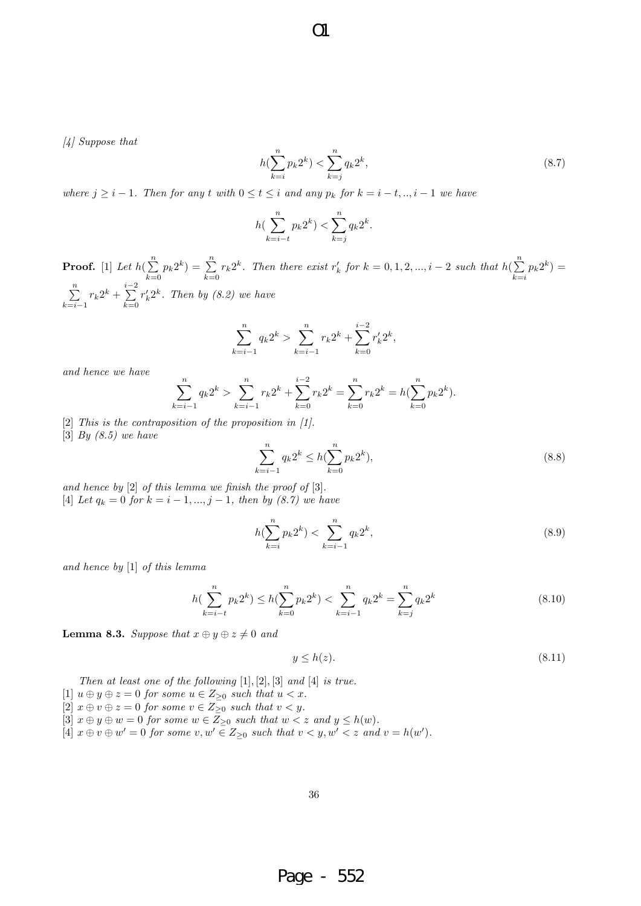$\Omega$ 

*[4] Suppose that*

$$
h(\sum_{k=i}^{n} p_k 2^k) < \sum_{k=j}^{n} q_k 2^k,\tag{8.7}
$$

where  $j \geq i-1$ . Then for any t with  $0 \leq t \leq i$  and any  $p_k$  for  $k = i - t, ..., i - 1$  we have

$$
h(\sum_{k=i-t}^{n} p_k 2^k) < \sum_{k=j}^{n} q_k 2^k.
$$

**Proof.** [1] *Let*  $h(\sum_{i=1}^{n}$  $\sum_{k=0}^{n} p_k 2^k$  =  $\sum_{k=0}^{n}$  $\sum_{k=0}^{n} r_k 2^k$ . Then there exist  $r'_k$  for  $k = 0, 1, 2, ..., i - 2$  such that  $h(\sum_{k=0}^{n} r_k)^k$  $\sum_{k=i} p_k 2^k$  = ∑*n k*=*i−*1  $r_k 2^k + \sum_{i=1}^{i-2}$ *k*=0  $r'_k 2^k$ *. Then by (8.2) we have* 

$$
\sum_{k=i-1}^{n} q_k 2^k > \sum_{k=i-1}^{n} r_k 2^k + \sum_{k=0}^{i-2} r'_k 2^k,
$$

*and hence we have*

$$
\sum_{k=i-1}^{n} q_k 2^k > \sum_{k=i-1}^{n} r_k 2^k + \sum_{k=0}^{i-2} r_k 2^k = \sum_{k=0}^{n} r_k 2^k = h(\sum_{k=0}^{n} p_k 2^k).
$$

[2] *This is the contraposition of the proposition in [1].* [3] *By (8.5) we have*

$$
\sum_{i=1}^{n} q_k 2^k \le h(\sum_{k=0}^{n} p_k 2^k),\tag{8.8}
$$

*and hence by* [2] *of this lemma we finish the proof of* [3]*.*  $[4]$  *Let*  $q_k = 0$  *for*  $k = i - 1, ..., j - 1$ *, then by (8.7) we have* 

$$
h(\sum_{k=i}^{n} p_k 2^k) < \sum_{k=i-1}^{n} q_k 2^k,\tag{8.9}
$$

*and hence by* [1] *of this lemma*

$$
h(\sum_{k=i-t}^{n} p_k 2^k) \le h(\sum_{k=0}^{n} p_k 2^k) < \sum_{k=i-1}^{n} q_k 2^k = \sum_{k=j}^{n} q_k 2^k \tag{8.10}
$$

**Lemma 8.3.** *Suppose that*  $x \oplus y \oplus z \neq 0$  *and* 

$$
y \le h(z). \tag{8.11}
$$

*Then at least one of the following* [1]*,* [2]*,* [3] *and* [4] *is true.*

- $[1]$   $u \oplus y \oplus z = 0$  *for some*  $u \in Z_{\geq 0}$  *such that*  $u < x$ *.*
- $[2]$   $x \oplus v \oplus z = 0$  for some  $v \in Z_{\geq 0}$  such that  $v < y$ .
- $[3]$   $x \oplus y \oplus w = 0$  *for some*  $w \in Z_{\geq 0}$  *such that*  $w < z$  *and*  $y \leq h(w)$ *.*
- [4]  $x \oplus v \oplus w' = 0$  for some  $v, w' \in Z_{\geq 0}$  such that  $v < y, w' < z$  and  $v = h(w')$ .

*k*=*i−*1

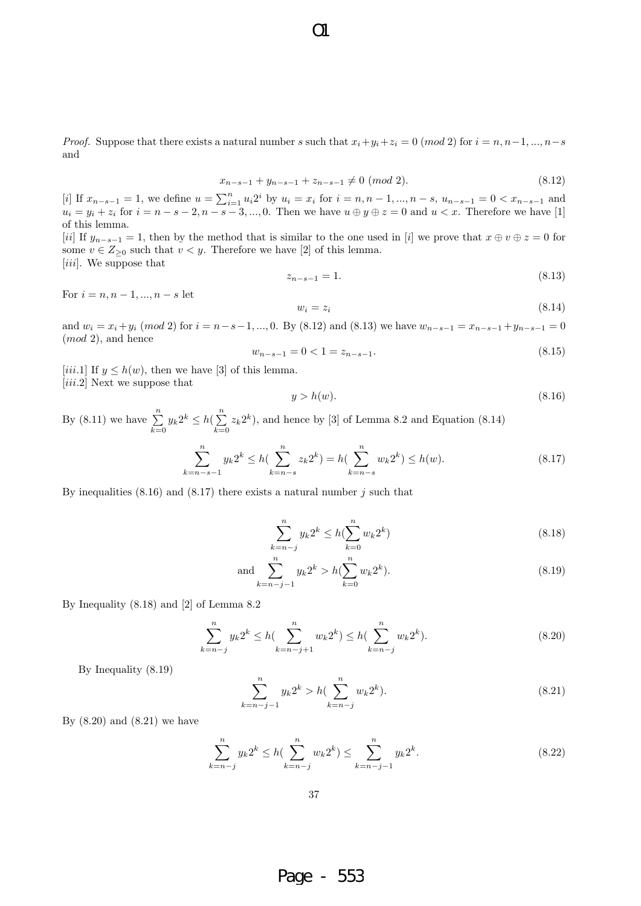*Proof.* Suppose that there exists a natural number *s* such that  $x_i + y_i + z_i = 0 \pmod{2}$  for  $i = n, n-1, ..., n-s$ and

$$
x_{n-s-1} + y_{n-s-1} + z_{n-s-1} \neq 0 \ (mod \ 2). \tag{8.12}
$$

[i] If  $x_{n-s-1} = 1$ , we define  $u = \sum_{i=1}^{n} u_i 2^i$  by  $u_i = x_i$  for  $i = n, n-1, ..., n-s$ ,  $u_{n-s-1} = 0 < x_{n-s-1}$  and  $u_i = y_i + z_i$  for  $i = n - s - 2, n - s - 3, ..., 0$ . Then we have  $u \oplus y \oplus z = 0$  and  $u < x$ . Therefore we have [1] of this lemma.

[*ii*] If  $y_{n-s-1} = 1$ , then by the method that is similar to the one used in [*i*] we prove that  $x \oplus v \oplus z = 0$  for some  $v \in Z_{\geq 0}$  such that  $v < y$ . Therefore we have [2] of this lemma. [*iii*]. We suppose that

$$
z_{n-s-1} = 1.\t\t(8.13)
$$

For  $i = n, n - 1, ..., n - s$  let

$$
w_i = z_i \tag{8.14}
$$

and  $w_i = x_i + y_i \pmod{2}$  for  $i = n - s - 1, ..., 0$ . By (8.12) and (8.13) we have  $w_{n-s-1} = x_{n-s-1} + y_{n-s-1} = 0$ (*mod* 2), and hence

$$
w_{n-s-1} = 0 < 1 = z_{n-s-1}.\tag{8.15}
$$

[*iii.*1] If  $y \leq h(w)$ , then we have [3] of this lemma. [*iii.*2] Next we suppose that

$$
y > h(w). \tag{8.16}
$$

By  $(8.11)$  we have  $\sum_{n=1}^{\infty}$  $\sum_{k=0}^{n} y_k 2^k \leq h(\sum_{k=0}^{n}$  $\sum_{k=0} z_k 2^k$ , and hence by [3] of Lemma 8.2 and Equation (8.14) ∑*n* ∑*n* ∑*n*

$$
\sum_{k=n-s-1}^{n} y_k 2^k \le h(\sum_{k=n-s}^{n} z_k 2^k) = h(\sum_{k=n-s}^{n} w_k 2^k) \le h(w). \tag{8.17}
$$

By inequalities (8.16) and (8.17) there exists a natural number *j* such that

$$
\sum_{k=n-j}^{n} y_k 2^k \le h(\sum_{k=0}^{n} w_k 2^k)
$$
\n(8.18)

and 
$$
\sum_{k=n-j-1}^{n} y_k 2^k > h(\sum_{k=0}^{n} w_k 2^k).
$$
 (8.19)

By Inequality (8.18) and [2] of Lemma 8.2

$$
\sum_{k=n-j}^{n} y_k 2^k \le h(\sum_{k=n-j+1}^{n} w_k 2^k) \le h(\sum_{k=n-j}^{n} w_k 2^k). \tag{8.20}
$$

By Inequality (8.19)

$$
\sum_{k=n-j-1}^{n} y_k 2^k > h(\sum_{k=n-j}^{n} w_k 2^k).
$$
\n(8.21)

By  $(8.20)$  and  $(8.21)$  we have

$$
\sum_{k=n-j}^{n} y_k 2^k \le h \left( \sum_{k=n-j}^{n} w_k 2^k \right) \le \sum_{k=n-j-1}^{n} y_k 2^k. \tag{8.22}
$$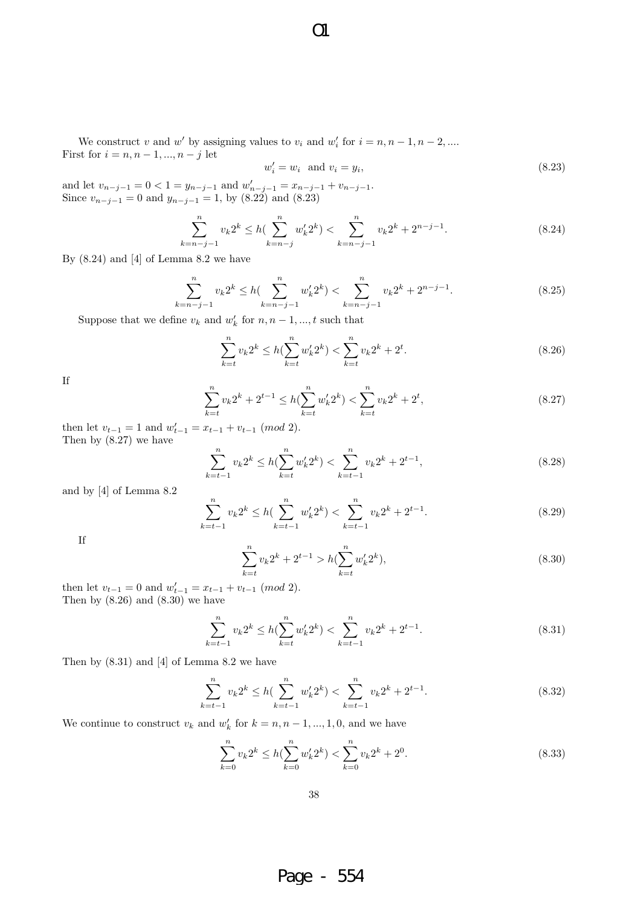We construct *v* and *w*<sup> $\prime$ </sup> by assigning values to  $v_i$  and  $w'_i$  for  $i = n, n - 1, n - 2, \dots$ 

O1

$$
w_i' = w_i \quad \text{and} \quad v_i = y_i,\tag{8.23}
$$

and let  $v_{n-j-1} = 0 < 1 = y_{n-j-1}$  and  $w'_{n-j-1} = x_{n-j-1} + v_{n-j-1}$ . Since  $v_{n-j-1} = 0$  and  $y_{n-j-1} = 1$ , by (8.22) and (8.23)

$$
\sum_{k=n-j-1}^{n} v_k 2^k \le h(\sum_{k=n-j}^{n} w'_k 2^k) < \sum_{k=n-j-1}^{n} v_k 2^k + 2^{n-j-1}.\tag{8.24}
$$

By  $(8.24)$  and  $[4]$  of Lemma 8.2 we have

First for  $i = n, n - 1, ..., n - j$  let

$$
\sum_{k=n-j-1}^{n} v_k 2^k \le h(\sum_{k=n-j-1}^{n} w'_k 2^k) < \sum_{k=n-j-1}^{n} v_k 2^k + 2^{n-j-1}.\tag{8.25}
$$

Suppose that we define  $v_k$  and  $w'_k$  for  $n, n-1, ..., t$  such that

$$
\sum_{k=t}^{n} v_k 2^k \le h(\sum_{k=t}^{n} w'_k 2^k) < \sum_{k=t}^{n} v_k 2^k + 2^t. \tag{8.26}
$$

If

$$
\sum_{k=t}^{n} v_k 2^k + 2^{t-1} \le h(\sum_{k=t}^{n} w'_k 2^k) < \sum_{k=t}^{n} v_k 2^k + 2^t,\tag{8.27}
$$

then let  $v_{t-1} = 1$  and  $w'_{t-1} = x_{t-1} + v_{t-1} \pmod{2}$ .<br>Then by (8.27) we have

$$
\sum_{k=t-1}^{n} v_k 2^k \le h(\sum_{k=t}^{n} w'_k 2^k) < \sum_{k=t-1}^{n} v_k 2^k + 2^{t-1},\tag{8.28}
$$

and by [4] of Lemma 8.2

$$
\sum_{k=t-1}^{n} v_k 2^k \le h(\sum_{k=t-1}^{n} w'_k 2^k) < \sum_{k=t-1}^{n} v_k 2^k + 2^{t-1}.\tag{8.29}
$$

If

$$
\sum_{k=t}^{n} v_k 2^k + 2^{t-1} > h(\sum_{k=t}^{n} w'_k 2^k),
$$
\n(8.30)

then let  $v_{t-1} = 0$  and  $w'_{t-1} = x_{t-1} + v_{t-1}$  (*mod* 2). Then by  $(8.26)$  and  $(8.30)$  we have

$$
\sum_{k=t-1}^{n} v_k 2^k \le h(\sum_{k=t}^{n} w'_k 2^k) < \sum_{k=t-1}^{n} v_k 2^k + 2^{t-1}.\tag{8.31}
$$

Then by (8.31) and [4] of Lemma 8.2 we have

$$
\sum_{k=t-1}^{n} v_k 2^k \le h(\sum_{k=t-1}^{n} w'_k 2^k) < \sum_{k=t-1}^{n} v_k 2^k + 2^{t-1}.\tag{8.32}
$$

We continue to construct  $v_k$  and  $w'_k$  for  $k = n, n - 1, ..., 1, 0$ , and we have

$$
\sum_{k=0}^{n} v_k 2^k \le h(\sum_{k=0}^{n} w'_k 2^k) < \sum_{k=0}^{n} v_k 2^k + 2^0. \tag{8.33}
$$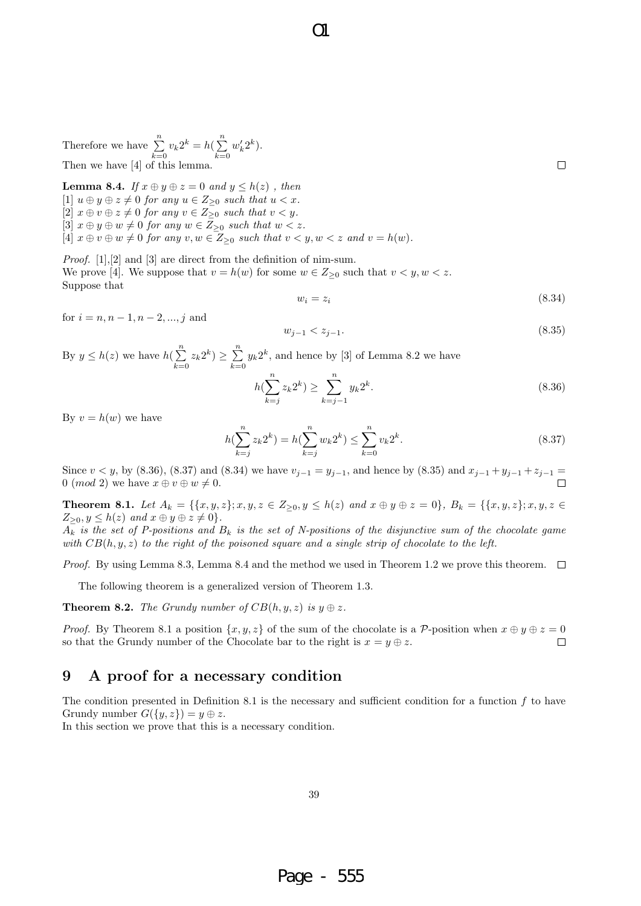Therefore we have 
$$
\sum_{k=0}^{n} v_k 2^k = h(\sum_{k=0}^{n} w'_k 2^k).
$$
 Then we have [4] of this lemma.

**Lemma 8.4.** *If*  $x \oplus y \oplus z = 0$  *and*  $y \leq h(z)$ , *then*  $[1]$   $u \oplus y \oplus z \neq 0$  *for any*  $u \in Z_{\geq 0}$  *such that*  $u < x$ *.*  $[2]$   $x \oplus v \oplus z \neq 0$  *for any*  $v \in Z_{\geq 0}$  *such that*  $v < y$ *.*  $[3]$   $x \oplus y \oplus w \neq 0$  *for any*  $w \in \overline{Z}_{\geq 0}$  *such that*  $w < z$ *.*  $[4]$   $x \oplus v \oplus w \neq 0$  *for any*  $v, w \in Z_{\geq 0}$  *such that*  $v < y, w < z$  *and*  $v = h(w)$ *.* 

*Proof.* [1],[2] and [3] are direct from the definition of nim-sum. We prove [4]. We suppose that  $v = h(w)$  for some  $w \in Z_{\geq 0}$  such that  $v < y, w < z$ . Suppose that

$$
w_i = z_i \tag{8.34}
$$

 $\Box$ 

for  $i = n, n - 1, n - 2, ..., j$  and

$$
w_{j-1} < z_{j-1}.\tag{8.35}
$$

By  $y \leq h(z)$  we have  $h(\sum_{i=1}^{n} h(i))$  $\sum_{k=0}^{n} z_k 2^k$ )  $\geq \sum_{k=0}^{n}$  $\sum_{k=0} y_k 2^k$ , and hence by [3] of Lemma 8.2 we have

$$
h(\sum_{k=j}^{n} z_k 2^k) \ge \sum_{k=j-1}^{n} y_k 2^k.
$$
\n(8.36)

By  $v = h(w)$  we have

$$
h(\sum_{k=j}^{n} z_k 2^k) = h(\sum_{k=j}^{n} w_k 2^k) \le \sum_{k=0}^{n} v_k 2^k.
$$
 (8.37)

Since  $v < y$ , by (8.36), (8.37) and (8.34) we have  $v_{j-1} = y_{j-1}$ , and hence by (8.35) and  $x_{j-1} + y_{j-1} + z_{j-1} =$ 0 (*mod* 2) we have  $x \oplus v \oplus w \neq 0$ .

 $\Omega$ 

**Theorem 8.1.** Let  $A_k = \{ \{x, y, z\}; x, y, z \in Z_{\geq 0}, y \leq h(z) \text{ and } x \oplus y \oplus z = 0 \}, B_k = \{ \{x, y, z\}; x, y, z \in Z_{\geq 0}, y \in Z_{\geq 0}, y \in Z_{\geq 0}, y \in Z_{\geq 0}, y \in Z_{\geq 0}, y \in Z_{\geq 0}, y \in Z_{\geq 0}, y \in Z_{\geq 0}, y \in Z_{\geq 0}, y \in Z_{\geq 0}, y \in Z_{\geq 0}, y \in Z_{\ge$  $Z_{\geq 0}, y \leq h(z)$  *and*  $x \oplus y \oplus z \neq 0$ .

 $A_k$  *is the set of P-positions and*  $B_k$  *is the set of N-positions of the disjunctive sum of the chocolate game with CB*(*h, y, z*) *to the right of the poisoned square and a single strip of chocolate to the left.*

*Proof.* By using Lemma 8.3, Lemma 8.4 and the method we used in Theorem 1.2 we prove this theorem.  $\Box$ 

The following theorem is a generalized version of Theorem 1.3.

**Theorem 8.2.** *The Grundy number of*  $CB(h, y, z)$  *is*  $y \oplus z$ *.* 

*Proof.* By Theorem 8.1 a position  $\{x, y, z\}$  of the sum of the chocolate is a *P*-position when  $x \oplus y \oplus z = 0$ so that the Grundy number of the Chocolate bar to the right is  $x = y \oplus z$ .  $\Box$ 

### **9 A proof for a necessary condition**

The condition presented in Definition 8.1 is the necessary and sufficient condition for a function *f* to have Grundy number  $G({y, z}) = y \oplus z$ .

In this section we prove that this is a necessary condition.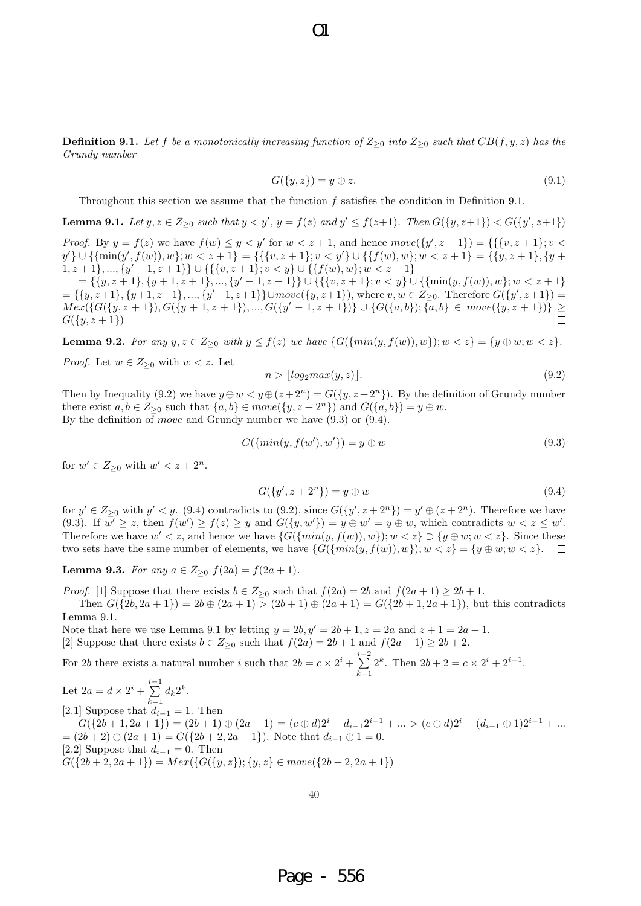$\Omega$ 

**Definition 9.1.** Let f be a monotonically increasing function of  $Z_{\geq 0}$  into  $Z_{\geq 0}$  such that  $CB(f, y, z)$  has the *Grundy number*

$$
G({y,z}) = y \oplus z. \tag{9.1}
$$

Throughout this section we assume that the function *f* satisfies the condition in Definition 9.1.

**Lemma 9.1.** Let  $y, z \in Z_{\geq 0}$  such that  $y < y', y = f(z)$  and  $y' \leq f(z+1)$ . Then  $G({y, z+1}) < G({y', z+1})$ 

*Proof.* By  $y = f(z)$  we have  $f(w) \leq y < y'$  for  $w < z + 1$ , and hence  $move({y', z + 1}) = {\{\{v, z + 1\}} : v <$  $y'\}\cup \{\{\min(y',f(w)),w\}; w < z + 1\} = \{\{\{v,z+1\};v < y'\}\cup \{\{f(w),w\}; w < z + 1\} = \{\{y,z+1\},\{y+1\}\}\}$ 1*, z* + 1*}, ..., {y <sup>0</sup> −* 1*, z* + 1*}} ∪ {{{v, z* + 1*}*; *v < y} ∪ {{f*(*w*)*, w}*; *w < z* + 1*}*

 $=\{\{y,z+1\},\{y+1,z+1\},...,\{y'-1,z+1\}\}\cup\{\{\{v,z+1\};v$  $=\{\{y,z+1\},\{y+1,z+1\},...,\{y'-1,z+1\}\}\cup move(\{y,z+1\}),$  where  $v,w\in Z_{\geq 0}$ . Therefore  $G(\{y',z+1\})=$  $Mex(\{G(\{y,z+1\}),G(\{y+1,z+1\}),...,G(\{y'-1,z+1\})\}\cup \{G(\{a,b\});\{a,b\}\in move(\{y,z+1\})\}\geq$  $\Box$  $G({y, z + 1})$ 

**Lemma 9.2.** For any  $y, z \in Z_{\geq 0}$  with  $y \leq f(z)$  we have  $\{G(\{min(y, f(w)), w\}); w < z\} = \{y \oplus w; w < z\}.$ 

*Proof.* Let  $w \in Z_{\geq 0}$  with  $w < z$ . Let

$$
n > \lfloor log_2 max(y, z) \rfloor. \tag{9.2}
$$

Then by Inequality (9.2) we have  $y \oplus w < y \oplus (z + 2^n) = G({y, z + 2^n})$ . By the definition of Grundy number there exist  $a, b \in Z_{\geq 0}$  such that  $\{a, b\} \in move(\{y, z + 2^n\})$  and  $G(\{a, b\}) = y \oplus w$ . By the definition of *move* and Grundy number we have (9.3) or (9.4).

$$
G(\{min(y, f(w'), w'\}) = y \oplus w \tag{9.3}
$$

for  $w' \in Z_{\geq 0}$  with  $w' < z + 2^n$ .

$$
G({y', z + 2n}) = y \oplus w
$$
\n(9.4)

for  $y' \in Z_{\geq 0}$  with  $y' < y$ . (9.4) contradicts to (9.2), since  $G({y', z+2<sup>n</sup>}) = y' \oplus (z+2<sup>n</sup>)$ . Therefore we have (9.3). If  $w' \geq z$ , then  $f(w') \geq f(z) \geq y$  and  $G({y,w') = y \oplus w' = y \oplus w}$ , which contradicts  $w < z \leq w'$ . Therefore we have  $w' < z$ , and hence we have  $\{G(\{min(y, f(w)), w\}); w < z\} \supset \{y \oplus w; w < z\}.$  Since these two sets have the same number of elements, we have  $\{G(\{min(y, f(w)), w\}); w < z\} = \{y \oplus w; w < z\}$ .

**Lemma 9.3.** *For any*  $a \in Z_{\geq 0}$   $f(2a) = f(2a + 1)$ *.* 

*Proof.* [1] Suppose that there exists  $b \in Z_{\geq 0}$  such that  $f(2a) = 2b$  and  $f(2a + 1) \geq 2b + 1$ .

Then  $G({2b, 2a + 1}) = 2b \oplus (2a + 1) > (2b + 1) \oplus (2a + 1) = G({2b + 1, 2a + 1})$ , but this contradicts Lemma 9.1.

Note that here we use Lemma 9.1 by letting  $y = 2b, y' = 2b + 1, z = 2a$  and  $z + 1 = 2a + 1$ . [2] Suppose that there exists  $b \in Z_{\geq 0}$  such that  $f(2a) = 2b + 1$  and  $f(2a + 1) \geq 2b + 2$ .

For 2*b* there exists a natural number *i* such that  $2b = c \times 2^i + \sum^{i-2}$ *k*=1 2<sup>*k*</sup>. Then  $2b + 2 = c \times 2^{i} + 2^{i-1}$ .

Let  $2a = d \times 2^{i} + \sum_{i}^{i-1}$  $\sum_{k=1} d_k 2^k$ . [2*.*1] Suppose that  $d_{i-1} = 1$ . Then  $G({2b+1, 2a+1}) = (2b+1) \oplus (2a+1) = (c \oplus d)2^{i} + d_{i-1}2^{i-1} + ... > (c \oplus d)2^{i} + (d_{i-1} \oplus 1)2^{i-1} + ...$  $=(2b+2) \oplus (2a+1) = G({2b+2, 2a+1})$ . Note that  $d_{i-1} \oplus 1 = 0$ . [2.2] Suppose that  $d_{i-1} = 0$ . Then  $G({2b+2, 2a+1}) = Mex({G({y, z)}; {y, z} \in move({2b+2, 2a+1})})$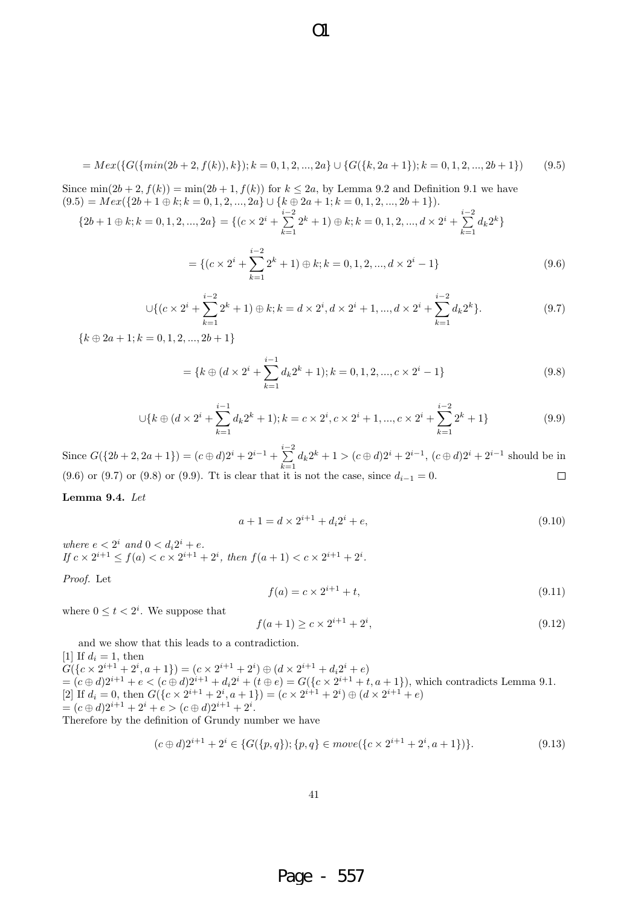$$
=Mex(\{G(\{min(2b+2,f(k)),k\});k=0,1,2,...,2a\}\cup\{G(\{k,2a+1\});k=0,1,2,...,2b+1\})
$$
(9.5)

 $\overline{O}1$ 

Since  $\min(2b+2, f(k)) = \min(2b+1, f(k))$  for  $k \le 2a$ , by Lemma 9.2 and Definition 9.1 we have  $(9.5) = Mex({2b+1} \oplus k; k = 0, 1, 2, ..., 2a} \cup {k \oplus 2a+1; k = 0, 1, 2, ..., 2b+1}).$ 

$$
\{2b+1\oplus k; k=0,1,2,...,2a\} = \{(c\times 2^i + \sum_{k=1}^{i-2} 2^k + 1) \oplus k; k=0,1,2,...,d\times 2^i + \sum_{k=1}^{i-2} d_k 2^k\}
$$

$$
= \{ (c \times 2^{i} + \sum_{k=1}^{i-2} 2^{k} + 1) \oplus k; k = 0, 1, 2, ..., d \times 2^{i} - 1 \}
$$
\n(9.6)

$$
\bigcup \{ (c \times 2^i + \sum_{k=1}^{i-2} 2^k + 1) \oplus k; k = d \times 2^i, d \times 2^i + 1, ..., d \times 2^i + \sum_{k=1}^{i-2} d_k 2^k \}. \tag{9.7}
$$

 ${k \oplus 2a + 1; k = 0, 1, 2, ..., 2b + 1}$ 

$$
= \{k \oplus (d \times 2^{i} + \sum_{k=1}^{i-1} d_k 2^{k} + 1); k = 0, 1, 2, ..., c \times 2^{i} - 1\}
$$
\n(9.8)

$$
\bigcup \{k \oplus (d \times 2^i + \sum_{k=1}^{i-1} d_k 2^k + 1); k = c \times 2^i, c \times 2^i + 1, ..., c \times 2^i + \sum_{k=1}^{i-2} 2^k + 1 \}
$$
(9.9)

Since  $G({2b+2, 2a+1}) = (c \oplus d)2^{i} + 2^{i-1} + \sum_{i=1}^{i-2}$  $\sum_{k=1} d_k 2^k + 1 > (c \oplus d)2^i + 2^{i-1}, (c \oplus d)2^i + 2^{i-1}$  should be in (9.6) or (9.7) or (9.8) or (9.9). Tt is clear that it is not the case, since  $d_{i-1} = 0$ .  $\Box$ 

#### **Lemma 9.4.** *Let*

$$
a + 1 = d \times 2^{i+1} + d_i 2^i + e,\tag{9.10}
$$

*where*  $e < 2^i$  *and*  $0 < d_i 2^i + e$ *. If*  $c \times 2^{i+1} \le f(a) < c \times 2^{i+1} + 2^i$ , then  $f(a+1) < c \times 2^{i+1} + 2^i$ .

*Proof.* Let

$$
f(a) = c \times 2^{i+1} + t,\tag{9.11}
$$

where  $0 \le t < 2^i$ . We suppose that

$$
f(a+1) \ge c \times 2^{i+1} + 2^i,
$$
\n(9.12)

and we show that this leads to a contradiction.

[1] If  $d_i = 1$ , then  $G({c \times 2^{i+1} + 2^i, a + 1}) = (c \times 2^{i+1} + 2^i) \oplus (d \times 2^{i+1} + d_i 2^i + e)$  $=(c\oplus d)2^{i+1}+e < (c\oplus d)2^{i+1}+d_i2^i+(t\oplus e) = G({c \times 2^{i+1} + t, a+1}),$  which contradicts Lemma 9.1.  $[2]$  If  $d_i = 0$ , then  $G({c \times 2^{i+1} + 2^i, a+1}) = (c \times 2^{i+1} + 2^i) \oplus (d \times 2^{i+1} + e)$  $=(c \oplus d)2^{i+1} + 2^i + e > (c \oplus d)2^{i+1} + 2^i$ .

Therefore by the definition of Grundy number we have

$$
(c \oplus d)2^{i+1} + 2^i \in \{G(\{p,q\}); \{p,q\} \in move(\{c \times 2^{i+1} + 2^i, a+1\})\}.
$$
\n(9.13)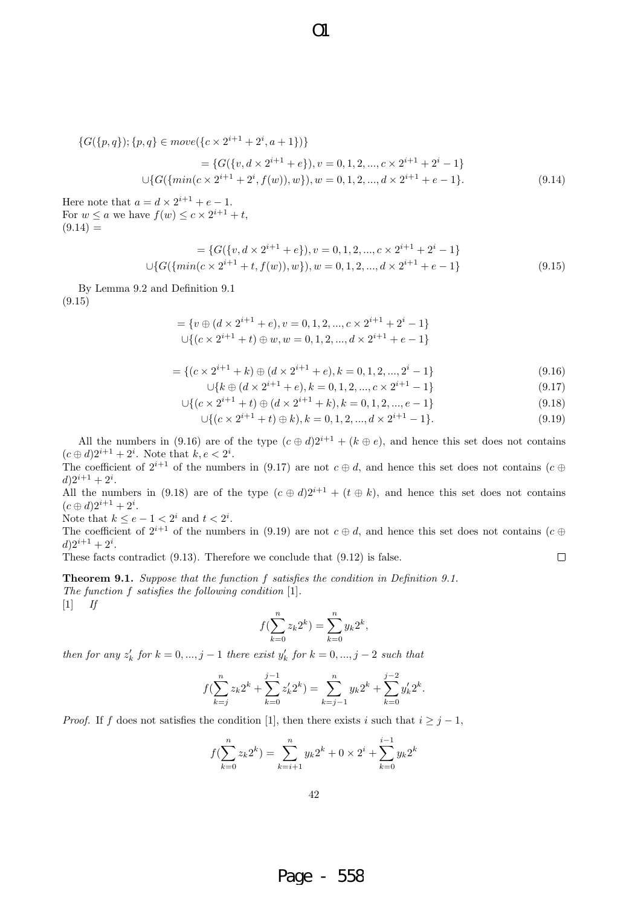$$
\{G(\{p,q\});\{p,q\} \in move(\{c \times 2^{i+1} + 2^i, a+1\})\}\
$$

$$
= \{G(\{v,d \times 2^{i+1} + e\}), v = 0,1,2,...,c \times 2^{i+1} + 2^i - 1\}\
$$

$$
\cup \{G(\{\min(c \times 2^{i+1} + 2^i, f(w)), w\}), w = 0,1,2,...,d \times 2^{i+1} + e - 1\}. \tag{9.14}
$$

 $\overline{O}1$ 

Here note that  $a = d \times 2^{i+1} + e - 1$ . For  $w \le a$  we have  $f(w) \le c \times 2^{i+1} + t$ ,  $(9.14) =$ 

$$
= \{G({v, d \times 2^{i+1} + e}), v = 0, 1, 2, ..., c \times 2^{i+1} + 2^i - 1\}
$$
  

$$
\cup \{G({\min(c \times 2^{i+1} + t, f(w)), w}), w = 0, 1, 2, ..., d \times 2^{i+1} + e - 1\}
$$
(9.15)

By Lemma 9.2 and Definition 9.1 (9.15)

$$
= \{v \oplus (d \times 2^{i+1} + e), v = 0, 1, 2, ..., c \times 2^{i+1} + 2^i - 1\}
$$
  

$$
\cup \{ (c \times 2^{i+1} + t) \oplus w, w = 0, 1, 2, ..., d \times 2^{i+1} + e - 1 \}
$$

$$
= \{ (c \times 2^{i+1} + k) \oplus (d \times 2^{i+1} + e), k = 0, 1, 2, ..., 2^i - 1 \}
$$
\n(9.16)

$$
\bigcup \{k \oplus (d \times 2^{i+1} + e), k = 0, 1, 2, ..., c \times 2^{i+1} - 1\} \tag{9.17}
$$

 $\Box$ 

$$
\cup \{ (c \times 2^{i+1} + t) \oplus (d \times 2^{i+1} + k), k = 0, 1, 2, ..., e - 1 \}
$$
\n(9.18)

$$
\bigcup \{ (c \times 2^{i+1} + t) \oplus k), k = 0, 1, 2, ..., d \times 2^{i+1} - 1 \}.
$$
\n(9.19)

All the numbers in (9.16) are of the type  $(c \oplus d)2^{i+1} + (k \oplus e)$ , and hence this set does not contains  $(c \oplus d)2^{i+1} + 2^i$ . Note that  $k, e < 2^i$ .

The coefficient of  $2^{i+1}$  of the numbers in (9.17) are not  $c \oplus d$ , and hence this set does not contains ( $c \oplus d$ )  $d)2^{i+1}+2^i$ .

All the numbers in (9.18) are of the type  $(c \oplus d)2^{i+1} + (t \oplus k)$ , and hence this set does not contains  $(c \oplus d)2^{i+1} + 2^i$ .

Note that  $k \leq e-1 < 2^i$  and  $t < 2^i$ .

The coefficient of  $2^{i+1}$  of the numbers in (9.19) are not  $c \oplus d$ , and hence this set does not contains ( $c \oplus$  $d)2^{i+1}+2^i$ .

These facts contradict (9.13). Therefore we conclude that (9.12) is false.

**Theorem 9.1.** *Suppose that the function f satisfies the condition in Definition 9.1. The function f satisfies the following condition* [1]*.* [1] *If*

$$
f(\sum_{k=0}^{n} z_k 2^k) = \sum_{k=0}^{n} y_k 2^k,
$$

*then for any*  $z'_k$  *for*  $k = 0, ..., j - 1$  *there exist*  $y'_k$  *for*  $k = 0, ..., j - 2$  *such that* 

$$
f(\sum_{k=j}^{n} z_k 2^k + \sum_{k=0}^{j-1} z'_k 2^k) = \sum_{k=j-1}^{n} y_k 2^k + \sum_{k=0}^{j-2} y'_k 2^k.
$$

*Proof.* If *f* does not satisfies the condition [1], then there exists *i* such that  $i \geq j - 1$ ,

$$
f(\sum_{k=0}^{n} z_k 2^k) = \sum_{k=i+1}^{n} y_k 2^k + 0 \times 2^i + \sum_{k=0}^{i-1} y_k 2^k
$$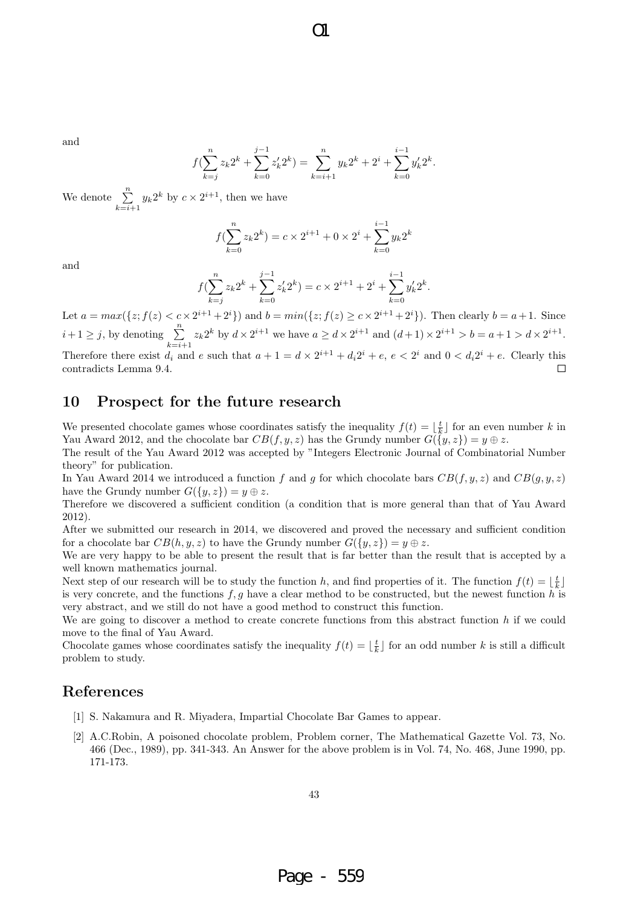$O1$ 

and

$$
f(\sum_{k=j}^{n} z_k 2^k + \sum_{k=0}^{j-1} z'_k 2^k) = \sum_{k=i+1}^{n} y_k 2^k + 2^i + \sum_{k=0}^{i-1} y'_k 2^k.
$$

We denote  $\sum_{n=1}^{\infty}$  $\sum_{k=i+1} y_k 2^k$  by  $c \times 2^{i+1}$ , then we have

$$
f(\sum_{k=0}^{n} z_k 2^k) = c \times 2^{i+1} + 0 \times 2^i + \sum_{k=0}^{i-1} y_k 2^k
$$

and

$$
f(\sum_{k=j}^{n} z_k 2^k + \sum_{k=0}^{j-1} z'_k 2^k) = c \times 2^{i+1} + 2^i + \sum_{k=0}^{i-1} y'_k 2^k.
$$

Let  $a = max({z; f(z) < c \times 2^{i+1} + 2^i})$  and  $b = min({z; f(z) \ge c \times 2^{i+1} + 2^i})$ . Then clearly  $b = a + 1$ . Since  $i+1 \geq j$ , by denoting  $\sum_{i=1}^{n}$  $\sum_{k=i+1} z_k 2^k$  by  $d \times 2^{i+1}$  we have  $a \ge d \times 2^{i+1}$  and  $(d+1) \times 2^{i+1} > b = a+1 > d \times 2^{i+1}$ . Therefore there exist  $d_i$  and  $e$  such that  $a + 1 = d \times 2^{i+1} + d_i 2^i + e$ ,  $e < 2^i$  and  $0 < d_i 2^i + e$ . Clearly this contradicts Lemma 9.4.  $\Box$ 

# **10 Prospect for the future research**

We presented chocolate games whose coordinates satisfy the inequality  $f(t) = \lfloor \frac{t}{k} \rfloor$  for an even number k in Yau Award 2012, and the chocolate bar  $CB(f, y, z)$  has the Grundy number  $G(\lbrace y, z \rbrace) = y \oplus z$ .

The result of the Yau Award 2012 was accepted by "Integers Electronic Journal of Combinatorial Number theory" for publication.

In Yau Award 2014 we introduced a function  $f$  and  $g$  for which chocolate bars  $CB(f, y, z)$  and  $CB(g, y, z)$ have the Grundy number  $G({y, z}) = y \oplus z$ .

Therefore we discovered a sufficient condition (a condition that is more general than that of Yau Award 2012).

After we submitted our research in 2014, we discovered and proved the necessary and sufficient condition for a chocolate bar  $CB(h, y, z)$  to have the Grundy number  $G({y, z}) = y \oplus z$ .

We are very happy to be able to present the result that is far better than the result that is accepted by a well known mathematics journal.

Next step of our research will be to study the function *h*, and find properties of it. The function  $f(t) = \lfloor \frac{t}{k} \rfloor$ is very concrete, and the functions *f, g* have a clear method to be constructed, but the newest function *h* is very abstract, and we still do not have a good method to construct this function.

We are going to discover a method to create concrete functions from this abstract function *h* if we could move to the final of Yau Award.

Chocolate games whose coordinates satisfy the inequality  $f(t) = \lfloor \frac{t}{k} \rfloor$  for an odd number *k* is still a difficult problem to study.

### **References**

- [1] S. Nakamura and R. Miyadera, Impartial Chocolate Bar Games to appear.
- [2] A.C.Robin, A poisoned chocolate problem, Problem corner, The Mathematical Gazette Vol. 73, No. 466 (Dec., 1989), pp. 341-343. An Answer for the above problem is in Vol. 74, No. 468, June 1990, pp. 171-173.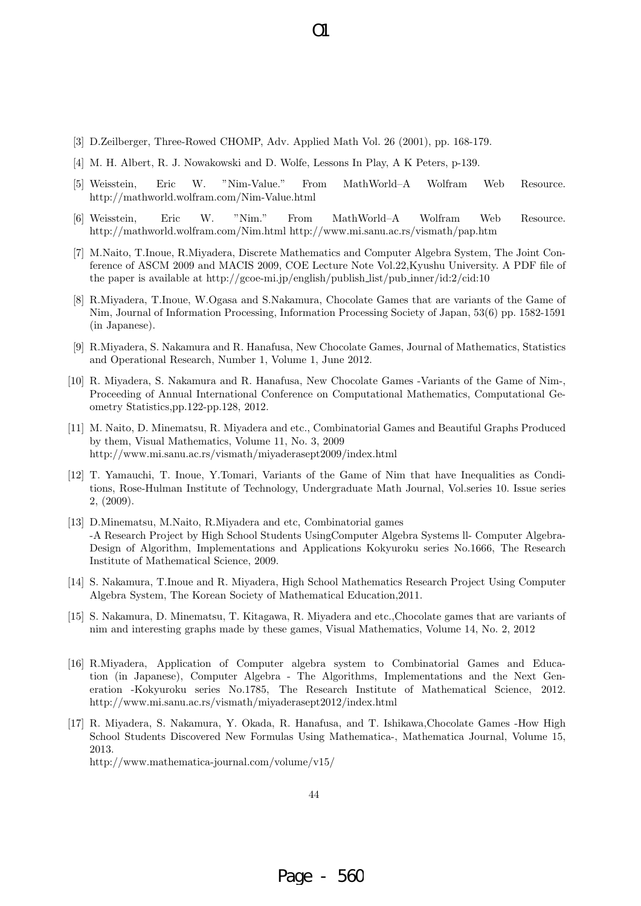- [3] D.Zeilberger, Three-Rowed CHOMP, Adv. Applied Math Vol. 26 (2001), pp. 168-179.
- [4] M. H. Albert, R. J. Nowakowski and D. Wolfe, Lessons In Play, A K Peters, p-139.
- [5] Weisstein, Eric W. "Nim-Value." From MathWorld–A Wolfram Web Resource. http://mathworld.wolfram.com/Nim-Value.html

 $\Omega$ 

- [6] Weisstein, Eric W. "Nim." From MathWorld–A Wolfram Web Resource. http://mathworld.wolfram.com/Nim.html http://www.mi.sanu.ac.rs/vismath/pap.htm
- [7] M.Naito, T.Inoue, R.Miyadera, Discrete Mathematics and Computer Algebra System, The Joint Conference of ASCM 2009 and MACIS 2009, COE Lecture Note Vol.22,Kyushu University. A PDF file of the paper is available at http://gcoe-mi.jp/english/publish list/pub inner/id:2/cid:10
- [8] R.Miyadera, T.Inoue, W.Ogasa and S.Nakamura, Chocolate Games that are variants of the Game of Nim, Journal of Information Processing, Information Processing Society of Japan, 53(6) pp. 1582-1591 (in Japanese).
- [9] R.Miyadera, S. Nakamura and R. Hanafusa, New Chocolate Games, Journal of Mathematics, Statistics and Operational Research, Number 1, Volume 1, June 2012.
- [10] R. Miyadera, S. Nakamura and R. Hanafusa, New Chocolate Games -Variants of the Game of Nim-, Proceeding of Annual International Conference on Computational Mathematics, Computational Geometry Statistics,pp.122-pp.128, 2012.
- [11] M. Naito, D. Minematsu, R. Miyadera and etc., Combinatorial Games and Beautiful Graphs Produced by them, Visual Mathematics, Volume 11, No. 3, 2009 http://www.mi.sanu.ac.rs/vismath/miyaderasept2009/index.html
- [12] T. Yamauchi, T. Inoue, Y.Tomari, Variants of the Game of Nim that have Inequalities as Conditions, Rose-Hulman Institute of Technology, Undergraduate Math Journal, Vol.series 10. Issue series 2, (2009).
- [13] D.Minematsu, M.Naito, R.Miyadera and etc, Combinatorial games -A Research Project by High School Students UsingComputer Algebra Systems ll- Computer Algebra-Design of Algorithm, Implementations and Applications Kokyuroku series No.1666, The Research Institute of Mathematical Science, 2009.
- [14] S. Nakamura, T.Inoue and R. Miyadera, High School Mathematics Research Project Using Computer Algebra System, The Korean Society of Mathematical Education,2011.
- [15] S. Nakamura, D. Minematsu, T. Kitagawa, R. Miyadera and etc.,Chocolate games that are variants of nim and interesting graphs made by these games, Visual Mathematics, Volume 14, No. 2, 2012
- [16] R.Miyadera, Application of Computer algebra system to Combinatorial Games and Education (in Japanese), Computer Algebra - The Algorithms, Implementations and the Next Generation -Kokyuroku series No.1785, The Research Institute of Mathematical Science, 2012. http://www.mi.sanu.ac.rs/vismath/miyaderasept2012/index.html
- [17] R. Miyadera, S. Nakamura, Y. Okada, R. Hanafusa, and T. Ishikawa,Chocolate Games -How High School Students Discovered New Formulas Using Mathematica-, Mathematica Journal, Volume 15, 2013.

http://www.mathematica-journal.com/volume/v15/